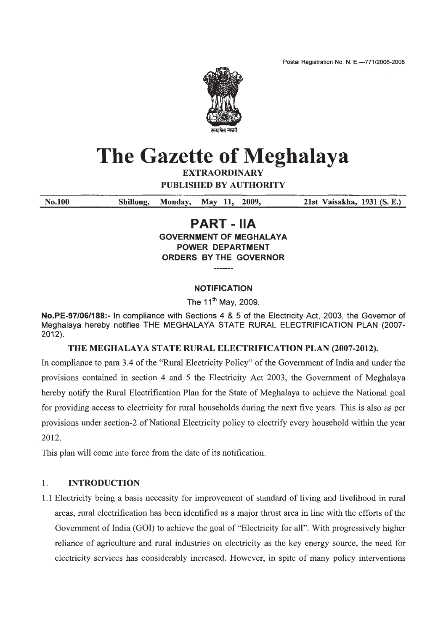Postal Registration No. N. E.-771/2006-2008



# The Gazette of Meghalaya

**EXTRAORDINARY** 

**PUBLISHED BY AUTHORITY** 

Shillong, May 11, 21st Vaisakha, 1931 (S. E.) No.100 Monday. 2009.

# **PART - IIA**

**GOVERNMENT OF MEGHALAYA POWER DEPARTMENT ORDERS BY THE GOVERNOR** 

#### **NOTIFICATION**

The 11<sup>th</sup> May, 2009.

No.PE-97/06/188:- In compliance with Sections 4 & 5 of the Electricity Act, 2003, the Governor of Meghalaya hereby notifies THE MEGHALAYA STATE RURAL ELECTRIFICATION PLAN (2007- $2012$ ).

#### THE MEGHALAYA STATE RURAL ELECTRIFICATION PLAN (2007-2012).

In compliance to para 3.4 of the "Rural Electricity Policy" of the Government of India and under the provisions contained in section 4 and 5 the Electricity Act 2003, the Government of Meghalaya hereby notify the Rural Electrification Plan for the State of Meghalaya to achieve the National goal for providing access to electricity for rural households during the next five years. This is also as per provisions under section-2 of National Electricity policy to electrify every household within the year 2012.

This plan will come into force from the date of its notification.

#### $1<sub>1</sub>$ **INTRODUCTION**

1.1 Electricity being a basis necessity for improvement of standard of living and livelihood in rural areas, rural electrification has been identified as a major thrust area in line with the efforts of the Government of India (GOI) to achieve the goal of "Electricity for all". With progressively higher reliance of agriculture and rural industries on electricity as the key energy source, the need for electricity services has considerably increased. However, in spite of many policy interventions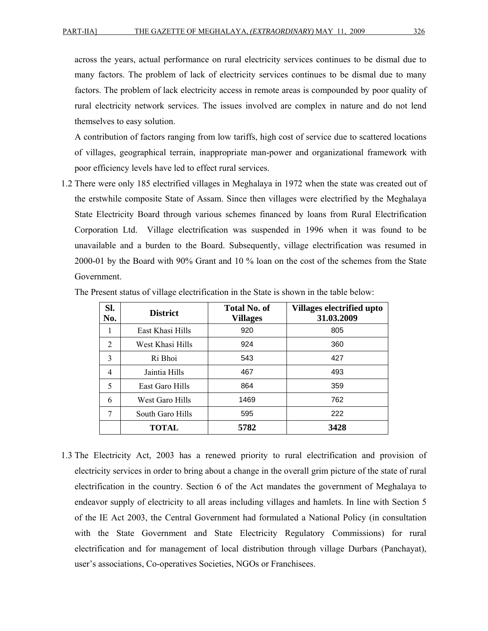across the years, actual performance on rural electricity services continues to be dismal due to many factors. The problem of lack of electricity services continues to be dismal due to many factors. The problem of lack electricity access in remote areas is compounded by poor quality of rural electricity network services. The issues involved are complex in nature and do not lend themselves to easy solution.

A contribution of factors ranging from low tariffs, high cost of service due to scattered locations of villages, geographical terrain, inappropriate man-power and organizational framework with poor efficiency levels have led to effect rural services.

1.2 There were only 185 electrified villages in Meghalaya in 1972 when the state was created out of the erstwhile composite State of Assam. Since then villages were electrified by the Meghalaya State Electricity Board through various schemes financed by loans from Rural Electrification Corporation Ltd. Village electrification was suspended in 1996 when it was found to be unavailable and a burden to the Board. Subsequently, village electrification was resumed in 2000-01 by the Board with 90% Grant and 10 % loan on the cost of the schemes from the State Government.

| SI.<br>No. | <b>District</b>  | <b>Total No. of</b><br><b>Villages</b> | Villages electrified upto<br>31.03.2009 |
|------------|------------------|----------------------------------------|-----------------------------------------|
| -1         | East Khasi Hills | 920                                    | 805                                     |
| 2          | West Khasi Hills | 924                                    | 360                                     |
| 3          | Ri Bhoi<br>543   |                                        | 427                                     |
| 4          | Jaintia Hills    | 467                                    | 493                                     |
| 5          | East Garo Hills  | 864                                    | 359                                     |
| 6          | West Garo Hills  | 1469                                   | 762                                     |
| 7          | South Garo Hills | 595                                    | 222                                     |
|            | <b>TOTAL</b>     | 5782                                   | 3428                                    |

The Present status of village electrification in the State is shown in the table below:

1.3 The Electricity Act, 2003 has a renewed priority to rural electrification and provision of electricity services in order to bring about a change in the overall grim picture of the state of rural electrification in the country. Section 6 of the Act mandates the government of Meghalaya to endeavor supply of electricity to all areas including villages and hamlets. In line with Section 5 of the IE Act 2003, the Central Government had formulated a National Policy (in consultation with the State Government and State Electricity Regulatory Commissions) for rural electrification and for management of local distribution through village Durbars (Panchayat), user's associations, Co-operatives Societies, NGOs or Franchisees.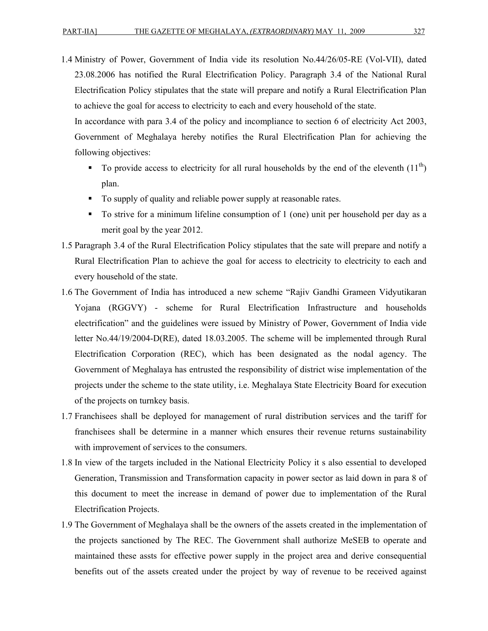1.4 Ministry of Power, Government of India vide its resolution No.44/26/05-RE (Vol-VII), dated

23.08.2006 has notified the Rural Electrification Policy. Paragraph 3.4 of the National Rural Electrification Policy stipulates that the state will prepare and notify a Rural Electrification Plan to achieve the goal for access to electricity to each and every household of the state.

In accordance with para 3.4 of the policy and incompliance to section 6 of electricity Act 2003, Government of Meghalaya hereby notifies the Rural Electrification Plan for achieving the following objectives:

- $\blacksquare$  To provide access to electricity for all rural households by the end of the eleventh (11<sup>th</sup>) plan.
- To supply of quality and reliable power supply at reasonable rates.
- To strive for a minimum lifeline consumption of 1 (one) unit per household per day as a merit goal by the year 2012.
- 1.5 Paragraph 3.4 of the Rural Electrification Policy stipulates that the sate will prepare and notify a Rural Electrification Plan to achieve the goal for access to electricity to electricity to each and every household of the state.
- 1.6 The Government of India has introduced a new scheme "Rajiv Gandhi Grameen Vidyutikaran Yojana (RGGVY) - scheme for Rural Electrification Infrastructure and households electrification" and the guidelines were issued by Ministry of Power, Government of India vide letter No.44/19/2004-D(RE), dated 18.03.2005. The scheme will be implemented through Rural Electrification Corporation (REC), which has been designated as the nodal agency. The Government of Meghalaya has entrusted the responsibility of district wise implementation of the projects under the scheme to the state utility, i.e. Meghalaya State Electricity Board for execution of the projects on turnkey basis.
- 1.7 Franchisees shall be deployed for management of rural distribution services and the tariff for franchisees shall be determine in a manner which ensures their revenue returns sustainability with improvement of services to the consumers.
- 1.8 In view of the targets included in the National Electricity Policy it s also essential to developed Generation, Transmission and Transformation capacity in power sector as laid down in para 8 of this document to meet the increase in demand of power due to implementation of the Rural Electrification Projects.
- 1.9 The Government of Meghalaya shall be the owners of the assets created in the implementation of the projects sanctioned by The REC. The Government shall authorize MeSEB to operate and maintained these assts for effective power supply in the project area and derive consequential benefits out of the assets created under the project by way of revenue to be received against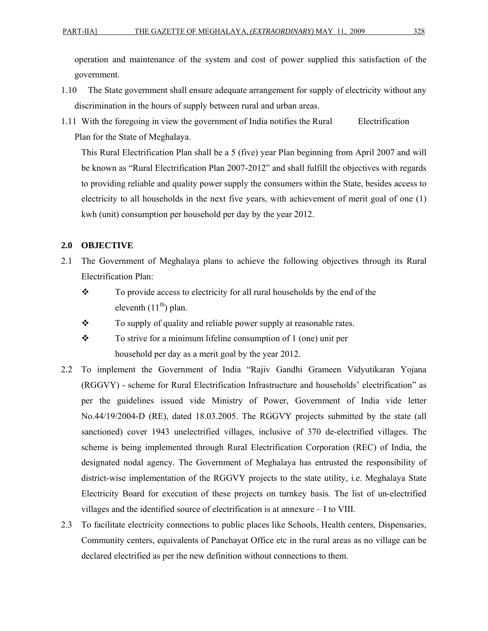operation and maintenance of the system and cost of power supplied this satisfaction of the government.

- 1.10 The State government shall ensure adequate arrangement for supply of electricity without any discrimination in the hours of supply between rural and urban areas.
- 1.11 With the foregoing in view the government of India notifies the Rural Electrification Plan for the State of Meghalaya.

This Rural Electrification Plan shall be a 5 (five) year Plan beginning from April 2007 and will be known as "Rural Electrification Plan 2007-2012" and shall fulfill the objectives with regards to providing reliable and quality power supply the consumers within the State, besides access to electricity to all households in the next five years, with achievement of merit goal of one (1) kwh (unit) consumption per household per day by the year 2012.

#### **2.0 OBJECTIVE**

- 2.1 The Government of Meghalaya plans to achieve the following objectives through its Rural Electrification Plan:
	- \* To provide access to electricity for all rural households by the end of the eleventh  $(11<sup>th</sup>)$  plan.
	- To supply of quality and reliable power supply at reasonable rates.
	- $\mathbf{\hat{P}}$  To strive for a minimum lifeline consumption of 1 (one) unit per household per day as a merit goal by the year 2012.
- 2.2 To implement the Government of India "Rajiv Gandhi Grameen Vidyutikaran Yojana (RGGVY) - scheme for Rural Electrification Infrastructure and households' electrification" as per the guidelines issued vide Ministry of Power, Government of India vide letter No.44/19/2004-D (RE), dated 18.03.2005. The RGGVY projects submitted by the state (all sanctioned) cover 1943 unelectrified villages, inclusive of 370 de-electrified villages. The scheme is being implemented through Rural Electrification Corporation (REC) of India, the designated nodal agency. The Government of Meghalaya has entrusted the responsibility of district-wise implementation of the RGGVY projects to the state utility, i.e. Meghalaya State Electricity Board for execution of these projects on turnkey basis. The list of un-electrified villages and the identified source of electrification is at annexure – I to VIII.
- 2.3 To facilitate electricity connections to public places like Schools, Health centers, Dispensaries, Community centers, equivalents of Panchayat Office etc in the rural areas as no village can be declared electrified as per the new definition without connections to them.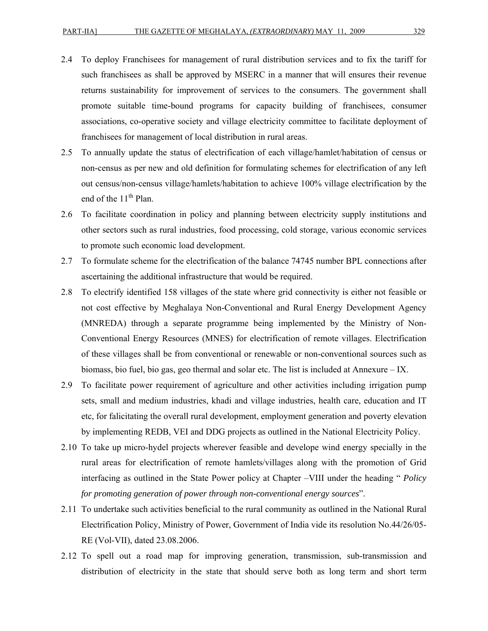- 2.4 To deploy Franchisees for management of rural distribution services and to fix the tariff for such franchisees as shall be approved by MSERC in a manner that will ensures their revenue returns sustainability for improvement of services to the consumers. The government shall promote suitable time-bound programs for capacity building of franchisees, consumer associations, co-operative society and village electricity committee to facilitate deployment of franchisees for management of local distribution in rural areas.
- 2.5 To annually update the status of electrification of each village/hamlet/habitation of census or non-census as per new and old definition for formulating schemes for electrification of any left out census/non-census village/hamlets/habitation to achieve 100% village electrification by the end of the  $11<sup>th</sup>$  Plan.
- 2.6 To facilitate coordination in policy and planning between electricity supply institutions and other sectors such as rural industries, food processing, cold storage, various economic services to promote such economic load development.
- 2.7 To formulate scheme for the electrification of the balance 74745 number BPL connections after ascertaining the additional infrastructure that would be required.
- 2.8 To electrify identified 158 villages of the state where grid connectivity is either not feasible or not cost effective by Meghalaya Non-Conventional and Rural Energy Development Agency (MNREDA) through a separate programme being implemented by the Ministry of Non-Conventional Energy Resources (MNES) for electrification of remote villages. Electrification of these villages shall be from conventional or renewable or non-conventional sources such as biomass, bio fuel, bio gas, geo thermal and solar etc. The list is included at Annexure – IX.
- 2.9 To facilitate power requirement of agriculture and other activities including irrigation pump sets, small and medium industries, khadi and village industries, health care, education and IT etc, for falicitating the overall rural development, employment generation and poverty elevation by implementing REDB, VEI and DDG projects as outlined in the National Electricity Policy.
- 2.10 To take up micro-hydel projects wherever feasible and develope wind energy specially in the rural areas for electrification of remote hamlets/villages along with the promotion of Grid interfacing as outlined in the State Power policy at Chapter –VIII under the heading " *Policy for promoting generation of power through non-conventional energy sources*".
- 2.11 To undertake such activities beneficial to the rural community as outlined in the National Rural Electrification Policy, Ministry of Power, Government of India vide its resolution No.44/26/05- RE (Vol-VII), dated 23.08.2006.
- 2.12 To spell out a road map for improving generation, transmission, sub-transmission and distribution of electricity in the state that should serve both as long term and short term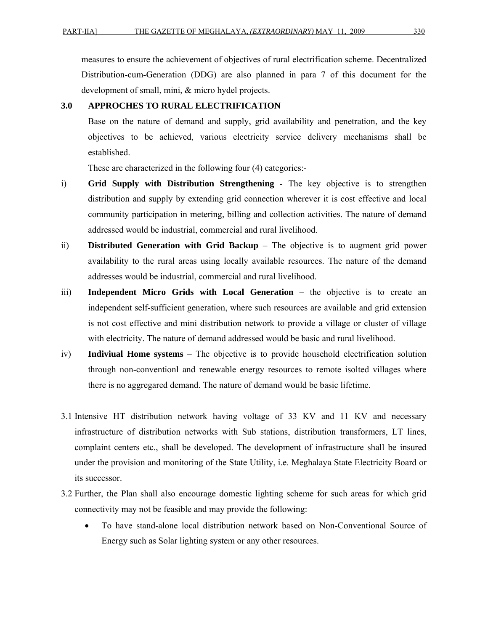measures to ensure the achievement of objectives of rural electrification scheme. Decentralized Distribution-cum-Generation (DDG) are also planned in para 7 of this document for the development of small, mini, & micro hydel projects.

#### **3.0 APPROCHES TO RURAL ELECTRIFICATION**

Base on the nature of demand and supply, grid availability and penetration, and the key objectives to be achieved, various electricity service delivery mechanisms shall be established.

These are characterized in the following four (4) categories:-

- i) **Grid Supply with Distribution Strengthening** The key objective is to strengthen distribution and supply by extending grid connection wherever it is cost effective and local community participation in metering, billing and collection activities. The nature of demand addressed would be industrial, commercial and rural livelihood.
- ii) **Distributed Generation with Grid Backup** The objective is to augment grid power availability to the rural areas using locally available resources. The nature of the demand addresses would be industrial, commercial and rural livelihood.
- iii) **Independent Micro Grids with Local Generation** the objective is to create an independent self-sufficient generation, where such resources are available and grid extension is not cost effective and mini distribution network to provide a village or cluster of village with electricity. The nature of demand addressed would be basic and rural livelihood.
- iv) **Indiviual Home systems** The objective is to provide household electrification solution through non-conventionl and renewable energy resources to remote isolted villages where there is no aggregared demand. The nature of demand would be basic lifetime.
- 3.1 Intensive HT distribution network having voltage of 33 KV and 11 KV and necessary infrastructure of distribution networks with Sub stations, distribution transformers, LT lines, complaint centers etc., shall be developed. The development of infrastructure shall be insured under the provision and monitoring of the State Utility, i.e. Meghalaya State Electricity Board or its successor.
- 3.2 Further, the Plan shall also encourage domestic lighting scheme for such areas for which grid connectivity may not be feasible and may provide the following:
	- To have stand-alone local distribution network based on Non-Conventional Source of Energy such as Solar lighting system or any other resources.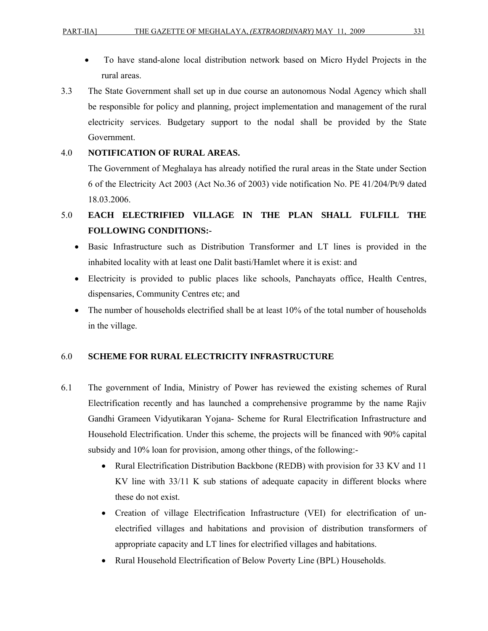- To have stand-alone local distribution network based on Micro Hydel Projects in the rural areas.
- 3.3 The State Government shall set up in due course an autonomous Nodal Agency which shall be responsible for policy and planning, project implementation and management of the rural electricity services. Budgetary support to the nodal shall be provided by the State Government.

#### 4.0 **NOTIFICATION OF RURAL AREAS.**

The Government of Meghalaya has already notified the rural areas in the State under Section 6 of the Electricity Act 2003 (Act No.36 of 2003) vide notification No. PE 41/204/Pt/9 dated 18.03.2006.

# 5.0 **EACH ELECTRIFIED VILLAGE IN THE PLAN SHALL FULFILL THE FOLLOWING CONDITIONS:-**

- Basic Infrastructure such as Distribution Transformer and LT lines is provided in the inhabited locality with at least one Dalit basti/Hamlet where it is exist: and
- Electricity is provided to public places like schools, Panchayats office, Health Centres, dispensaries, Community Centres etc; and
- The number of households electrified shall be at least 10% of the total number of households in the village.

#### 6.0 **SCHEME FOR RURAL ELECTRICITY INFRASTRUCTURE**

- 6.1 The government of India, Ministry of Power has reviewed the existing schemes of Rural Electrification recently and has launched a comprehensive programme by the name Rajiv Gandhi Grameen Vidyutikaran Yojana- Scheme for Rural Electrification Infrastructure and Household Electrification. Under this scheme, the projects will be financed with 90% capital subsidy and 10% loan for provision, among other things, of the following:-
	- Rural Electrification Distribution Backbone (REDB) with provision for 33 KV and 11 KV line with 33/11 K sub stations of adequate capacity in different blocks where these do not exist.
	- Creation of village Electrification Infrastructure (VEI) for electrification of unelectrified villages and habitations and provision of distribution transformers of appropriate capacity and LT lines for electrified villages and habitations.
	- Rural Household Electrification of Below Poverty Line (BPL) Households.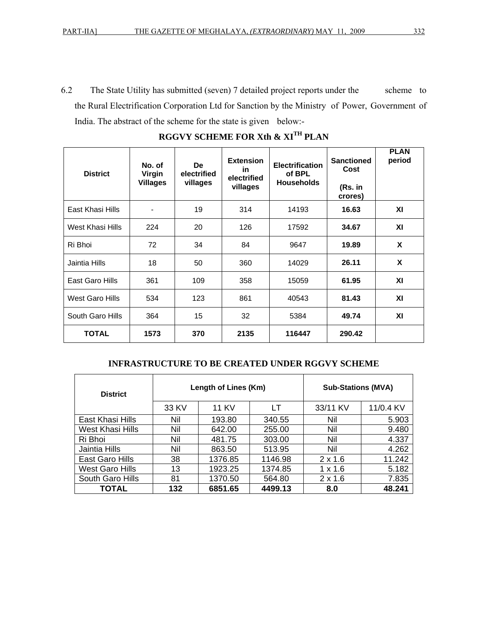6.2 The State Utility has submitted (seven) 7 detailed project reports under the scheme to the Rural Electrification Corporation Ltd for Sanction by the Ministry of Power, Government of India. The abstract of the scheme for the state is given below:-

| <b>District</b>  | No. of<br>Virgin             | <b>De</b><br>electrified | <b>Extension</b><br>in.<br>electrified | <b>Electrification</b><br>of BPL | <b>Sanctioned</b><br>Cost | <b>PLAN</b><br>period |
|------------------|------------------------------|--------------------------|----------------------------------------|----------------------------------|---------------------------|-----------------------|
|                  | <b>Villages</b>              | villages                 | villages                               | <b>Households</b>                | (Rs. in<br>crores)        |                       |
| East Khasi Hills | $\qquad \qquad \blacksquare$ | 19                       | 314                                    | 14193                            | 16.63                     | XI                    |
| West Khasi Hills | 224                          | 20                       | 126                                    | 17592                            | 34.67                     | XI                    |
| Ri Bhoi          | 72                           | 34                       | 84                                     | 9647                             | 19.89                     | X                     |
| Jaintia Hills    | 18                           | 50                       | 360                                    | 14029                            | 26.11                     | X                     |
| East Garo Hills  | 361                          | 109                      | 358                                    | 15059                            | 61.95                     | ΧI                    |
| West Garo Hills  | 534                          | 123                      | 861                                    | 40543                            | 81.43                     | XI                    |
| South Garo Hills | 364                          | 15                       | 32                                     | 5384                             | 49.74                     | XI                    |
| <b>TOTAL</b>     | 1573                         | 370                      | 2135                                   | 116447                           | 290.42                    |                       |

**RGGVY SCHEME FOR Xth & XITH PLAN** 

#### **INFRASTRUCTURE TO BE CREATED UNDER RGGVY SCHEME**

| <b>District</b>  |       | Length of Lines (Km) | <b>Sub-Stations (MVA)</b> |                |           |
|------------------|-------|----------------------|---------------------------|----------------|-----------|
|                  | 33 KV | <b>11 KV</b>         | LT                        | 33/11 KV       | 11/0.4 KV |
| East Khasi Hills | Nil   | 193.80               | 340.55                    | Nil            | 5.903     |
| West Khasi Hills | Nil   | 642.00               | 255.00                    | Nil            | 9.480     |
| Ri Bhoi          | Nil   | 481.75               | 303.00                    | Nil            | 4.337     |
| Jaintia Hills    | Nil   | 863.50               | 513.95                    | Nil            | 4.262     |
| East Garo Hills  | 38    | 1376.85              | 1146.98                   | $2 \times 1.6$ | 11.242    |
| West Garo Hills  | 13    | 1923.25              | 1374.85                   | $1 \times 1.6$ | 5.182     |
| South Garo Hills | 81    | 1370.50              | 564.80                    | $2 \times 1.6$ | 7.835     |
| <b>TOTAL</b>     | 132   | 6851.65              | 4499.13                   | 8.0            | 48.241    |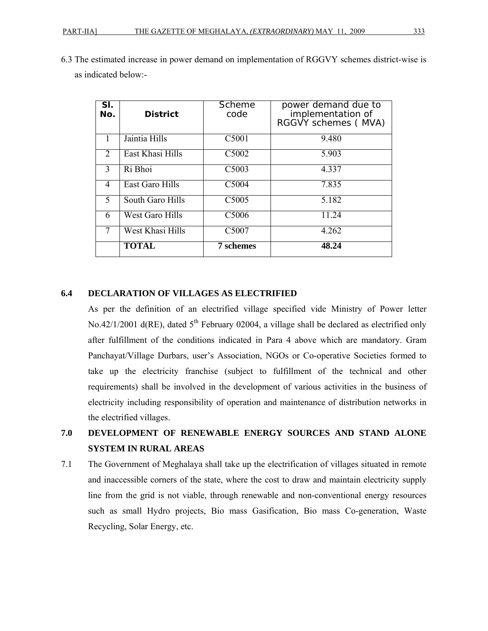| SI.<br>No.     | <b>District</b>        | Scheme<br>code    | power demand due to<br>implementation of<br>RGGVY schemes (MVA) |
|----------------|------------------------|-------------------|-----------------------------------------------------------------|
|                | Jaintia Hills          | C5001             | 9.480                                                           |
| 2              | East Khasi Hills       | C5002             | 5.903                                                           |
| 3              | Ri Bhoi                | C5003             | 4.337                                                           |
| $\overline{4}$ | East Garo Hills        | C <sub>5004</sub> | 7.835                                                           |
| 5              | South Garo Hills       | C <sub>5005</sub> | 5.182                                                           |
| 6              | <b>West Garo Hills</b> | C5006             | 11.24                                                           |
|                | West Khasi Hills       | C5007             | 4.262                                                           |
|                | <b>TOTAL</b>           | 7 schemes         | 48.24                                                           |

6.3 The estimated increase in power demand on implementation of RGGVY schemes district-wise is as indicated below:-

#### **6.4 DECLARATION OF VILLAGES AS ELECTRIFIED**

As per the definition of an electrified village specified vide Ministry of Power letter No.42/1/2001 d(RE), dated  $5<sup>th</sup>$  February 02004, a village shall be declared as electrified only after fulfillment of the conditions indicated in Para 4 above which are mandatory. Gram Panchayat/Village Durbars, user's Association, NGOs or Co-operative Societies formed to take up the electricity franchise (subject to fulfillment of the technical and other requirements) shall be involved in the development of various activities in the business of electricity including responsibility of operation and maintenance of distribution networks in the electrified villages.

# **7.0 DEVELOPMENT OF RENEWABLE ENERGY SOURCES AND STAND ALONE SYSTEM IN RURAL AREAS**

7.1 The Government of Meghalaya shall take up the electrification of villages situated in remote and inaccessible corners of the state, where the cost to draw and maintain electricity supply line from the grid is not viable, through renewable and non-conventional energy resources such as small Hydro projects, Bio mass Gasification, Bio mass Co-generation, Waste Recycling, Solar Energy, etc.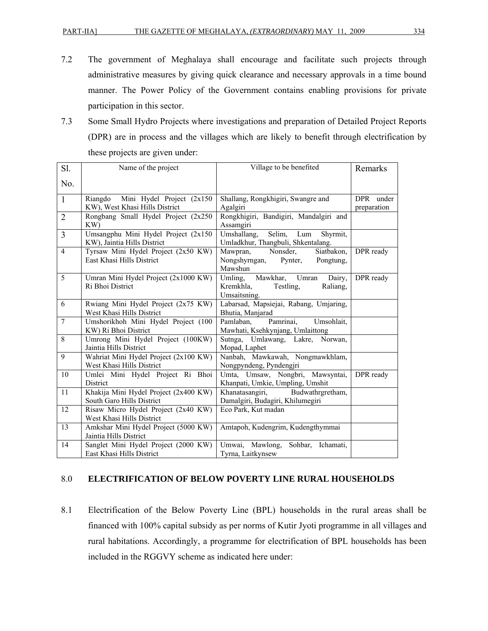- 7.2 The government of Meghalaya shall encourage and facilitate such projects through administrative measures by giving quick clearance and necessary approvals in a time bound manner. The Power Policy of the Government contains enabling provisions for private participation in this sector.
- 7.3 Some Small Hydro Projects where investigations and preparation of Detailed Project Reports (DPR) are in process and the villages which are likely to benefit through electrification by these projects are given under:

| S1.            | Name of the project                                                 | Village to be benefited                                                             | Remarks                  |
|----------------|---------------------------------------------------------------------|-------------------------------------------------------------------------------------|--------------------------|
| No.            |                                                                     |                                                                                     |                          |
| $\mathbf{1}$   | Riangdo Mini Hydel Project (2x150<br>KW), West Khasi Hills District | Shallang, Rongkhigiri, Swangre and<br>Agalgiri                                      | DPR under<br>preparation |
| $\overline{2}$ | Rongbang Small Hydel Project (2x250<br>KW)                          | Rongkhigiri, Bandigiri, Mandalgiri and<br>Assamgiri                                 |                          |
| $\overline{3}$ | Umsangphu Mini Hydel Project (2x150<br>KW), Jaintia Hills District  | Selim, Lum<br>Umshallang,<br>Shyrmit,<br>Umladkhur, Thangbuli, Shkentalang.         |                          |
| $\overline{4}$ | Tyrsaw Mini Hydel Project (2x50 KW)<br>East Khasi Hills District    | Mawpran, Nonsder,<br>Siatbakon,<br>Nongshyrngan, Pynter,<br>Pongtung,<br>Mawshun    | DPR ready                |
| 5              | Umran Mini Hydel Project (2x1000 KW)<br>Ri Bhoi District            | Umling, Mawkhar, Umran Dairy,<br>Kremkhla,<br>Testling,<br>Raliang,<br>Umsaitsning. | DPR ready                |
| 6              | Rwiang Mini Hydel Project (2x75 KW)<br>West Khasi Hills District    | Labarsad, Mapsiejai, Rabang, Umjaring,<br>Bhutia, Manjarad                          |                          |
| $\overline{7}$ | Umshorikhoh Mini Hydel Project (100<br>KW) Ri Bhoi District         | Pamrinai,<br>Pamlaban.<br>Umsohlait,<br>Mawhati, Ksehkynjang, Umlaittong            |                          |
| 8              | Umrong Mini Hydel Project (100KW)<br>Jaintia Hills District         | Sutnga, Umlawang, Lakre, Norwan,<br>Mopad, Laphet                                   |                          |
| 9              | Wahriat Mini Hydel Project (2x100 KW)<br>West Khasi Hills District  | Nanbah, Mawkawah, Nongmawkhlam,<br>Nongpyndeng, Pyndengjri                          |                          |
| 10             | Umlei Mini Hydel Project Ri Bhoi<br>District                        | Umta, Umsaw, Nongbri, Mawsyntai,<br>Khanpati, Umkie, Umpling, Umshit                | DPR ready                |
| 11             | Khakija Mini Hydel Project (2x400 KW)<br>South Garo Hills District  | Khanatasangiri,<br>Budwathrgretham,<br>Damalgiri, Budagiri, Khilumegiri             |                          |
| 12             | Risaw Micro Hydel Project (2x40 KW)<br>West Khasi Hills District    | Eco Park, Kut madan                                                                 |                          |
| 13             | Amkshar Mini Hydel Project (5000 KW)<br>Jaintia Hills District      | Amtapoh, Kudengrim, Kudengthymmai                                                   |                          |
| 14             | Sanglet Mini Hydel Project (2000 KW)<br>East Khasi Hills District   | Umwai, Mawlong,<br>Sohbar, Ichamati,<br>Tyrna, Laitkynsew                           |                          |

#### 8.0 **ELECTRIFICATION OF BELOW POVERTY LINE RURAL HOUSEHOLDS**

8.1 Electrification of the Below Poverty Line (BPL) households in the rural areas shall be financed with 100% capital subsidy as per norms of Kutir Jyoti programme in all villages and rural habitations. Accordingly, a programme for electrification of BPL households has been included in the RGGVY scheme as indicated here under: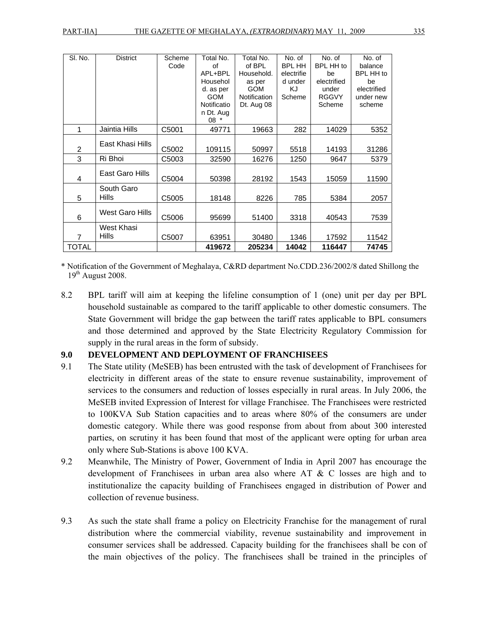| SI. No.        | <b>District</b>            | Scheme<br>Code | Total No.<br>of<br>APL+BPL<br>Househol<br>d. as per<br><b>GOM</b><br>Notificatio<br>n Dt. Aug<br>$08*$ | Total No.<br>of BPL<br>Household.<br>as per<br><b>GOM</b><br>Notification<br>Dt. Aug 08 | No. of<br><b>BPL HH</b><br>electrifie<br>d under<br>KJ<br>Scheme | No. of<br><b>BPL HH to</b><br>be<br>electrified<br>under<br><b>RGGVY</b><br>Scheme | No. of<br>balance<br>BPL HH to<br>be<br>electrified<br>under new<br>scheme |
|----------------|----------------------------|----------------|--------------------------------------------------------------------------------------------------------|-----------------------------------------------------------------------------------------|------------------------------------------------------------------|------------------------------------------------------------------------------------|----------------------------------------------------------------------------|
| 1              | Jaintia Hills              | C5001          | 49771                                                                                                  | 19663                                                                                   | 282                                                              | 14029                                                                              | 5352                                                                       |
| 2              | East Khasi Hills           | C5002          | 109115                                                                                                 | 50997                                                                                   | 5518                                                             | 14193                                                                              | 31286                                                                      |
| 3              | Ri Bhoi                    | C5003          | 32590                                                                                                  | 16276                                                                                   | 1250                                                             | 9647                                                                               | 5379                                                                       |
| 4              | East Garo Hills            | C5004          | 50398                                                                                                  | 28192                                                                                   | 1543                                                             | 15059                                                                              | 11590                                                                      |
| 5              | South Garo<br><b>Hills</b> | C5005          | 18148                                                                                                  | 8226                                                                                    | 785                                                              | 5384                                                                               | 2057                                                                       |
| 6              | West Garo Hills            | C5006          | 95699                                                                                                  | 51400                                                                                   | 3318                                                             | 40543                                                                              | 7539                                                                       |
| $\overline{7}$ | West Khasi<br>Hills        | C5007          | 63951                                                                                                  | 30480                                                                                   | 1346                                                             | 17592                                                                              | 11542                                                                      |
| <b>TOTAL</b>   |                            |                | 419672                                                                                                 | 205234                                                                                  | 14042                                                            | 116447                                                                             | 74745                                                                      |

\* Notification of the Government of Meghalaya, C&RD department No.CDD.236/2002/8 dated Shillong the  $19<sup>th</sup>$  August 2008.

8.2 BPL tariff will aim at keeping the lifeline consumption of 1 (one) unit per day per BPL household sustainable as compared to the tariff applicable to other domestic consumers. The State Government will bridge the gap between the tariff rates applicable to BPL consumers and those determined and approved by the State Electricity Regulatory Commission for supply in the rural areas in the form of subsidy.

#### **9.0 DEVELOPMENT AND DEPLOYMENT OF FRANCHISEES**

- 9.1 The State utility (MeSEB) has been entrusted with the task of development of Franchisees for electricity in different areas of the state to ensure revenue sustainability, improvement of services to the consumers and reduction of losses especially in rural areas. In July 2006, the MeSEB invited Expression of Interest for village Franchisee. The Franchisees were restricted to 100KVA Sub Station capacities and to areas where 80% of the consumers are under domestic category. While there was good response from about from about 300 interested parties, on scrutiny it has been found that most of the applicant were opting for urban area only where Sub-Stations is above 100 KVA.
- 9.2 Meanwhile, The Ministry of Power, Government of India in April 2007 has encourage the development of Franchisees in urban area also where AT & C losses are high and to institutionalize the capacity building of Franchisees engaged in distribution of Power and collection of revenue business.
- 9.3 As such the state shall frame a policy on Electricity Franchise for the management of rural distribution where the commercial viability, revenue sustainability and improvement in consumer services shall be addressed. Capacity building for the franchisees shall be con of the main objectives of the policy. The franchisees shall be trained in the principles of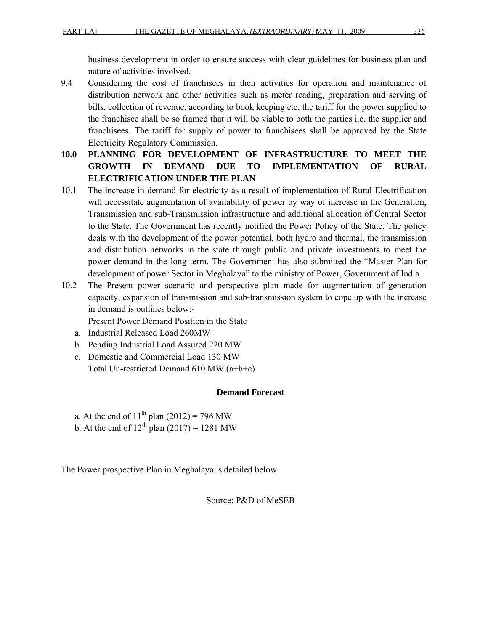business development in order to ensure success with clear guidelines for business plan and nature of activities involved.

- 9.4 Considering the cost of franchisees in their activities for operation and maintenance of distribution network and other activities such as meter reading, preparation and serving of bills, collection of revenue, according to book keeping etc, the tariff for the power supplied to the franchisee shall be so framed that it will be viable to both the parties i.e. the supplier and franchisees. The tariff for supply of power to franchisees shall be approved by the State Electricity Regulatory Commission.
- **10.0 PLANNING FOR DEVELOPMENT OF INFRASTRUCTURE TO MEET THE GROWTH IN DEMAND DUE TO IMPLEMENTATION OF RURAL ELECTRIFICATION UNDER THE PLAN**
- 10.1 The increase in demand for electricity as a result of implementation of Rural Electrification will necessitate augmentation of availability of power by way of increase in the Generation, Transmission and sub-Transmission infrastructure and additional allocation of Central Sector to the State. The Government has recently notified the Power Policy of the State. The policy deals with the development of the power potential, both hydro and thermal, the transmission and distribution networks in the state through public and private investments to meet the power demand in the long term. The Government has also submitted the "Master Plan for development of power Sector in Meghalaya" to the ministry of Power, Government of India.
- 10.2 The Present power scenario and perspective plan made for augmentation of generation capacity, expansion of transmission and sub-transmission system to cope up with the increase in demand is outlines below:-

Present Power Demand Position in the State

- a. Industrial Released Load 260MW
- b. Pending Industrial Load Assured 220 MW
- c. Domestic and Commercial Load 130 MW Total Un-restricted Demand 610 MW (a+b+c)

#### **Demand Forecast**

a. At the end of  $11^{th}$  plan (2012) = 796 MW b. At the end of  $12^{th}$  plan (2017) = 1281 MW

The Power prospective Plan in Meghalaya is detailed below:

Source: P&D of MeSEB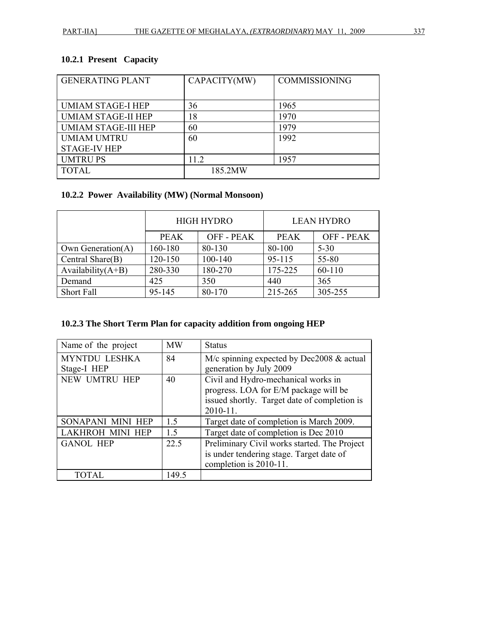## **10.2.1 Present Capacity**

| <b>GENERATING PLANT</b>    | CAPACITY(MW) | <b>COMMISSIONING</b> |
|----------------------------|--------------|----------------------|
|                            |              |                      |
| <b>UMIAM STAGE-I HEP</b>   | 36           | 1965                 |
| UMIAM STAGE-II HEP         | 18           | 1970                 |
| <b>UMIAM STAGE-III HEP</b> | 60           | 1979                 |
| <b>UMIAM UMTRU</b>         | 60           | 1992                 |
| <b>STAGE-IV HEP</b>        |              |                      |
| <b>UMTRUPS</b>             | 11.2         | 1957                 |
| <b>TOTAL</b>               | 185.2MW      |                      |

#### **10.2.2 Power Availability (MW) (Normal Monsoon)**

|                      |             | <b>HIGH HYDRO</b> | <b>LEAN HYDRO</b> |                 |  |
|----------------------|-------------|-------------------|-------------------|-----------------|--|
|                      | <b>PEAK</b> | OFF - PEAK        | <b>PEAK</b>       | <b>OFF-PEAK</b> |  |
| Own Generation(A)    | 160-180     | 80-130            | 80-100            | $5 - 30$        |  |
| Central Share(B)     | 120-150     | 100-140           | 95-115            | 55-80           |  |
| Availability $(A+B)$ | 280-330     | 180-270           | 175-225           | 60-110          |  |
| Demand               | 425         | 350               | 440               | 365             |  |
| Short Fall           | 95-145      | 80-170            | 215-265           | 305-255         |  |

#### **10.2.3 The Short Term Plan for capacity addition from ongoing HEP**

| Name of the project     | <b>MW</b> | <b>Status</b>                                |
|-------------------------|-----------|----------------------------------------------|
| MYNTDU LESHKA           | 84        | M/c spinning expected by Dec2008 & actual    |
| Stage-I HEP             |           | generation by July 2009                      |
| NEW UMTRU HEP           | 40        | Civil and Hydro-mechanical works in          |
|                         |           | progress. LOA for E/M package will be        |
|                         |           | issued shortly. Target date of completion is |
|                         |           | $2010 - 11.$                                 |
| SONAPANI MINI HEP       | 1.5       | Target date of completion is March 2009.     |
| <b>LAKHROH MINI HEP</b> | 1.5       | Target date of completion is Dec 2010        |
| <b>GANOL HEP</b>        | 22.5      | Preliminary Civil works started. The Project |
|                         |           | is under tendering stage. Target date of     |
|                         |           | completion is 2010-11.                       |
| <b>TOTAL</b>            | 149.5     |                                              |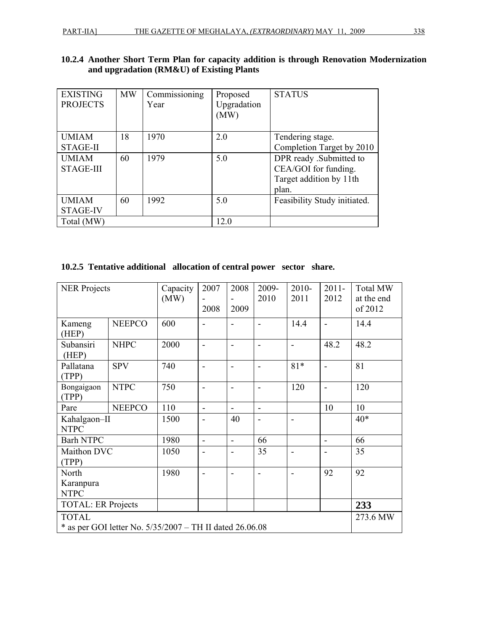|  |  |                                           |  | 10.2.4 Another Short Term Plan for capacity addition is through Renovation Modernization |
|--|--|-------------------------------------------|--|------------------------------------------------------------------------------------------|
|  |  | and upgradation (RM&U) of Existing Plants |  |                                                                                          |

| <b>EXISTING</b><br><b>PROJECTS</b> | <b>MW</b> | Commissioning<br>Year | Proposed<br>Upgradation<br>(MW) | <b>STATUS</b>                                                                       |
|------------------------------------|-----------|-----------------------|---------------------------------|-------------------------------------------------------------------------------------|
| <b>UMIAM</b><br><b>STAGE-II</b>    | 18        | 1970                  | 2.0                             | Tendering stage.<br>Completion Target by 2010                                       |
| <b>UMIAM</b><br><b>STAGE-III</b>   | 60        | 1979                  | 5.0                             | DPR ready .Submitted to<br>CEA/GOI for funding.<br>Target addition by 11th<br>plan. |
| <b>UMIAM</b><br><b>STAGE-IV</b>    | 60        | 1992                  | 5.0                             | Feasibility Study initiated.                                                        |
| Total (MW)                         |           |                       | 12.0                            |                                                                                     |

| 10.2.5 Tentative additional allocation of central power sector share. |  |  |
|-----------------------------------------------------------------------|--|--|
|                                                                       |  |  |

| <b>NER Projects</b>                                                        |               | Capacity<br>(MW) | 2007           | 2008                     | 2009-<br>2010            | $2010 -$<br>2011             | $2011 -$<br>2012             | <b>Total MW</b><br>at the end |
|----------------------------------------------------------------------------|---------------|------------------|----------------|--------------------------|--------------------------|------------------------------|------------------------------|-------------------------------|
|                                                                            |               |                  | 2008           | 2009                     |                          |                              |                              | of 2012                       |
| Kameng<br>(HEP)                                                            | <b>NEEPCO</b> | 600              |                | $\blacksquare$           |                          | 14.4                         | $\blacksquare$               | 14.4                          |
| Subansiri<br>(HEP)                                                         | <b>NHPC</b>   | 2000             |                | $\overline{\phantom{0}}$ |                          | $\blacksquare$               | 48.2                         | 48.2                          |
| Pallatana<br>(TPP)                                                         | <b>SPV</b>    | 740              |                | $\overline{\phantom{0}}$ |                          | $81*$                        | $\overline{\phantom{0}}$     | 81                            |
| Bongaigaon<br>(TPP)                                                        | <b>NTPC</b>   | 750              | $\blacksquare$ | $\blacksquare$           | $\overline{\phantom{0}}$ | 120                          | $\qquad \qquad \blacksquare$ | 120                           |
| Pare                                                                       | <b>NEEPCO</b> | 110              | $\blacksquare$ | $\overline{\phantom{a}}$ | $\blacksquare$           |                              | 10                           | 10                            |
| Kahalgaon-II<br><b>NTPC</b>                                                |               | 1500             |                | 40                       |                          | $\qquad \qquad \blacksquare$ |                              | $40*$                         |
| <b>Barh NTPC</b>                                                           |               | 1980             | $\blacksquare$ | $\overline{\phantom{a}}$ | 66                       |                              | $\qquad \qquad \blacksquare$ | 66                            |
| Maithon DVC<br>(TPP)                                                       |               | 1050             | $\blacksquare$ | $\overline{\phantom{0}}$ | 35                       | $\blacksquare$               | $\qquad \qquad \blacksquare$ | 35                            |
| North<br>Karanpura                                                         |               | 1980             |                | $\overline{\phantom{0}}$ |                          |                              | 92                           | 92                            |
| <b>NTPC</b>                                                                |               |                  |                |                          |                          |                              |                              |                               |
| <b>TOTAL: ER Projects</b>                                                  |               |                  |                |                          |                          |                              |                              | 233                           |
| <b>TOTAL</b><br>* as per GOI letter No. $5/35/2007 - TH$ II dated 26.06.08 |               |                  |                |                          |                          |                              | 273.6 MW                     |                               |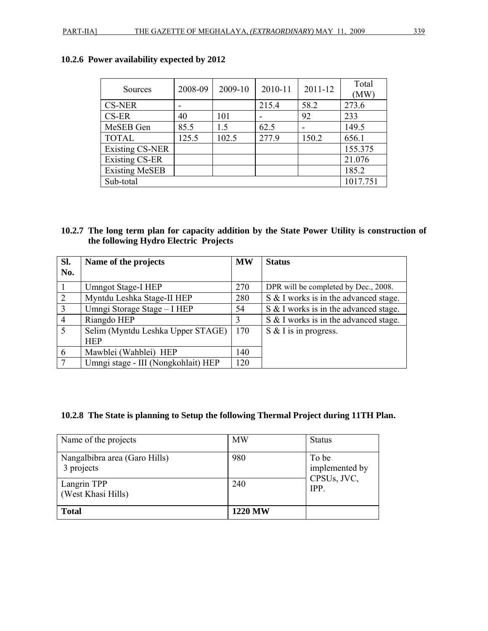| <b>Sources</b>         | 2008-09 | 2009-10 | 2010-11 | 2011-12 | Total<br>(MW) |  |
|------------------------|---------|---------|---------|---------|---------------|--|
| <b>CS-NER</b>          |         |         | 215.4   | 58.2    | 273.6         |  |
| CS-ER                  | 40      | 101     |         | 92      | 233           |  |
| MeSEB Gen              | 85.5    | 1.5     | 62.5    |         | 149.5         |  |
| <b>TOTAL</b>           | 125.5   | 102.5   | 277.9   | 150.2   | 656.1         |  |
| <b>Existing CS-NER</b> |         |         |         |         | 155.375       |  |
| Existing CS-ER         |         |         |         |         | 21.076        |  |
| <b>Existing MeSEB</b>  |         |         |         |         | 185.2         |  |
| 1017.751<br>Sub-total  |         |         |         |         |               |  |

### **10.2.6 Power availability expected by 2012**

#### **10.2.7 The long term plan for capacity addition by the State Power Utility is construction of the following Hydro Electric Projects**

| SI.            | Name of the projects                | <b>MW</b> | <b>Status</b>                         |
|----------------|-------------------------------------|-----------|---------------------------------------|
| No.            |                                     |           |                                       |
| $\overline{1}$ | Umngot Stage-I HEP                  | 270       | DPR will be completed by Dec., 2008.  |
| $\overline{2}$ | Myntdu Leshka Stage-II HEP          | 280       | S & I works is in the advanced stage. |
| $\overline{3}$ | Umngi Storage Stage - I HEP         | 54        | S & I works is in the advanced stage. |
| $\overline{4}$ | Riangdo HEP                         | 3         | S & I works is in the advanced stage. |
| $\overline{5}$ | Selim (Myntdu Leshka Upper STAGE)   | 170       | S & I is in progress.                 |
|                | <b>HEP</b>                          |           |                                       |
| 6              | Mawblei (Wahblei) HEP               | 140       |                                       |
| $\overline{7}$ | Umngi stage - III (Nongkohlait) HEP | 120       |                                       |

#### **10.2.8 The State is planning to Setup the following Thermal Project during 11TH Plan.**

| Name of the projects                        | <b>MW</b>      | <b>Status</b>           |
|---------------------------------------------|----------------|-------------------------|
| Nangalbibra area (Garo Hills)<br>3 projects | 980            | To be<br>implemented by |
| Langrin TPP<br>(West Khasi Hills)           | 240            | CPSUs, JVC,<br>IPP.     |
| <b>Total</b>                                | <b>1220 MW</b> |                         |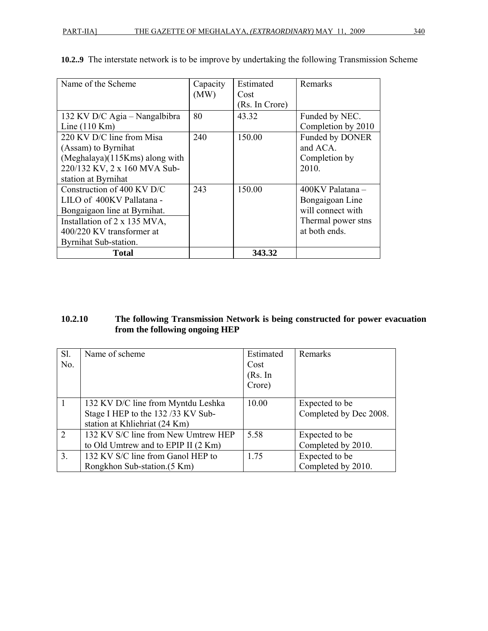| Name of the Scheme               | Capacity | Estimated      | Remarks                |
|----------------------------------|----------|----------------|------------------------|
|                                  | (MW)     | Cost           |                        |
|                                  |          | (Rs. In Crore) |                        |
| 132 KV D/C Agia – Nangalbibra    | 80       | 43.32          | Funded by NEC.         |
| Line $(110$ Km)                  |          |                | Completion by 2010     |
| 220 KV D/C line from Misa        | 240      | 150.00         | <b>Funded by DONER</b> |
| (Assam) to Byrnihat              |          |                | and ACA.               |
| $(Meghalaya)(115Kms)$ along with |          |                | Completion by          |
| 220/132 KV, 2 x 160 MVA Sub-     |          |                | 2010.                  |
| station at Byrnihat              |          |                |                        |
| Construction of 400 KV D/C       | 243      | 150.00         | 400KV Palatana –       |
| LILO of 400KV Pallatana -        |          |                | Bongaigoan Line        |
| Bongaigaon line at Byrnihat.     |          |                | will connect with      |
| Installation of 2 x 135 MVA,     |          |                | Thermal power stns     |
| 400/220 KV transformer at        |          |                | at both ends.          |
| Byrnihat Sub-station.            |          |                |                        |
| Total                            |          | 343.32         |                        |

**10.2..9** The interstate network is to be improve by undertaking the following Transmission Scheme

#### **10.2.10 The following Transmission Network is being constructed for power evacuation from the following ongoing HEP**

| $S1$ . | Name of scheme                      | Estimated | Remarks                |
|--------|-------------------------------------|-----------|------------------------|
|        |                                     |           |                        |
| No.    |                                     | Cost      |                        |
|        |                                     | (Rs. In   |                        |
|        |                                     | Crore)    |                        |
|        |                                     |           |                        |
|        | 132 KV D/C line from Myntdu Leshka  | 10.00     | Expected to be         |
|        | Stage I HEP to the 132/33 KV Sub-   |           | Completed by Dec 2008. |
|        | station at Khliehriat (24 Km)       |           |                        |
| 2      | 132 KV S/C line from New Umtrew HEP | 5.58      | Expected to be         |
|        | to Old Umtrew and to EPIP II (2 Km) |           | Completed by 2010.     |
| 3.     | 132 KV S/C line from Ganol HEP to   | 1.75      | Expected to be         |
|        | Rongkhon Sub-station. (5 Km)        |           | Completed by 2010.     |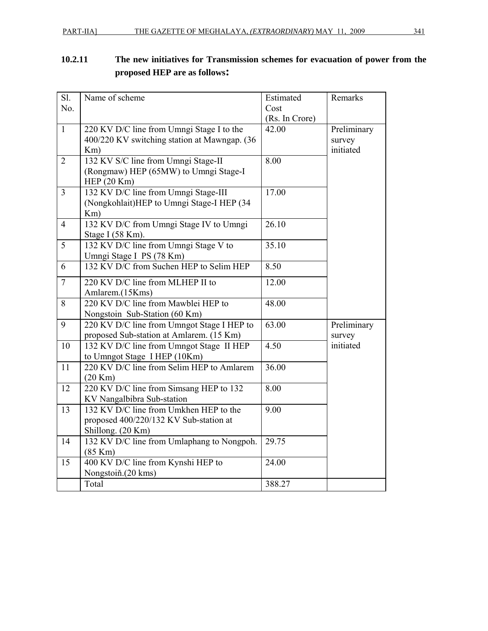# **10.2.11 The new initiatives for Transmission schemes for evacuation of power from the proposed HEP are as follows:**

| Sl.            | Name of scheme                               | Estimated      | Remarks     |
|----------------|----------------------------------------------|----------------|-------------|
| No.            |                                              | Cost           |             |
|                |                                              | (Rs. In Crore) |             |
| $\overline{1}$ | 220 KV D/C line from Umngi Stage I to the    | 42.00          | Preliminary |
|                | 400/220 KV switching station at Mawngap. (36 |                | survey      |
|                | Km)                                          |                | initiated   |
| $\overline{2}$ | 132 KV S/C line from Umngi Stage-II          | 8.00           |             |
|                | (Rongmaw) HEP (65MW) to Umngi Stage-I        |                |             |
|                | HEP $(20$ Km $)$                             |                |             |
| $\overline{3}$ | 132 KV D/C line from Umngi Stage-III         | 17.00          |             |
|                | (Nongkohlait)HEP to Umngi Stage-I HEP (34    |                |             |
|                | Km)                                          |                |             |
| $\overline{4}$ | 132 KV D/C from Umngi Stage IV to Umngi      | 26.10          |             |
|                | Stage I (58 Km).                             |                |             |
| 5              | 132 KV D/C line from Umngi Stage V to        | 35.10          |             |
|                | Umngi Stage I PS (78 Km)                     |                |             |
| 6              | 132 KV D/C from Suchen HEP to Selim HEP      | 8.50           |             |
| $\overline{7}$ | 220 KV D/C line from MLHEP II to             | 12.00          |             |
|                | Amlarem.(15Kms)                              |                |             |
| 8              | 220 KV D/C line from Mawblei HEP to          | 48.00          |             |
|                | Nongstoin Sub-Station (60 Km)                |                |             |
| 9              | 220 KV D/C line from Umngot Stage I HEP to   | 63.00          | Preliminary |
|                | proposed Sub-station at Amlarem. (15 Km)     |                | survey      |
| 10             | 132 KV D/C line from Umngot Stage II HEP     | 4.50           | initiated   |
|                | to Umngot Stage I HEP (10Km)                 |                |             |
| 11             | 220 KV D/C line from Selim HEP to Amlarem    | 36.00          |             |
|                | (20 Km)                                      |                |             |
| 12             | 220 KV D/C line from Simsang HEP to 132      | 8.00           |             |
|                | KV Nangalbibra Sub-station                   |                |             |
| 13             | 132 KV D/C line from Umkhen HEP to the       | 9.00           |             |
|                | proposed 400/220/132 KV Sub-station at       |                |             |
|                | Shillong. (20 Km)                            |                |             |
| 14             | 132 KV D/C line from Umlaphang to Nongpoh.   | 29.75          |             |
|                | $(85$ Km $)$                                 |                |             |
| 15             | 400 KV D/C line from Kynshi HEP to           | 24.00          |             |
|                | Nongstoiň.(20 kms)                           |                |             |
|                | Total                                        | 388.27         |             |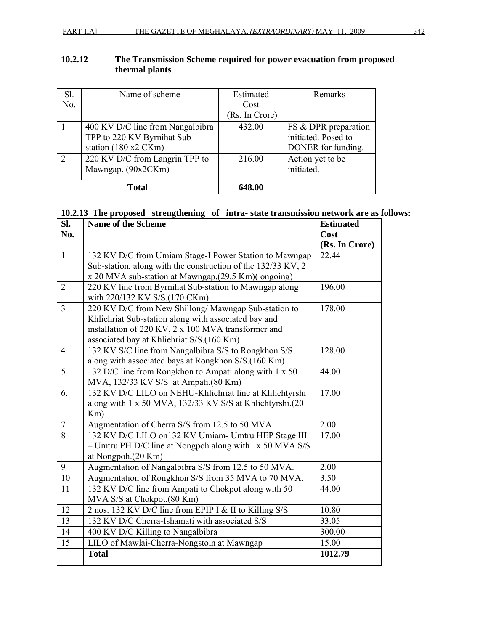| 10.2.12 | The Transmission Scheme required for power evacuation from proposed |
|---------|---------------------------------------------------------------------|
|         | thermal plants                                                      |

| Sl. | Name of scheme                   | Estimated      | Remarks              |
|-----|----------------------------------|----------------|----------------------|
| No. |                                  | Cost           |                      |
|     |                                  | (Rs. In Crore) |                      |
|     | 400 KV D/C line from Nangalbibra | 432.00         | FS & DPR preparation |
|     | TPP to 220 KV Byrnihat Sub-      |                | initiated. Posed to  |
|     | station $(180 x2 CKm)$           |                | DONER for funding.   |
| 2   | 220 KV D/C from Langrin TPP to   | 216.00         | Action yet to be     |
|     | Mawngap. (90x2CKm)               |                | initiated.           |
|     |                                  |                |                      |
|     | <b>Total</b>                     | 648.00         |                      |

#### **10.2.13 The proposed strengthening of intra- state transmission network are as follows:**

| SI.                      | <b>Name of the Scheme</b>                                    | <b>Estimated</b> |
|--------------------------|--------------------------------------------------------------|------------------|
| No.                      |                                                              | Cost             |
|                          |                                                              | (Rs. In Crore)   |
| $\mathbf{1}$             | 132 KV D/C from Umiam Stage-I Power Station to Mawngap       | 22.44            |
|                          | Sub-station, along with the construction of the 132/33 KV, 2 |                  |
|                          | x 20 MVA sub-station at Mawngap.(29.5 Km)(ongoing)           |                  |
| $\overline{2}$           | 220 KV line from Byrnihat Sub-station to Mawngap along       | 196.00           |
|                          | with 220/132 KV S/S.(170 CKm)                                |                  |
| $\overline{3}$           | 220 KV D/C from New Shillong/ Mawngap Sub-station to         | 178.00           |
|                          | Khliehriat Sub-station along with associated bay and         |                  |
|                          | installation of 220 KV, 2 x 100 MVA transformer and          |                  |
|                          | associated bay at Khliehriat S/S.(160 Km)                    |                  |
| $\overline{4}$           | 132 KV S/C line from Nangalbibra S/S to Rongkhon S/S         | 128.00           |
|                          | along with associated bays at Rongkhon S/S.(160 Km)          |                  |
| 5                        | 132 D/C line from Rongkhon to Ampati along with 1 x 50       | 44.00            |
|                          | MVA, 132/33 KV S/S at Ampati.(80 Km)                         |                  |
| 6.                       | 132 KV D/C LILO on NEHU-Khliehriat line at Khliehtyrshi      | 17.00            |
|                          | along with 1 x 50 MVA, 132/33 KV S/S at Khliehtyrshi.(20     |                  |
|                          | Km)                                                          |                  |
| $\tau$<br>$\overline{8}$ | Augmentation of Cherra S/S from 12.5 to 50 MVA.              | 2.00             |
|                          | 132 KV D/C LILO on132 KV Umiam- Umtru HEP Stage III          | 17.00            |
|                          | $-$ Umtru PH D/C line at Nongpoh along with $x$ 50 MVA S/S   |                  |
| 9                        | at Nongpoh.(20 Km)                                           |                  |
|                          | Augmentation of Nangalbibra S/S from 12.5 to 50 MVA.         | 2.00             |
| $10\,$                   | Augmentation of Rongkhon S/S from 35 MVA to 70 MVA.          | 3.50             |
| 11                       | 132 KV D/C line from Ampati to Chokpot along with 50         | 44.00            |
|                          | MVA S/S at Chokpot.(80 Km)                                   |                  |
| 12                       | 2 nos. 132 KV D/C line from EPIP I & II to Killing S/S       | 10.80            |
| 13                       | 132 KV D/C Cherra-Ishamati with associated S/S               | 33.05            |
| 14                       | 400 KV D/C Killing to Nangalbibra                            | 300.00           |
| 15                       | LILO of Mawlai-Cherra-Nongstoin at Mawngap                   | 15.00            |
|                          | <b>Total</b>                                                 | 1012.79          |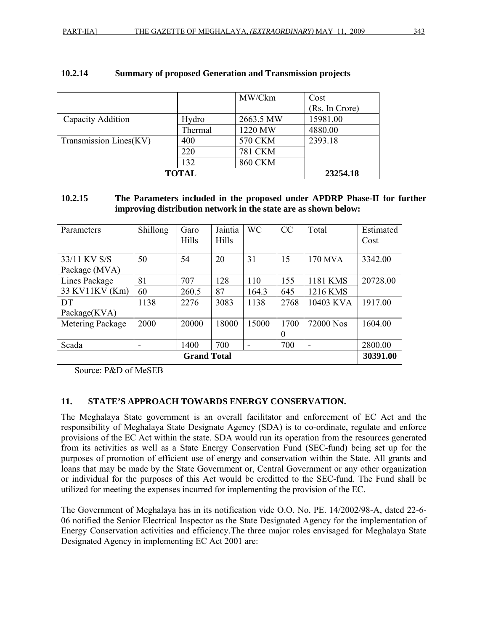|                        |              | MW/Ckm         | Cost           |
|------------------------|--------------|----------------|----------------|
|                        |              |                | (Rs. In Crore) |
| Capacity Addition      | Hydro        | 2663.5 MW      | 15981.00       |
|                        | Thermal      | 1220 MW        | 4880.00        |
| Transmission Lines(KV) | 400          | 570 CKM        | 2393.18        |
|                        | 220          | <b>781 CKM</b> |                |
|                        | 132          | <b>860 CKM</b> |                |
|                        | <b>TOTAL</b> |                | 23254.18       |

#### **10.2.14 Summary of proposed Generation and Transmission projects**

#### **10.2.15 The Parameters included in the proposed under APDRP Phase-II for further improving distribution network in the state are as shown below:**

| Parameters                     | Shillong | Garo  | Jaintia | <b>WC</b>                | CC       | Total                    | Estimated |
|--------------------------------|----------|-------|---------|--------------------------|----------|--------------------------|-----------|
|                                |          | Hills | Hills   |                          |          |                          | Cost      |
|                                |          |       |         |                          |          |                          |           |
| 33/11 KV S/S                   | 50       | 54    | 20      | 31                       | 15       | 170 MVA                  | 3342.00   |
| Package (MVA)                  |          |       |         |                          |          |                          |           |
| Lines Package                  | 81       | 707   | 128     | 110                      | 155      | 1181 KMS                 | 20728.00  |
| 33 KV11KV (Km)                 | 60       | 260.5 | 87      | 164.3                    | 645      | 1216 KMS                 |           |
| DT                             | 1138     | 2276  | 3083    | 1138                     | 2768     | 10403 KVA                | 1917.00   |
| Package(KVA)                   |          |       |         |                          |          |                          |           |
| Metering Package               | 2000     | 20000 | 18000   | 15000                    | 1700     | 72000 Nos                | 1604.00   |
|                                |          |       |         |                          | $\theta$ |                          |           |
| Scada                          |          | 1400  | 700     | $\overline{\phantom{0}}$ | 700      | $\overline{\phantom{a}}$ | 2800.00   |
| 30391.00<br><b>Grand Total</b> |          |       |         |                          |          |                          |           |

Source: P&D of MeSEB

#### **11. STATE'S APPROACH TOWARDS ENERGY CONSERVATION.**

The Meghalaya State government is an overall facilitator and enforcement of EC Act and the responsibility of Meghalaya State Designate Agency (SDA) is to co-ordinate, regulate and enforce provisions of the EC Act within the state. SDA would run its operation from the resources generated from its activities as well as a State Energy Conservation Fund (SEC-fund) being set up for the purposes of promotion of efficient use of energy and conservation within the State. All grants and loans that may be made by the State Government or, Central Government or any other organization or individual for the purposes of this Act would be creditted to the SEC-fund. The Fund shall be utilized for meeting the expenses incurred for implementing the provision of the EC.

The Government of Meghalaya has in its notification vide O.O. No. PE. 14/2002/98-A, dated 22-6- 06 notified the Senior Electrical Inspector as the State Designated Agency for the implementation of Energy Conservation activities and efficiency.The three major roles envisaged for Meghalaya State Designated Agency in implementing EC Act 2001 are: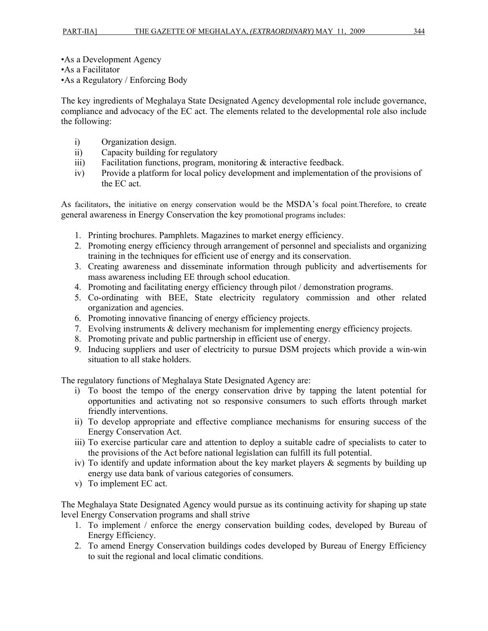•As a Development Agency •As a Facilitator •As a Regulatory / Enforcing Body

The key ingredients of Meghalaya State Designated Agency developmental role include governance, compliance and advocacy of the EC act. The elements related to the developmental role also include the following:

- i) Organization design.
- ii) Capacity building for regulatory
- iii) Facilitation functions, program, monitoring & interactive feedback.
- iv) Provide a platform for local policy development and implementation of the provisions of the EC act.

As facilitators, the initiative on energy conservation would be the MSDA's focal point.Therefore, to create general awareness in Energy Conservation the key promotional programs includes:

- 1. Printing brochures. Pamphlets. Magazines to market energy efficiency.
- 2. Promoting energy efficiency through arrangement of personnel and specialists and organizing training in the techniques for efficient use of energy and its conservation.
- 3. Creating awareness and disseminate information through publicity and advertisements for mass awareness including EE through school education.
- 4. Promoting and facilitating energy efficiency through pilot / demonstration programs.
- 5. Co-ordinating with BEE, State electricity regulatory commission and other related organization and agencies.
- 6. Promoting innovative financing of energy efficiency projects.
- 7. Evolving instruments & delivery mechanism for implementing energy efficiency projects.
- 8. Promoting private and public partnership in efficient use of energy.
- 9. Inducing suppliers and user of electricity to pursue DSM projects which provide a win-win situation to all stake holders.

The regulatory functions of Meghalaya State Designated Agency are:

- i) To boost the tempo of the energy conservation drive by tapping the latent potential for opportunities and activating not so responsive consumers to such efforts through market friendly interventions.
- ii) To develop appropriate and effective compliance mechanisms for ensuring success of the Energy Conservation Act.
- iii) To exercise particular care and attention to deploy a suitable cadre of specialists to cater to the provisions of the Act before national legislation can fulfill its full potential.
- iv) To identify and update information about the key market players  $\&$  segments by building up energy use data bank of various categories of consumers.
- v) To implement EC act.

The Meghalaya State Designated Agency would pursue as its continuing activity for shaping up state level Energy Conservation programs and shall strive

- 1. To implement / enforce the energy conservation building codes, developed by Bureau of Energy Efficiency.
- 2. To amend Energy Conservation buildings codes developed by Bureau of Energy Efficiency to suit the regional and local climatic conditions.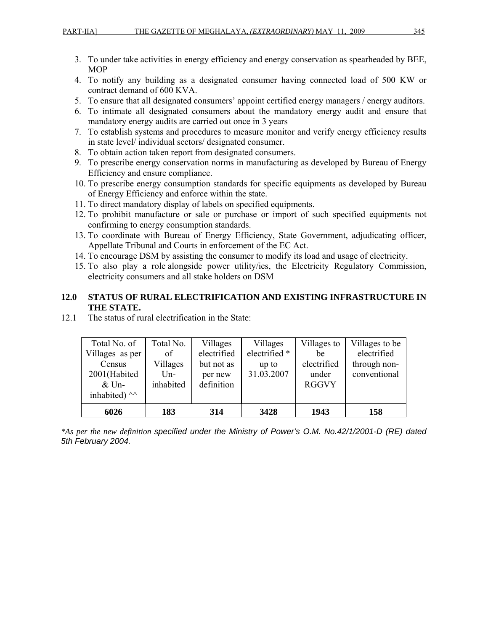- 3. To under take activities in energy efficiency and energy conservation as spearheaded by BEE, MOP
- 4. To notify any building as a designated consumer having connected load of 500 KW or contract demand of 600 KVA.
- 5. To ensure that all designated consumers' appoint certified energy managers / energy auditors.
- 6. To intimate all designated consumers about the mandatory energy audit and ensure that mandatory energy audits are carried out once in 3 years
- 7. To establish systems and procedures to measure monitor and verify energy efficiency results in state level/ individual sectors/ designated consumer.
- 8. To obtain action taken report from designated consumers.
- 9. To prescribe energy conservation norms in manufacturing as developed by Bureau of Energy Efficiency and ensure compliance.
- 10. To prescribe energy consumption standards for specific equipments as developed by Bureau of Energy Efficiency and enforce within the state.
- 11. To direct mandatory display of labels on specified equipments.
- 12. To prohibit manufacture or sale or purchase or import of such specified equipments not confirming to energy consumption standards.
- 13. To coordinate with Bureau of Energy Efficiency, State Government, adjudicating officer, Appellate Tribunal and Courts in enforcement of the EC Act.
- 14. To encourage DSM by assisting the consumer to modify its load and usage of electricity.
- 15. To also play a role alongside power utility/ies, the Electricity Regulatory Commission, electricity consumers and all stake holders on DSM

#### **12.0 STATUS OF RURAL ELECTRIFICATION AND EXISTING INFRASTRUCTURE IN THE STATE.**

| inhabited) $\wedge$<br>6026 | 183              | 314                   | 3428          | 1943                  | 158            |
|-----------------------------|------------------|-----------------------|---------------|-----------------------|----------------|
| 2001(Habited<br>$&$ Un-     | Un-<br>inhabited | per new<br>definition | 31.03.2007    | under<br><b>RGGVY</b> | conventional   |
| Census                      | Villages         | but not as            | up to         | electrified           | through non-   |
| Villages as per             | of               | electrified           | electrified * | be                    | electrified    |
| Total No. of                | Total No.        | Villages              | Villages      | Villages to           | Villages to be |

12.1 The status of rural electrification in the State:

*\*As per the new definition specified under the Ministry of Power's O.M. No.42/1/2001-D (RE) dated 5th February 2004.*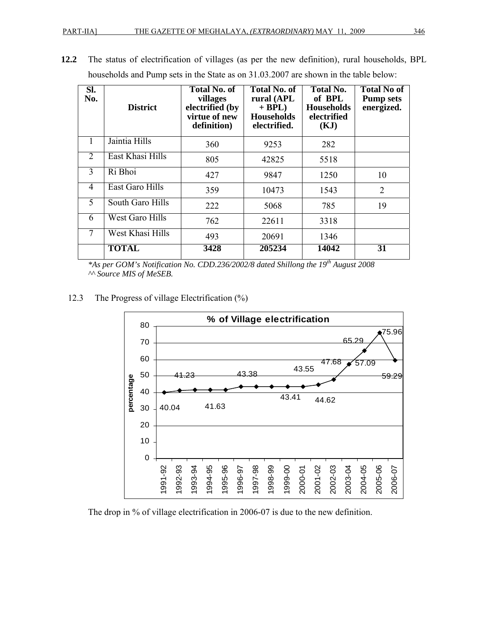| SI.<br>No.     | <b>District</b>  | <b>Total No. of</b><br>villages<br>electrified (by<br>virtue of new<br>definition) | <b>Total No. of</b><br>rural (APL<br>$+$ BPL)<br><b>Households</b><br>electrified. | <b>Total No.</b><br>of BPL<br><b>Households</b><br>electrified<br>(KJ) | <b>Total No of</b><br><b>Pump sets</b><br>energized. |
|----------------|------------------|------------------------------------------------------------------------------------|------------------------------------------------------------------------------------|------------------------------------------------------------------------|------------------------------------------------------|
| 1              | Jaintia Hills    | 360                                                                                | 9253                                                                               | 282                                                                    |                                                      |
| $\overline{2}$ | East Khasi Hills | 805                                                                                | 42825                                                                              | 5518                                                                   |                                                      |
| 3              | Ri Bhoi          | 427                                                                                | 9847                                                                               | 1250                                                                   | 10                                                   |
| 4              | East Garo Hills  | 359                                                                                | 10473                                                                              | 1543                                                                   | $\overline{2}$                                       |
| 5              | South Garo Hills | 222                                                                                | 5068                                                                               | 785                                                                    | 19                                                   |
| 6              | West Garo Hills  | 762                                                                                | 22611                                                                              | 3318                                                                   |                                                      |
| 7              | West Khasi Hills | 493                                                                                | 20691                                                                              | 1346                                                                   |                                                      |
|                | <b>TOTAL</b>     | 3428                                                                               | 205234                                                                             | 14042                                                                  | 31                                                   |

**12.2** The status of electrification of villages (as per the new definition), rural households, BPL households and Pump sets in the State as on 31.03.2007 are shown in the table below:

*\*As per GOM's Notification No. CDD.236/2002/8 dated Shillong the 19th August 2008 ^^ Source MIS of MeSEB.* 

12.3 The Progress of village Electrification (%)



The drop in % of village electrification in 2006-07 is due to the new definition.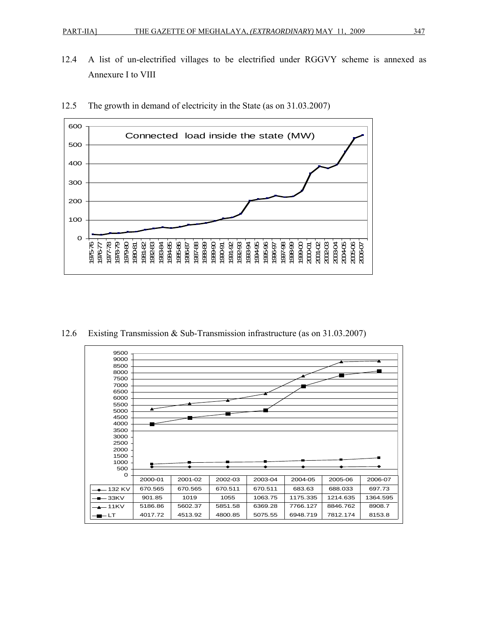12.4 A list of un-electrified villages to be electrified under RGGVY scheme is annexed as Annexure I to VIII



12.5 The growth in demand of electricity in the State (as on 31.03.2007)

12.6 Existing Transmission & Sub-Transmission infrastructure (as on 31.03.2007)

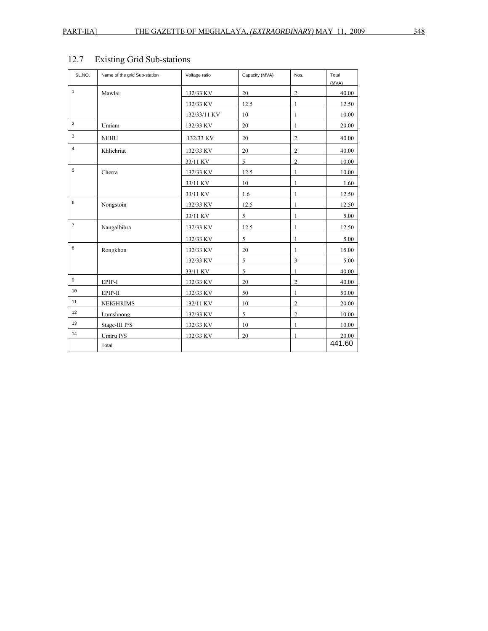| SL.NO.         | Name of the grid Sub-station | Voltage ratio | Capacity (MVA) | Nos.             | Total<br>(MVA) |
|----------------|------------------------------|---------------|----------------|------------------|----------------|
| $\mathbf{1}$   | Mawlai                       | 132/33 KV     | 20             | $\boldsymbol{2}$ | 40.00          |
|                |                              | 132/33 KV     | 12.5           | 1                | 12.50          |
|                |                              | 132/33/11 KV  | 10             | 1                | 10.00          |
| $\overline{2}$ | Umiam                        | 132/33 KV     | 20             | $\mathbf{1}$     | 20.00          |
| 3              | <b>NEHU</b>                  | 132/33 KV     | 20             | $\overline{2}$   | 40.00          |
| $\overline{4}$ | Khliehriat                   | 132/33 KV     | 20             | $\overline{c}$   | 40.00          |
|                |                              | 33/11 KV      | 5              | $\overline{c}$   | 10.00          |
| 5              | Cherra                       | 132/33 KV     | 12.5           | 1                | 10.00          |
|                |                              | 33/11 KV      | 10             | 1                | 1.60           |
|                |                              | 33/11 KV      | 1.6            | 1                | 12.50          |
| 6              | Nongstoin                    | 132/33 KV     | 12.5           | 1                | 12.50          |
|                |                              | 33/11 KV      | 5              | 1                | 5.00           |
| $\overline{7}$ | Nangalbibra                  | 132/33 KV     | 12.5           | $\mathbf{1}$     | 12.50          |
|                |                              | 132/33 KV     | 5              | 1                | 5.00           |
| 8              | Rongkhon                     | 132/33 KV     | 20             | 1                | 15.00          |
|                |                              | 132/33 KV     | 5              | 3                | 5.00           |
|                |                              | 33/11 KV      | 5              | 1                | 40.00          |
| 9              | EPIP-I                       | 132/33 KV     | 20             | $\overline{c}$   | 40.00          |
| 10             | EPIP-II                      | 132/33 KV     | 50             | 1                | 50.00          |
| 11             | <b>NEIGHRIMS</b>             | 132/11 KV     | 10             | $\boldsymbol{2}$ | 20.00          |
| 12             | Lumshnong                    | 132/33 KV     | 5              | $\overline{c}$   | 10.00          |
| 13             | Stage-III P/S                | 132/33 KV     | 10             | 1                | 10.00          |
| 14             | Umtru P/S                    | 132/33 KV     | 20             | 1                | 20.00          |
|                | Total                        |               |                |                  | 441.60         |

# 12.7 Existing Grid Sub-stations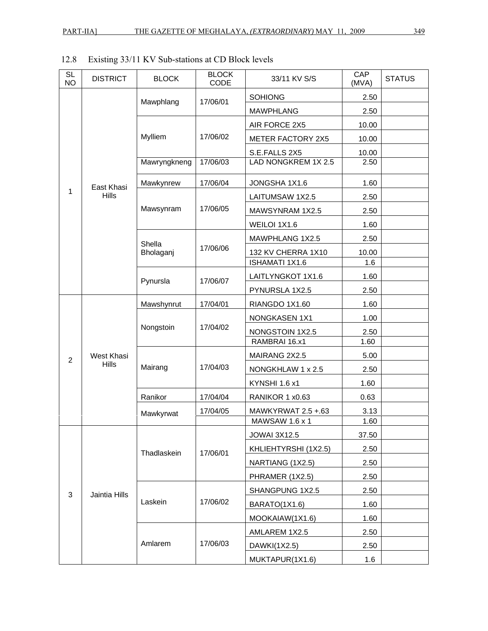# 12.8 Existing 33/11 KV Sub-stations at CD Block levels

| <b>SL</b><br><b>NO</b> | <b>DISTRICT</b>            | <b>BLOCK</b>        | <b>BLOCK</b><br>CODE | 33/11 KV S/S                                | CAP<br>(MVA) | <b>STATUS</b> |
|------------------------|----------------------------|---------------------|----------------------|---------------------------------------------|--------------|---------------|
|                        |                            | Mawphlang           | 17/06/01             | <b>SOHIONG</b>                              | 2.50         |               |
|                        |                            |                     |                      | <b>MAWPHLANG</b>                            | 2.50         |               |
|                        |                            |                     |                      | AIR FORCE 2X5                               | 10.00        |               |
|                        |                            | Mylliem             | 17/06/02             | <b>METER FACTORY 2X5</b>                    | 10.00        |               |
|                        |                            |                     |                      | S.E.FALLS 2X5                               | 10.00        |               |
|                        |                            | Mawryngkneng        | 17/06/03             | LAD NONGKREM 1X 2.5                         | 2.50         |               |
|                        | East Khasi<br><b>Hills</b> | Mawkynrew           | 17/06/04             | JONGSHA 1X1.6                               | 1.60         |               |
| 1                      |                            |                     |                      | LAITUMSAW 1X2.5                             | 2.50         |               |
|                        |                            | Mawsynram           | 17/06/05             | MAWSYNRAM 1X2.5                             | 2.50         |               |
|                        |                            |                     |                      | WEILOI 1X1.6                                | 1.60         |               |
|                        |                            | Shella<br>Bholaganj |                      | MAWPHLANG 1X2.5                             | 2.50         |               |
|                        |                            |                     | 17/06/06             | 132 KV CHERRA 1X10                          | 10.00        |               |
|                        |                            |                     |                      | <b>ISHAMATI 1X1.6</b>                       | 1.6          |               |
|                        |                            | Pynursla            | 17/06/07             | LAITLYNGKOT 1X1.6                           | 1.60         |               |
|                        |                            |                     |                      | PYNURSLA 1X2.5                              | 2.50         |               |
|                        | West Khasi<br><b>Hills</b> | Mawshynrut          | 17/04/01             | RIANGDO 1X1.60                              | 1.60         |               |
|                        |                            | Nongstoin           |                      | <b>NONGKASEN 1X1</b>                        | 1.00         |               |
|                        |                            |                     | 17/04/02             | NONGSTOIN 1X2.5                             | 2.50         |               |
|                        |                            |                     | 17/04/03             | RAMBRAI 16.x1                               | 1.60         |               |
| $\overline{2}$         |                            |                     |                      | MAIRANG 2X2.5                               | 5.00         |               |
|                        |                            | Mairang             |                      | NONGKHLAW 1 x 2.5                           | 2.50         |               |
|                        |                            |                     |                      | KYNSHI 1.6 x1                               | 1.60         |               |
|                        |                            | Ranikor             | 17/04/04             | RANIKOR 1 x0.63                             | 0.63         |               |
|                        |                            | Mawkyrwat           | 17/04/05             | MAWKYRWAT 2.5 +.63<br><b>MAWSAW 1.6 x 1</b> | 3.13<br>1.60 |               |
|                        |                            |                     |                      | <b>JOWAI 3X12.5</b>                         | 37.50        |               |
|                        |                            |                     |                      | KHLIEHTYRSHI (1X2.5)                        | 2.50         |               |
|                        |                            | Thadlaskein         | 17/06/01             | NARTIANG (1X2.5)                            | 2.50         |               |
|                        |                            |                     |                      | PHRAMER (1X2.5)                             | 2.50         |               |
|                        |                            |                     |                      | SHANGPUNG 1X2.5                             | 2.50         |               |
| 3                      | Jaintia Hills              | Laskein             | 17/06/02             | BARATO(1X1.6)                               | 1.60         |               |
|                        |                            |                     |                      | MOOKAIAW(1X1.6)                             | 1.60         |               |
|                        |                            |                     |                      | AMLAREM 1X2.5                               | 2.50         |               |
|                        |                            | Amlarem             | 17/06/03             | DAWKI(1X2.5)                                | 2.50         |               |
|                        |                            |                     |                      | MUKTAPUR(1X1.6)                             | 1.6          |               |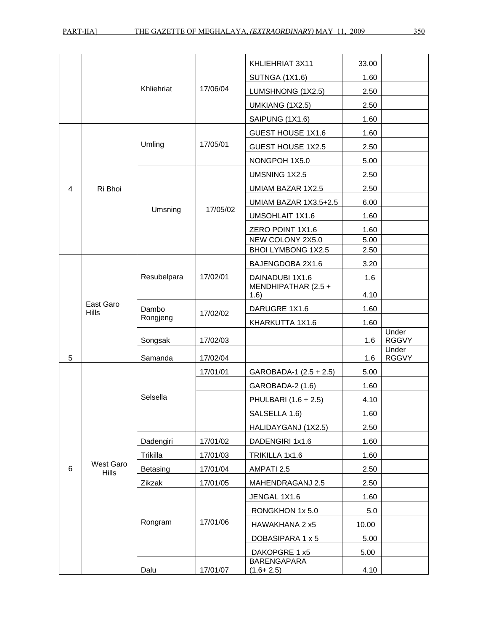|                         |                           |             |          | KHLIEHRIAT 3X11             | 33.00 |                       |
|-------------------------|---------------------------|-------------|----------|-----------------------------|-------|-----------------------|
|                         |                           |             |          | <b>SUTNGA (1X1.6)</b>       | 1.60  |                       |
|                         |                           | Khliehriat  | 17/06/04 | LUMSHNONG (1X2.5)           | 2.50  |                       |
|                         |                           |             |          | UMKIANG (1X2.5)             | 2.50  |                       |
|                         |                           |             |          | SAIPUNG (1X1.6)             | 1.60  |                       |
|                         |                           |             |          | GUEST HOUSE 1X1.6           | 1.60  |                       |
|                         |                           | Umling      | 17/05/01 | <b>GUEST HOUSE 1X2.5</b>    | 2.50  |                       |
|                         |                           |             |          | NONGPOH 1X5.0               | 5.00  |                       |
|                         |                           |             |          | UMSNING 1X2.5               | 2.50  |                       |
| $\overline{\mathbf{4}}$ | Ri Bhoi                   |             |          | UMIAM BAZAR 1X2.5           | 2.50  |                       |
|                         |                           |             |          | UMIAM BAZAR 1X3.5+2.5       | 6.00  |                       |
|                         |                           | Umsning     | 17/05/02 | <b>UMSOHLAIT 1X1.6</b>      | 1.60  |                       |
|                         |                           |             |          | ZERO POINT 1X1.6            | 1.60  |                       |
|                         |                           |             |          | NEW COLONY 2X5.0            | 5.00  |                       |
|                         |                           |             |          | BHOI LYMBONG 1X2.5          | 2.50  |                       |
|                         |                           |             |          | BAJENGDOBA 2X1.6            | 3.20  |                       |
|                         |                           | Resubelpara | 17/02/01 | DAINADUBI 1X1.6             | 1.6   |                       |
|                         |                           |             |          | MENDHIPATHAR (2.5 +<br>1.6) | 4.10  |                       |
|                         | East Garo                 | Dambo       |          | DARUGRE 1X1.6               | 1.60  |                       |
|                         | <b>Hills</b>              | Rongjeng    | 17/02/02 | KHARKUTTA 1X1.6             | 1.60  |                       |
|                         |                           |             |          |                             |       | Under                 |
|                         |                           | Songsak     | 17/02/03 |                             | 1.6   | <b>RGGVY</b><br>Under |
| 5                       |                           | Samanda     | 17/02/04 |                             | 1.6   | <b>RGGVY</b>          |
|                         |                           |             | 17/01/01 | GAROBADA-1 (2.5 + 2.5)      | 5.00  |                       |
|                         |                           |             |          | GAROBADA-2 (1.6)            | 1.60  |                       |
|                         |                           | Selsella    |          | PHULBARI (1.6 + 2.5)        | 4.10  |                       |
|                         |                           |             |          | SALSELLA 1.6)               | 1.60  |                       |
|                         |                           |             |          | HALIDAYGANJ (1X2.5)         | 2.50  |                       |
|                         |                           | Dadengiri   | 17/01/02 | DADENGIRI 1x1.6             | 1.60  |                       |
|                         |                           | Trikilla    | 17/01/03 | TRIKILLA 1x1.6              | 1.60  |                       |
| 6                       | West Garo<br><b>Hills</b> | Betasing    | 17/01/04 | AMPATI 2.5                  | 2.50  |                       |
|                         |                           | Zikzak      | 17/01/05 | MAHENDRAGANJ 2.5            | 2.50  |                       |
|                         |                           |             |          | JENGAL 1X1.6                | 1.60  |                       |
|                         |                           |             |          | RONGKHON 1x 5.0             | 5.0   |                       |
|                         |                           | Rongram     | 17/01/06 | HAWAKHANA 2 x5              | 10.00 |                       |
|                         |                           |             |          | DOBASIPARA 1 x 5            | 5.00  |                       |
|                         |                           |             |          | DAKOPGRE 1 x5               | 5.00  |                       |
|                         |                           |             |          | <b>BARENGAPARA</b>          |       |                       |
|                         |                           | Dalu        | 17/01/07 | $(1.6 + 2.5)$               | 4.10  |                       |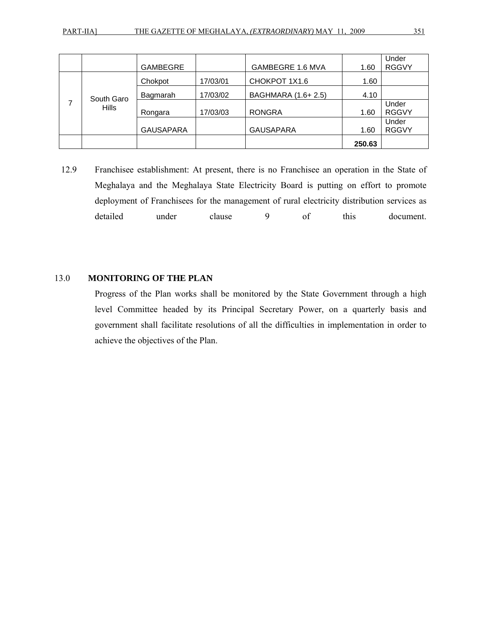|  |                            | <b>GAMBEGRE</b>  |          | GAMBEGRE 1.6 MVA   | 1.60   | Under<br><b>RGGVY</b> |
|--|----------------------------|------------------|----------|--------------------|--------|-----------------------|
|  | South Garo<br><b>Hills</b> | Chokpot          | 17/03/01 | CHOKPOT 1X1.6      | 1.60   |                       |
|  |                            | Bagmarah         | 17/03/02 | BAGHMARA (1.6+2.5) | 4.10   |                       |
|  |                            | Rongara          | 17/03/03 | <b>RONGRA</b>      | 1.60   | Under<br><b>RGGVY</b> |
|  |                            | <b>GAUSAPARA</b> |          | <b>GAUSAPARA</b>   | 1.60   | Under<br><b>RGGVY</b> |
|  |                            |                  |          |                    | 250.63 |                       |

12.9 Franchisee establishment: At present, there is no Franchisee an operation in the State of Meghalaya and the Meghalaya State Electricity Board is putting on effort to promote deployment of Franchisees for the management of rural electricity distribution services as detailed under clause 9 of this document.

#### 13.0 **MONITORING OF THE PLAN**

Progress of the Plan works shall be monitored by the State Government through a high level Committee headed by its Principal Secretary Power, on a quarterly basis and government shall facilitate resolutions of all the difficulties in implementation in order to achieve the objectives of the Plan.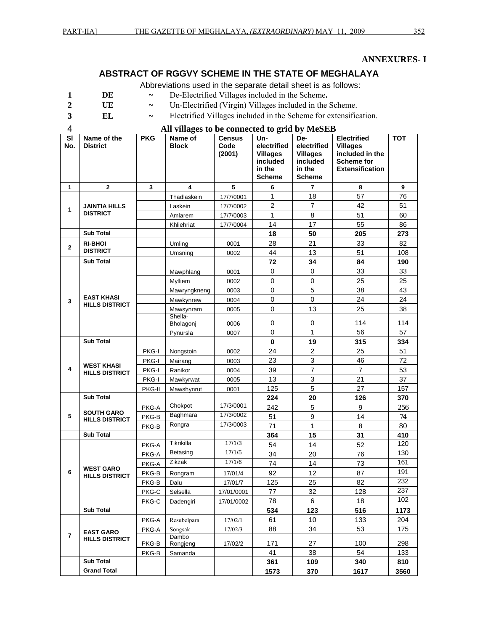#### **ANNEXURES- I**

#### **ABSTRACT OF RGGVY SCHEME IN THE STATE OF MEGHALAYA**

Abbreviations used in the separate detail sheet is as follows:

- **1 DE ~** De-Electrified Villages included in the Scheme**.**
- 2 **UE** ~ Un-Electrified (Virgin) Villages included in the Scheme.
- 
- **3 EL ~** Electrified Villages included in the Scheme for extensification.
- 
- 4 **All villages to be connected to grid by MeSEB**

| SI<br>No.      | Name of the<br><b>District</b>    | <b>PKG</b>   | Name of<br><b>Block</b> | Census<br>Code   | Un-<br>electrified          | De-<br>electrified          | <b>Electrified</b><br><b>Villages</b> | <b>TOT</b> |
|----------------|-----------------------------------|--------------|-------------------------|------------------|-----------------------------|-----------------------------|---------------------------------------|------------|
|                |                                   |              |                         | (2001)           | <b>Villages</b><br>included | <b>Villages</b><br>included | included in the<br><b>Scheme for</b>  |            |
|                |                                   |              |                         |                  | in the                      | in the                      | <b>Extensification</b>                |            |
|                |                                   |              |                         |                  | <b>Scheme</b>               | <b>Scheme</b>               |                                       |            |
| 1              | $\mathbf{2}$                      | $\mathbf{3}$ | 4                       | 5                | 6                           | 7                           | 8                                     | 9          |
|                |                                   |              | Thadlaskein             | 17/7/0001        | $\mathbf{1}$                | 18                          | 57                                    | 76         |
| 1              | <b>JAINTIA HILLS</b>              |              | Laskein                 | 17/7/0002        | $\overline{2}$              | $\overline{7}$              | 42                                    | 51         |
|                | <b>DISTRICT</b>                   |              | Amlarem                 | 17/7/0003        | $\mathbf{1}$                | 8                           | 51                                    | 60         |
|                |                                   |              | Khliehriat              | 17/7/0004        | 14                          | 17                          | 55                                    | 86         |
|                | <b>Sub Total</b>                  |              |                         |                  | 18                          | 50                          | 205                                   | 273        |
| $\overline{2}$ | <b>RI-BHOI</b><br><b>DISTRICT</b> |              | Umling                  | 0001             | 28                          | 21                          | 33                                    | 82         |
|                |                                   |              | Umsning                 | 0002             | 44                          | 13                          | 51                                    | 108        |
|                | <b>Sub Total</b>                  |              |                         |                  | 72                          | 34                          | 84                                    | 190        |
|                |                                   |              | Mawphlang               | 0001             | $\mathbf 0$                 | $\pmb{0}$                   | 33                                    | 33         |
|                |                                   |              | Mylliem                 | 0002             | $\pmb{0}$                   | $\pmb{0}$<br>5              | 25                                    | 25         |
|                | <b>EAST KHASI</b>                 |              | Mawryngkneng            | 0003             | $\pmb{0}$<br>$\pmb{0}$      | $\pmb{0}$                   | 38<br>24                              | 43         |
| 3              | <b>HILLS DISTRICT</b>             |              | Mawkynrew               | 0004<br>0005     | $\mathbf 0$                 | 13                          | 25                                    | 24<br>38   |
|                |                                   |              | Mawsynram<br>Shella-    |                  |                             |                             |                                       |            |
|                |                                   |              | Bholagonj               | 0006             | 0                           | 0                           | 114                                   | 114        |
|                |                                   |              | Pynursla                | 0007             | 0                           | 1                           | 56                                    | 57         |
|                | <b>Sub Total</b>                  |              |                         |                  | $\mathbf 0$                 | 19                          | 315                                   | 334        |
|                |                                   | <b>PKG-I</b> | Nongstoin               | 0002             | 24                          | $\overline{2}$              | 25                                    | 51         |
|                | <b>WEST KHASI</b>                 | <b>PKG-I</b> | Mairang                 | 0003             | 23                          | $\ensuremath{\mathsf{3}}$   | 46                                    | 72         |
| 4              | <b>HILLS DISTRICT</b>             | <b>PKG-I</b> | Ranikor                 | 0004             | 39                          | $\overline{7}$              | $\overline{7}$                        | 53         |
|                |                                   | PKG-I        | Mawkyrwat               | 0005             | 13                          | 3                           | 21                                    | 37         |
|                |                                   | PKG-II       | Mawshynrut              | 0001             | 125                         | 5                           | 27                                    | 157        |
|                | <b>Sub Total</b>                  |              |                         |                  | 224                         | 20                          | 126                                   | 370        |
|                | <b>SOUTH GARO</b>                 | PKG-A        | Chokpot                 | 17/3/0001        | 242                         | 5                           | 9                                     | 256        |
| 5              | <b>HILLS DISTRICT</b>             | PKG-B        | Baghmara                | 17/3/0002        | 51                          | $\overline{9}$              | 14                                    | 74         |
|                |                                   | PKG-B        | Rongra                  | 17/3/0003        | 71                          | $\mathbf{1}$                | 8                                     | 80         |
|                | <b>Sub Total</b>                  |              |                         |                  | 364                         | 15                          | 31                                    | 410        |
|                |                                   | PKG-A        | Tikrikilla<br>Betasing  | 17/1/3<br>17/1/5 | 54                          | 14                          | 52                                    | 120<br>130 |
|                |                                   | PKG-A        | Zikzak                  | 17/1/6           | 34                          | 20                          | 76                                    |            |
|                | <b>WEST GARO</b>                  | PKG-A        |                         |                  | 74                          | 14                          | 73                                    | 161<br>191 |
| 6              | <b>HILLS DISTRICT</b>             | PKG-B        | Rongram                 | 17/01/4          | 92                          | 12                          | 87                                    | 232        |
|                |                                   | PKG-B        | Dalu                    | 17/01/7          | 125                         | 25                          | 82                                    | 237        |
|                |                                   | PKG-C        | Selsella                | 17/01/0001       | $77 \,$                     | 32                          | 128                                   | 102        |
|                |                                   | PKG-C        | Dadengiri               | 17/01/0002       | 78                          | 6                           | 18                                    |            |
|                | <b>Sub Total</b>                  |              |                         |                  | 534                         | 123                         | 516                                   | 1173       |
|                |                                   | PKG-A        | Resubelpara             | 17/02/1          | 61                          | 10                          | 133<br>53                             | 204        |
| 7              | <b>EAST GARO</b>                  | PKG-A        | Songsak<br>Dambo        | 17/02/3          | 88                          | 34                          |                                       | 175        |
|                | <b>HILLS DISTRICT</b>             | PKG-B        | Rongjeng                | 17/02/2          | 171                         | 27                          | 100                                   | 298        |
|                |                                   | PKG-B        | Samanda                 |                  | 41                          | 38                          | 54                                    | 133        |
|                | <b>Sub Total</b>                  |              |                         |                  | 361                         | 109                         | 340                                   | 810        |
|                | <b>Grand Total</b>                |              |                         |                  | 1573                        | 370                         | 1617                                  | 3560       |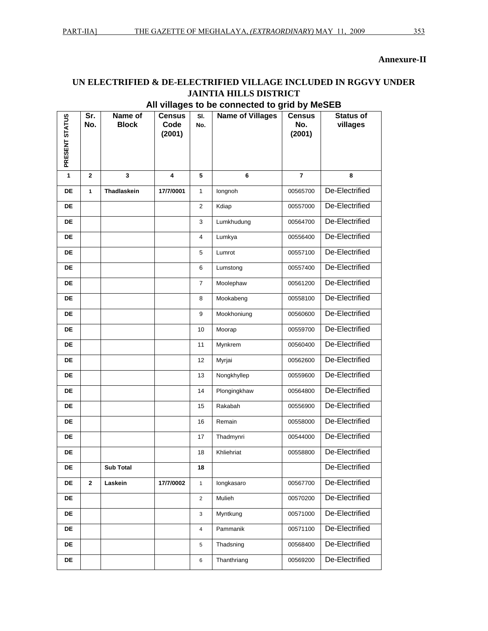#### Annexure-II

#### UN ELECTRIFIED & DE-ELECTRIFIED VILLAGE INCLUDED IN RGGVY UNDER **JAINTIA HILLS DISTRICT**

#### All villages to be connected to grid by MeSEB

| PRESENT STATUS | Sr.<br>No.   | Name of<br><b>Block</b> | <b>Census</b><br>Code<br>(2001) | SI.<br>No.     | <b>Name of Villages</b> | <b>Census</b><br>No.<br>(2001) | <b>Status of</b><br>villages |
|----------------|--------------|-------------------------|---------------------------------|----------------|-------------------------|--------------------------------|------------------------------|
| 1              | $\mathbf{2}$ | 3                       | 4                               | 5              | 6                       | 7                              | 8                            |
| <b>DE</b>      | $\mathbf{1}$ | Thadlaskein             | 17/7/0001                       | $\mathbf{1}$   | longnoh                 | 00565700                       | De-Electrified               |
| DE             |              |                         |                                 | $\overline{2}$ | Kdiap                   | 00557000                       | De-Electrified               |
| DE             |              |                         |                                 | 3              | Lumkhudung              | 00564700                       | De-Electrified               |
| DE             |              |                         |                                 | 4              | Lumkya                  | 00556400                       | De-Electrified               |
| <b>DE</b>      |              |                         |                                 | 5              | Lumrot                  | 00557100                       | De-Electrified               |
| <b>DE</b>      |              |                         |                                 | 6              | Lumstong                | 00557400                       | De-Electrified               |
| <b>DE</b>      |              |                         |                                 | $\overline{7}$ | Moolephaw               | 00561200                       | De-Electrified               |
| <b>DE</b>      |              |                         |                                 | 8              | Mookabeng               | 00558100                       | De-Electrified               |
| DE             |              |                         |                                 | 9              | Mookhoniung             | 00560600                       | De-Electrified               |
| DE             |              |                         |                                 | 10             | Moorap                  | 00559700                       | De-Electrified               |
| DE             |              |                         |                                 | 11             | Mynkrem                 | 00560400                       | De-Electrified               |
| <b>DE</b>      |              |                         |                                 | 12             | Myrjai                  | 00562600                       | De-Electrified               |
| <b>DE</b>      |              |                         |                                 | 13             | Nongkhyllep             | 00559600                       | De-Electrified               |
| DE             |              |                         |                                 | 14             | Plongingkhaw            | 00564800                       | De-Electrified               |
| <b>DE</b>      |              |                         |                                 | 15             | Rakabah                 | 00556900                       | De-Electrified               |
| DE             |              |                         |                                 | 16             | Remain                  | 00558000                       | De-Electrified               |
| DE             |              |                         |                                 | 17             | Thadmynri               | 00544000                       | De-Electrified               |
| DE             |              |                         |                                 | 18             | Khliehriat              | 00558800                       | De-Electrified               |
| DE             |              | <b>Sub Total</b>        |                                 | 18             |                         |                                | De-Electrified               |
| DE             | $\mathbf{2}$ | Laskein                 | 17/7/0002                       | $\mathbf{1}$   | longkasaro              | 00567700                       | De-Electrified               |
| DE             |              |                         |                                 | $\overline{2}$ | Mulieh                  | 00570200                       | De-Electrified               |
| DE             |              |                         |                                 | 3              | Myntkung                | 00571000                       | De-Electrified               |
| DE             |              |                         |                                 | $\overline{4}$ | Pammanik                | 00571100                       | De-Electrified               |
| DE             |              |                         |                                 | 5              | Thadsning               | 00568400                       | De-Electrified               |
| DE             |              |                         |                                 | 6              | Thanthriang             | 00569200                       | De-Electrified               |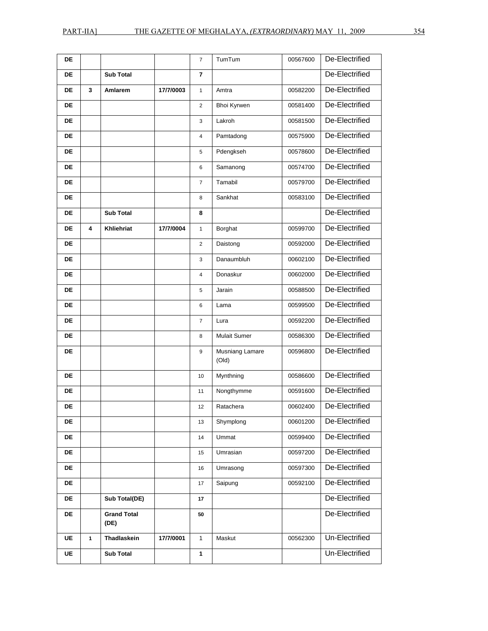| DE        |   |                            |           | $\overline{7}$ | TumTum                   | 00567600 | De-Electrified |
|-----------|---|----------------------------|-----------|----------------|--------------------------|----------|----------------|
| DE        |   | <b>Sub Total</b>           |           | 7              |                          |          | De-Electrified |
| DE        | 3 | Amlarem                    | 17/7/0003 | $\mathbf{1}$   | Amtra                    | 00582200 | De-Electrified |
| <b>DE</b> |   |                            |           | $\overline{2}$ | Bhoi Kyrwen              | 00581400 | De-Electrified |
| <b>DE</b> |   |                            |           | 3              | Lakroh                   | 00581500 | De-Electrified |
| <b>DE</b> |   |                            |           | 4              | Pamtadong                | 00575900 | De-Electrified |
| DE        |   |                            |           | 5              | Pdengkseh                | 00578600 | De-Electrified |
| DE        |   |                            |           | 6              | Samanong                 | 00574700 | De-Electrified |
| DE        |   |                            |           | $\overline{7}$ | Tamabil                  | 00579700 | De-Electrified |
| DE        |   |                            |           | 8              | Sankhat                  | 00583100 | De-Electrified |
| DE        |   | <b>Sub Total</b>           |           | 8              |                          |          | De-Electrified |
| DE        | 4 | Khliehriat                 | 17/7/0004 | $\mathbf{1}$   | Borghat                  | 00599700 | De-Electrified |
| DE        |   |                            |           | $\overline{2}$ | Daistong                 | 00592000 | De-Electrified |
| DE        |   |                            |           | 3              | Danaumbluh               | 00602100 | De-Electrified |
| DE        |   |                            |           | 4              | Donaskur                 | 00602000 | De-Electrified |
| DE        |   |                            |           | 5              | Jarain                   | 00588500 | De-Electrified |
| DE        |   |                            |           | 6              | Lama                     | 00599500 | De-Electrified |
| <b>DE</b> |   |                            |           | $\overline{7}$ | Lura                     | 00592200 | De-Electrified |
| DE        |   |                            |           | 8              | <b>Mulait Sumer</b>      | 00586300 | De-Electrified |
| DE        |   |                            |           | 9              | Musniang Lamare<br>(Old) | 00596800 | De-Electrified |
| DE        |   |                            |           | 10             | Mynthning                | 00586600 | De-Electrified |
| DE        |   |                            |           | 11             | Nongthymme               | 00591600 | De-Electrified |
| DE        |   |                            |           | 12             | Ratachera                | 00602400 | De-Electrified |
| DE        |   |                            |           | 13             | Shymplong                | 00601200 | De-Electrified |
| DE        |   |                            |           | 14             | Ummat                    | 00599400 | De-Electrified |
| DE        |   |                            |           | 15             | Umrasian                 | 00597200 | De-Electrified |
| DE        |   |                            |           | 16             | Umrasong                 | 00597300 | De-Electrified |
| DE        |   |                            |           | 17             | Saipung                  | 00592100 | De-Electrified |
| DE        |   | Sub Total(DE)              |           | 17             |                          |          | De-Electrified |
| DE        |   | <b>Grand Total</b><br>(DE) |           | 50             |                          |          | De-Electrified |
| UE        | 1 | Thadlaskein                | 17/7/0001 | 1              | Maskut                   | 00562300 | Un-Electrified |
| UE        |   | <b>Sub Total</b>           |           | $\mathbf{1}$   |                          |          | Un-Electrified |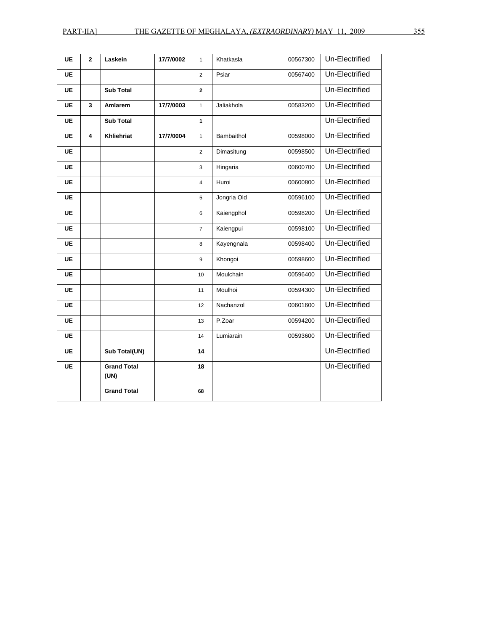| <b>UE</b> | $\mathbf{2}$ | Laskein                    | 17/7/0002 | $\mathbf{1}$    | Khatkasla   | 00567300 | Un-Electrified |
|-----------|--------------|----------------------------|-----------|-----------------|-------------|----------|----------------|
| <b>UE</b> |              |                            |           | $\overline{2}$  | Psiar       | 00567400 | Un-Electrified |
| <b>UE</b> |              | <b>Sub Total</b>           |           | $\mathbf{2}$    |             |          | Un-Electrified |
| <b>UE</b> | 3            | Amlarem                    | 17/7/0003 | $\mathbf{1}$    | Jaliakhola  | 00583200 | Un-Electrified |
| <b>UE</b> |              | <b>Sub Total</b>           |           | $\mathbf{1}$    |             |          | Un-Electrified |
| UE        | 4            | Khliehriat                 | 17/7/0004 | $\mathbf{1}$    | Bambaithol  | 00598000 | Un-Electrified |
| <b>UE</b> |              |                            |           | 2               | Dimasitung  | 00598500 | Un-Electrified |
| <b>UE</b> |              |                            |           | 3               | Hingaria    | 00600700 | Un-Electrified |
| <b>UE</b> |              |                            |           | $\overline{4}$  | Huroi       | 00600800 | Un-Electrified |
| <b>UE</b> |              |                            |           | 5               | Jongria Old | 00596100 | Un-Electrified |
| <b>UE</b> |              |                            |           | 6               | Kaiengphol  | 00598200 | Un-Electrified |
| UE        |              |                            |           | $\overline{7}$  | Kaiengpui   | 00598100 | Un-Electrified |
| UE        |              |                            |           | 8               | Kayengnala  | 00598400 | Un-Electrified |
| <b>UE</b> |              |                            |           | 9               | Khongoi     | 00598600 | Un-Electrified |
| <b>UE</b> |              |                            |           | 10 <sup>1</sup> | Moulchain   | 00596400 | Un-Electrified |
| <b>UE</b> |              |                            |           | 11              | Moulhoi     | 00594300 | Un-Electrified |
| <b>UE</b> |              |                            |           | 12              | Nachanzol   | 00601600 | Un-Electrified |
| <b>UE</b> |              |                            |           | 13              | P.Zoar      | 00594200 | Un-Electrified |
| <b>UE</b> |              |                            |           | 14              | Lumiarain   | 00593600 | Un-Electrified |
| UE        |              | Sub Total(UN)              |           | 14              |             |          | Un-Electrified |
| UE        |              | <b>Grand Total</b><br>(UN) |           | 18              |             |          | Un-Electrified |
|           |              | <b>Grand Total</b>         |           | 68              |             |          |                |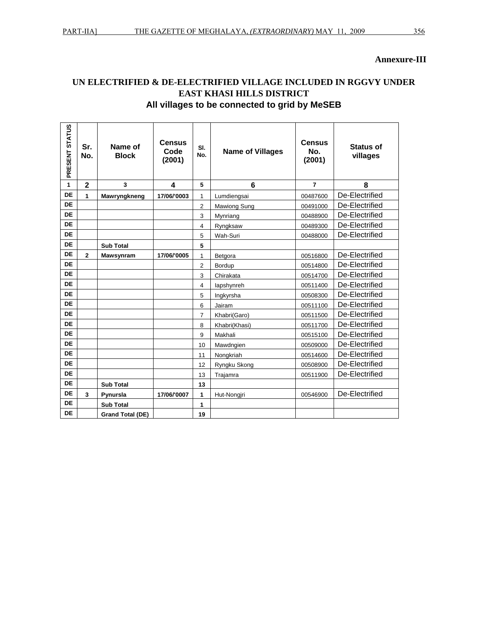#### UN ELECTRIFIED & DE-ELECTRIFIED VILLAGE INCLUDED IN RGGVY UNDER **EAST KHASI HILLS DISTRICT** All villages to be connected to grid by MeSEB

| PRESENT STATUS | Sr.<br>No.     | Name of<br><b>Block</b> | <b>Census</b><br>Code<br>(2001) | SI.<br>No.     | <b>Name of Villages</b> | <b>Census</b><br>No.<br>(2001) | <b>Status of</b><br>villages |
|----------------|----------------|-------------------------|---------------------------------|----------------|-------------------------|--------------------------------|------------------------------|
| 1              | $\overline{2}$ | 3                       | 4                               | 5              | 6                       | $\overline{7}$                 | 8                            |
| <b>DE</b>      | 1              | Mawryngkneng            | 17/06/'0003                     | 1              | Lumdiengsai             | 00487600                       | De-Electrified               |
| <b>DE</b>      |                |                         |                                 | $\overline{2}$ | Mawiong Sung            | 00491000                       | De-Electrified               |
| <b>DE</b>      |                |                         |                                 | 3              | Mynriang                | 00488900                       | De-Electrified               |
| <b>DE</b>      |                |                         |                                 | 4              | Ryngksaw                | 00489300                       | De-Electrified               |
| <b>DE</b>      |                |                         |                                 | 5              | Wah-Suri                | 00488000                       | De-Electrified               |
| <b>DE</b>      |                | <b>Sub Total</b>        |                                 | 5              |                         |                                |                              |
| <b>DE</b>      | $\overline{2}$ | <b>Mawsynram</b>        | 17/06/'0005                     | $\mathbf{1}$   | Betgora                 | 00516800                       | De-Electrified               |
| <b>DE</b>      |                |                         |                                 | $\overline{2}$ | Bordup                  | 00514800                       | De-Electrified               |
| <b>DE</b>      |                |                         |                                 | 3              | Chirakata               | 00514700                       | De-Electrified               |
| <b>DE</b>      |                |                         |                                 | $\overline{4}$ | lapshynreh              | 00511400                       | De-Electrified               |
| <b>DE</b>      |                |                         |                                 | 5              | Ingkyrsha               | 00508300                       | De-Electrified               |
| <b>DE</b>      |                |                         |                                 | 6              | Jairam                  | 00511100                       | De-Electrified               |
| <b>DE</b>      |                |                         |                                 | $\overline{7}$ | Khabri(Garo)            | 00511500                       | De-Electrified               |
| DE             |                |                         |                                 | 8              | Khabri(Khasi)           | 00511700                       | De-Electrified               |
| <b>DE</b>      |                |                         |                                 | 9              | Makhali                 | 00515100                       | De-Electrified               |
| <b>DE</b>      |                |                         |                                 | 10             | Mawdngien               | 00509000                       | De-Electrified               |
| <b>DE</b>      |                |                         |                                 | 11             | Nongkriah               | 00514600                       | De-Electrified               |
| <b>DE</b>      |                |                         |                                 | 12             | Ryngku Skong            | 00508900                       | De-Electrified               |
| <b>DE</b>      |                |                         |                                 | 13             | Trajamra                | 00511900                       | De-Electrified               |
| DE             |                | <b>Sub Total</b>        |                                 | 13             |                         |                                |                              |
| <b>DE</b>      | 3              | Pynursla                | 17/06/'0007                     | 1              | Hut-Nongjri             | 00546900                       | De-Electrified               |
| <b>DE</b>      |                | <b>Sub Total</b>        |                                 | 1              |                         |                                |                              |
| <b>DE</b>      |                | <b>Grand Total (DE)</b> |                                 | 19             |                         |                                |                              |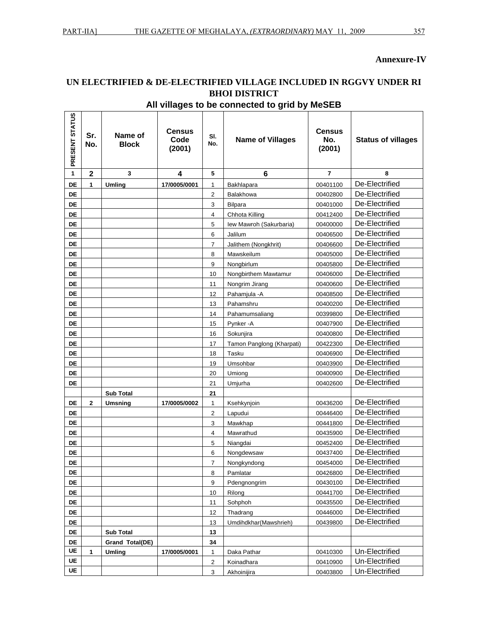#### **Annexure-IV**

 $\overline{\phantom{a}}$ 

### UN ELECTRIFIED & DE-ELECTRIFIED VILLAGE INCLUDED IN RGGVY UNDER RI **BHOI DISTRICT**

| PRESENT STATUS | Sr.<br>No.   | Name of<br><b>Block</b> | Census<br>Code<br>(2001) | SI.<br>No.     | <b>Name of Villages</b>   | <b>Census</b><br>No.<br>(2001) | <b>Status of villages</b> |
|----------------|--------------|-------------------------|--------------------------|----------------|---------------------------|--------------------------------|---------------------------|
| 1              | $\mathbf{2}$ | 3                       | 4                        | 5              | 6                         | 7                              | 8                         |
| DE             | 1            | <b>Umling</b>           | 17/0005/0001             | 1              | Bakhlapara                | 00401100                       | De-Electrified            |
| DE             |              |                         |                          | $\overline{c}$ | Balakhowa                 | 00402800                       | De-Electrified            |
| DE             |              |                         |                          | 3              | <b>Bilpara</b>            | 00401000                       | De-Electrified            |
| DE             |              |                         |                          | 4              | Chhota Killing            | 00412400                       | De-Electrified            |
| DE             |              |                         |                          | 5              | lew Mawroh (Sakurbaria)   | 00400000                       | De-Electrified            |
| DE             |              |                         |                          | 6              | Jalilum                   | 00406500                       | De-Electrified            |
| DE             |              |                         |                          | 7              | Jalithem (Nongkhrit)      | 00406600                       | De-Electrified            |
| DE             |              |                         |                          | 8              | Mawskeilum                | 00405000                       | De-Electrified            |
| <b>DE</b>      |              |                         |                          | 9              | Nongbirlum                | 00405800                       | De-Electrified            |
| DE             |              |                         |                          | 10             | Nongbirthem Mawtamur      | 00406000                       | De-Electrified            |
| DE             |              |                         |                          | 11             | Nongrim Jirang            | 00400600                       | De-Electrified            |
| DE             |              |                         |                          | 12             | Pahamjula - A             | 00408500                       | De-Electrified            |
| <b>DE</b>      |              |                         |                          | 13             | Pahamshru                 | 00400200                       | De-Electrified            |
| DE             |              |                         |                          | 14             | Pahamumsaliang            | 00399800                       | De-Electrified            |
| DE             |              |                         |                          | 15             | Pynker-A                  | 00407900                       | De-Electrified            |
| DE             |              |                         |                          | 16             | Sokunjira                 | 00400800                       | De-Electrified            |
| <b>DE</b>      |              |                         |                          | 17             | Tamon Panglong (Kharpati) | 00422300                       | De-Electrified            |
| DE             |              |                         |                          | 18             | Tasku                     | 00406900                       | De-Electrified            |
| <b>DE</b>      |              |                         |                          | 19             | Umsohbar                  | 00403900                       | De-Electrified            |
| DE             |              |                         |                          | 20             | Umiong                    | 00400900                       | De-Electrified            |
| DE             |              |                         |                          | 21             | Umjurha                   | 00402600                       | De-Electrified            |
|                |              | <b>Sub Total</b>        |                          | 21             |                           |                                |                           |
| DE             | $\mathbf{2}$ | Umsning                 | 17/0005/0002             | 1              | Ksehkynjoin               | 00436200                       | De-Electrified            |
| DE             |              |                         |                          | $\overline{c}$ | Lapudui                   | 00446400                       | De-Electrified            |
| DE             |              |                         |                          | 3              | Mawkhap                   | 00441800                       | De-Electrified            |
| DE             |              |                         |                          | 4              | Mawrathud                 | 00435900                       | De-Electrified            |
| DE             |              |                         |                          | 5              | Niangdai                  | 00452400                       | De-Electrified            |
| DE             |              |                         |                          | 6              | Nongdewsaw                | 00437400                       | De-Electrified            |
| DE             |              |                         |                          | 7              | Nongkyndong               | 00454000                       | De-Electrified            |
| DE             |              |                         |                          | 8              | Pamlatar                  | 00426800                       | De-Electrified            |
| DE             |              |                         |                          | 9              | Pdengnongrim              | 00430100                       | De-Electrified            |
| DE             |              |                         |                          | 10             | Rilong                    | 00441700                       | De-Electrified            |
| DE             |              |                         |                          | 11             | Sohphoh                   | 00435500                       | De-Electrified            |
| DE             |              |                         |                          | 12             | Thadrang                  | 00446000                       | De-Electrified            |
| DE             |              |                         |                          | 13             | Umdihdkhar(Mawshrieh)     | 00439800                       | De-Electrified            |
| DE             |              | <b>Sub Total</b>        |                          | 13             |                           |                                |                           |
| DE             |              | Grand Total(DE)         |                          | 34             |                           |                                |                           |
| UE             | 1            | <b>Umling</b>           | 17/0005/0001             | 1              | Daka Pathar               | 00410300                       | Un-Electrified            |
| UE             |              |                         |                          | 2              | Koinadhara                | 00410900                       | Un-Electrified            |
| UE             |              |                         |                          | 3              | Akhoinijira               | 00403800                       | Un-Electrified            |

#### All villages to be connected to grid by MeSEB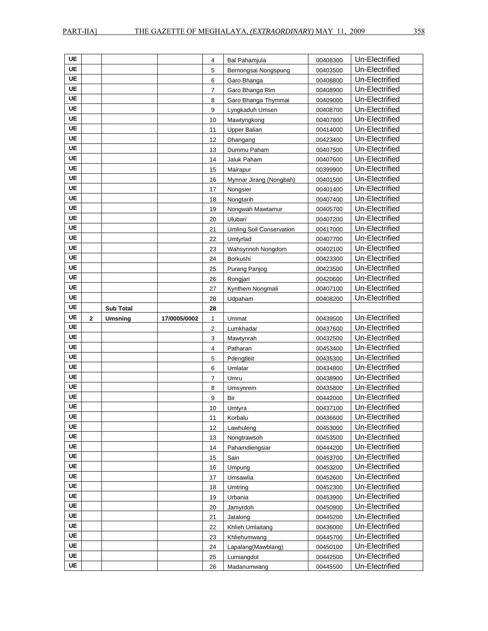| <b>UE</b> |              |                  |              | 4            | Bal Pahamjula                   | 00408300             | Un-Electrified                   |
|-----------|--------------|------------------|--------------|--------------|---------------------------------|----------------------|----------------------------------|
| <b>UE</b> |              |                  |              | 5            | Bernongsai Nongspung            | 00403500             | Un-Electrified                   |
| <b>UE</b> |              |                  |              | 6            | Garo Bhanga                     | 00408800             | Un-Electrified                   |
| UE        |              |                  |              | 7            | Garo Bhanga Rim                 | 00408900             | Un-Electrified                   |
| UE        |              |                  |              | 8            | Garo Bhanga Thymmai             | 00409000             | Un-Electrified                   |
| UE        |              |                  |              | 9            | Lyngkaduh Umsen                 | 00408700             | Un-Electrified                   |
| UE        |              |                  |              | 10           | Mawtyngkong                     | 00407800             | Un-Electrified                   |
| UE        |              |                  |              | 11           | <b>Upper Balian</b>             | 00414000             | Un-Electrified                   |
| <b>UE</b> |              |                  |              | 12           | Dhangang                        | 00423400             | Un-Electrified                   |
| <b>UE</b> |              |                  |              | 13           | Dummu Paham                     | 00407500             | Un-Electrified                   |
| <b>UE</b> |              |                  |              | 14           | Jaluk Paham                     | 00407600             | Un-Electrified                   |
| UE        |              |                  |              | 15           | Mairapur                        | 00399900             | Un-Electrified                   |
| <b>UE</b> |              |                  |              | 16           | Mynnar Jirang (Nongbah)         | 00401500             | Un-Electrified                   |
| <b>UE</b> |              |                  |              | 17           | Nongsier                        | 00401400             | Un-Electrified                   |
| UE        |              |                  |              | 18           | Nongtarih                       | 00407400             | Un-Electrified                   |
| <b>UE</b> |              |                  |              | 19           | Nongwah Mawtamur                | 00405700             | Un-Electrified                   |
| <b>UE</b> |              |                  |              | 20           | Ulubari                         | 00407200             | Un-Electrified                   |
| <b>UE</b> |              |                  |              | 21           | <b>Umling Soil Conservation</b> | 00417000             | Un-Electrified                   |
| UE        |              |                  |              | 22           | Umtyrlad                        | 00407700             | Un-Electrified                   |
| <b>UE</b> |              |                  |              | 23           | Wahsynnoh Nongdom               | 00402100             | Un-Electrified                   |
| <b>UE</b> |              |                  |              | 24           | Borkushi                        | 00423300             | Un-Electrified                   |
| UE        |              |                  |              | 25           | Purang Panjog                   | 00423500             | Un-Electrified                   |
| UE        |              |                  |              | 26           | Rongjari                        | 00420600             | Un-Electrified                   |
| <b>UE</b> |              |                  |              | 27           | Kynthem Nongmali                | 00407100             | Un-Electrified                   |
| UE        |              |                  |              | 28           | Udpaham                         | 00408200             | Un-Electrified                   |
|           |              |                  |              |              |                                 |                      |                                  |
| <b>UE</b> |              |                  |              |              |                                 |                      |                                  |
| <b>UE</b> |              | <b>Sub Total</b> |              | 28           |                                 |                      |                                  |
| UE        | $\mathbf{2}$ | <b>Umsning</b>   | 17/0005/0002 | $\mathbf{1}$ | Ummat                           | 00439500             | Un-Electrified                   |
| <b>UE</b> |              |                  |              | 2            | Lumkhadar                       | 00437600             | Un-Electrified                   |
| UE        |              |                  |              | 3            | Mawtynrah                       | 00432500             | Un-Electrified                   |
| <b>UE</b> |              |                  |              | 4            | Patharan                        | 00453400             | Un-Electrified                   |
|           |              |                  |              | 5            | Pdengtleit                      | 00435300             | Un-Electrified                   |
| UE<br>UE  |              |                  |              | 6            | Umlatar                         | 00434800             | Un-Electrified                   |
| <b>UE</b> |              |                  |              | 7            | Umru                            | 00438900             | Un-Electrified                   |
| <b>UE</b> |              |                  |              | 8            | Umsynrem                        | 00435800             | Un-Electrified                   |
| <b>UE</b> |              |                  |              | 9            | Bir                             | 00442000             | Un-Electrified                   |
| UE        |              |                  |              | 10           | Umtyra                          | 00437100             | Un-Electrified                   |
| UE        |              |                  |              | 11           | Korbalu                         | 00436600             | Un-Electrified                   |
| <b>UE</b> |              |                  |              | 12           | Lawhuleng                       | 00453000             | Un-Electrified                   |
| <b>UE</b> |              |                  |              | 13           | Nongtrawsoh                     | 00453500             | Un-Electrified                   |
| UE        |              |                  |              | 14           | Pahamdiengsiar                  | 00444200             | Un-Electrified                   |
| <b>UE</b> |              |                  |              | 15           | Sain                            | 00453700             | Un-Electrified                   |
|           |              |                  |              | 16           | Umpung                          | 00453200             | Un-Electrified                   |
| UE        |              |                  |              | 17           | Umsawlia                        | 00452600             | Un-Electrified                   |
| UE        |              |                  |              | 18           | Umtring                         | 00452300             | Un-Electrified                   |
| <b>UE</b> |              |                  |              | 19           | Urbania                         | 00453900             | Un-Electrified                   |
| <b>UE</b> |              |                  |              | 20           | Jamyrdoh                        | 00450900             | Un-Electrified                   |
| <b>UE</b> |              |                  |              | 21           | Jatalong                        | 00445200             | Un-Electrified                   |
| UE        |              |                  |              | 22           | Khlieh Umlaitang                | 00436000             | Un-Electrified                   |
| UE        |              |                  |              | 23           | Khliehumwang                    | 00445700             | Un-Electrified                   |
| UE        |              |                  |              | 24           | Lapalang(Mawblang)              | 00450100             | Un-Electrified                   |
| UE<br>UE  |              |                  |              | 25<br>26     | Lumiangdot<br>Madanumwang       | 00442500<br>00445500 | Un-Electrified<br>Un-Electrified |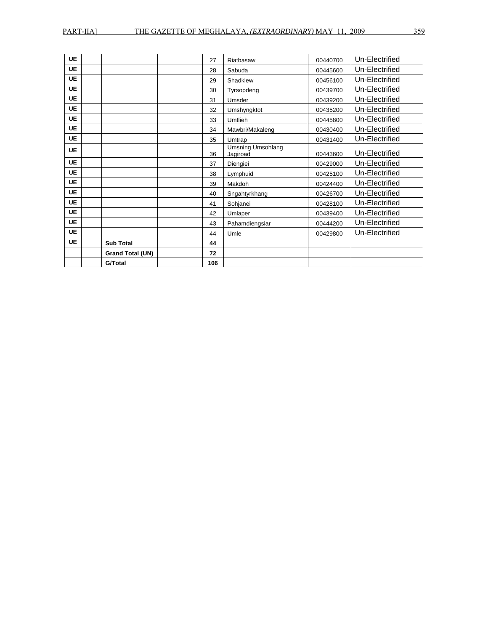| <b>UE</b> |                  | 27  | Riatbasaw                            | 00440700 | Un-Electrified |
|-----------|------------------|-----|--------------------------------------|----------|----------------|
| <b>UE</b> |                  | 28  | Sabuda                               | 00445600 | Un-Electrified |
| <b>UE</b> |                  | 29  | Shadklew                             | 00456100 | Un-Electrified |
| <b>UE</b> |                  | 30  | Tyrsopdeng                           | 00439700 | Un-Electrified |
| <b>UE</b> |                  | 31  | Umsder                               | 00439200 | Un-Electrified |
| <b>UE</b> |                  | 32  | Umshyngktot                          | 00435200 | Un-Electrified |
| <b>UE</b> |                  | 33  | Umtlieh                              | 00445800 | Un-Electrified |
| <b>UE</b> |                  | 34  | Mawbri/Makaleng                      | 00430400 | Un-Electrified |
| <b>UE</b> |                  | 35  | Umtrap                               | 00431400 | Un-Electrified |
| <b>UE</b> |                  | 36  | <b>Umsning Umsohlang</b><br>Jagiroad | 00443600 | Un-Electrified |
| <b>UE</b> |                  | 37  | Diengiei                             | 00429000 | Un-Electrified |
| <b>UE</b> |                  | 38  | Lymphuid                             | 00425100 | Un-Electrified |
| <b>UE</b> |                  | 39  | Makdoh                               | 00424400 | Un-Electrified |
| <b>UE</b> |                  | 40  | Sngahtyrkhang                        | 00426700 | Un-Electrified |
| <b>UE</b> |                  | 41  | Sohjanei                             | 00428100 | Un-Electrified |
| <b>UE</b> |                  | 42  | Umlaper                              | 00439400 | Un-Electrified |
| <b>UE</b> |                  | 43  | Pahamdiengsiar                       | 00444200 | Un-Electrified |
| <b>UE</b> |                  | 44  | Umle                                 | 00429800 | Un-Electrified |
| <b>UE</b> | <b>Sub Total</b> | 44  |                                      |          |                |
|           | Grand Total (UN) | 72  |                                      |          |                |
|           | <b>G/Total</b>   | 106 |                                      |          |                |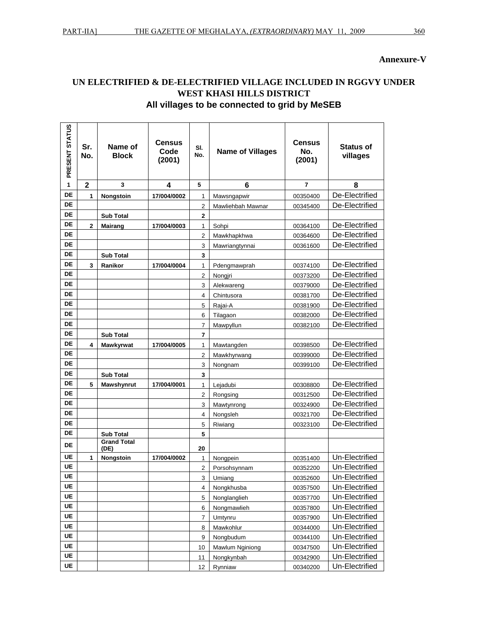#### Annexure-V

#### UN ELECTRIFIED & DE-ELECTRIFIED VILLAGE INCLUDED IN RGGVY UNDER WEST KHASI HILLS DISTRICT All villages to be connected to grid by MeSEB

| PRESENT STATUS | Sr.<br>No.     | Name of<br><b>Block</b>    | <b>Census</b><br>Code<br>(2001) | SI.<br>No.     | <b>Name of Villages</b> | Census<br>No.<br>(2001) | <b>Status of</b><br>villages |
|----------------|----------------|----------------------------|---------------------------------|----------------|-------------------------|-------------------------|------------------------------|
| 1              | $\overline{2}$ | 3                          | 4                               | 5              | 6                       | 7                       | 8                            |
| DE             | 1              | Nongstoin                  | 17/004/0002                     | 1              | Mawsngapwir             | 00350400                | De-Electrified               |
| <b>DE</b>      |                |                            |                                 | 2              | Mawliehbah Mawnar       | 00345400                | De-Electrified               |
| <b>DE</b>      |                | <b>Sub Total</b>           |                                 | $\mathbf 2$    |                         |                         |                              |
| DE             | $\mathbf 2$    | <b>Mairang</b>             | 17/004/0003                     | 1              | Sohpi                   | 00364100                | De-Electrified               |
| DE             |                |                            |                                 | 2              | Mawkhapkhwa             | 00364600                | De-Electrified               |
| DE             |                |                            |                                 | 3              | Mawriangtynnai          | 00361600                | De-Electrified               |
| <b>DE</b>      |                | <b>Sub Total</b>           |                                 | 3              |                         |                         |                              |
| <b>DE</b>      | 3              | Ranikor                    | 17/004/0004                     | 1              | Pdengmawprah            | 00374100                | De-Electrified               |
| <b>DE</b>      |                |                            |                                 | $\overline{c}$ | Nongiri                 | 00373200                | De-Electrified               |
| <b>DE</b>      |                |                            |                                 | 3              | Alekwareng              | 00379000                | De-Electrified               |
| DE             |                |                            |                                 | 4              | Chintusora              | 00381700                | De-Electrified               |
| DE             |                |                            |                                 | 5              | Rajai-A                 | 00381900                | De-Electrified               |
| <b>DE</b>      |                |                            |                                 | 6              | Tilagaon                | 00382000                | De-Electrified               |
| DE             |                |                            |                                 | 7              | Mawpyllun               | 00382100                | De-Electrified               |
| DE             |                | <b>Sub Total</b>           |                                 | 7              |                         |                         |                              |
| <b>DE</b>      | 4              | Mawkyrwat                  | 17/004/0005                     | 1              | Mawtangden              | 00398500                | De-Electrified               |
| DE             |                |                            |                                 | 2              | Mawkhyrwang             | 00399000                | De-Electrified               |
| DE             |                |                            |                                 | 3              | Nongnam                 | 00399100                | De-Electrified               |
| <b>DE</b>      |                | <b>Sub Total</b>           |                                 | 3              |                         |                         |                              |
| DE             | 5              | Mawshynrut                 | 17/004/0001                     | 1              | Lejadubi                | 00308800                | De-Electrified               |
| <b>DE</b>      |                |                            |                                 | 2              | Rongsing                | 00312500                | De-Electrified               |
| <b>DE</b>      |                |                            |                                 | 3              | Mawtynrong              | 00324900                | De-Electrified               |
| DE             |                |                            |                                 | 4              | Nongsleh                | 00321700                | De-Electrified               |
| DE             |                |                            |                                 | 5              | Riwiang                 | 00323100                | De-Electrified               |
| DE             |                | <b>Sub Total</b>           |                                 | 5              |                         |                         |                              |
| DE             |                | <b>Grand Total</b><br>(DE) |                                 | 20             |                         |                         |                              |
| UE             | 1              | Nongstoin                  | 17/004/0002                     | 1              | Nongpein                | 00351400                | Un-Electrified               |
| UE             |                |                            |                                 | 2              | Porsohsynnam            | 00352200                | Un-Electrified               |
| <b>UE</b>      |                |                            |                                 | 3              | Umiang                  | 00352600                | Un-Electrified               |
| <b>UE</b>      |                |                            |                                 | 4              | Nongkhusba              | 00357500                | Un-Electrified               |
| UE             |                |                            |                                 | 5              | Nonglanglieh            | 00357700                | Un-Electrified               |
| UE             |                |                            |                                 | 6              | Nongmawlieh             | 00357800                | Un-Electrified               |
| UE             |                |                            |                                 | 7              | Umtynru                 | 00357900                | Un-Electrified               |
| UE             |                |                            |                                 | 8              | Mawkohlur               | 00344000                | Un-Electrified               |
| <b>UE</b>      |                |                            |                                 | 9              | Nongbudum               | 00344100                | Un-Electrified               |
| UE             |                |                            |                                 | 10             | Mawlum Nginiong         | 00347500                | Un-Electrified               |
| <b>UE</b>      |                |                            |                                 | 11             | Nongkynbah              | 00342900                | Un-Electrified               |
| <b>UE</b>      |                |                            |                                 | 12             | Rynniaw                 | 00340200                | Un-Electrified               |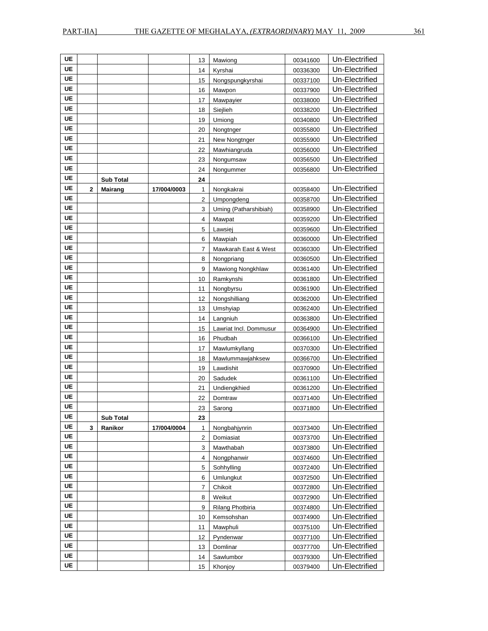| <b>UE</b> |              |                  |             | 13             | Mawiong                | 00341600 | Un-Electrified |
|-----------|--------------|------------------|-------------|----------------|------------------------|----------|----------------|
| UE        |              |                  |             | 14             | Kyrshai                | 00336300 | Un-Electrified |
| UE        |              |                  |             | 15             | Nongspungkyrshai       | 00337100 | Un-Electrified |
| UE        |              |                  |             | 16             | Mawpon                 | 00337900 | Un-Electrified |
| UE        |              |                  |             | 17             | Mawpayier              | 00338000 | Un-Electrified |
| UE        |              |                  |             | 18             | Siejlieh               | 00338200 | Un-Electrified |
| UE        |              |                  |             | 19             | Umiong                 | 00340800 | Un-Electrified |
| UE        |              |                  |             | 20             | Nongtnger              | 00355800 | Un-Electrified |
| UE        |              |                  |             | 21             | New Nongtnger          | 00355900 | Un-Electrified |
| UE        |              |                  |             | 22             | Mawhiangruda           | 00356000 | Un-Electrified |
| UE        |              |                  |             | 23             | Nongumsaw              | 00356500 | Un-Electrified |
| UE        |              |                  |             | 24             | Nongummer              | 00356800 | Un-Electrified |
| UE        |              | <b>Sub Total</b> |             | 24             |                        |          |                |
| UE        | $\mathbf{2}$ | <b>Mairang</b>   | 17/004/0003 | 1              | Nongkakrai             | 00358400 | Un-Electrified |
| UE        |              |                  |             | $\overline{c}$ | Umpongdeng             | 00358700 | Un-Electrified |
| UE        |              |                  |             | 3              | Uming (Patharshibiah)  | 00358900 | Un-Electrified |
| UE        |              |                  |             | 4              | Mawpat                 | 00359200 | Un-Electrified |
| UE        |              |                  |             | 5              | Lawsiej                | 00359600 | Un-Electrified |
| UE        |              |                  |             | 6              | Mawpiah                | 00360000 | Un-Electrified |
| UE        |              |                  |             | 7              | Mawkarah East & West   | 00360300 | Un-Electrified |
| UE        |              |                  |             | 8              | Nongpriang             | 00360500 | Un-Electrified |
| UE        |              |                  |             | 9              | Mawiong Nongkhlaw      | 00361400 | Un-Electrified |
| UE        |              |                  |             | 10             | Ramkynshi              | 00361800 | Un-Electrified |
| UE        |              |                  |             | 11             | Nongbyrsu              | 00361900 | Un-Electrified |
| UE        |              |                  |             | 12             | Nongshilliang          | 00362000 | Un-Electrified |
| <b>UE</b> |              |                  |             | 13             |                        | 00362400 | Un-Electrified |
| UE        |              |                  |             |                | Umshyiap               |          | Un-Electrified |
| UE        |              |                  |             | 14             | Langniuh               | 00363800 | Un-Electrified |
| UE        |              |                  |             | 15             | Lawriat Incl. Dommusur | 00364900 | Un-Electrified |
| UE        |              |                  |             | 16             | Phudbah                | 00366100 |                |
| UE        |              |                  |             | 17             | Mawlumkyllang          | 00370300 | Un-Electrified |
| UE        |              |                  |             | 18             | Mawlummawjahksew       | 00366700 | Un-Electrified |
|           |              |                  |             | 19             | Lawdishit              | 00370900 | Un-Electrified |
| UE        |              |                  |             | 20             | Sadudek                | 00361100 | Un-Electrified |
| UE        |              |                  |             | 21             | Undiengkhied           | 00361200 | Un-Electrified |
| UE        |              |                  |             | 22             | Domtraw                | 00371400 | Un-Electrified |
| UE        |              |                  |             | 23             | Sarong                 | 00371800 | Un-Electrified |
| UE        |              | <b>Sub Total</b> |             | 23             |                        |          |                |
| UE        | 3            | Ranikor          | 17/004/0004 | 1              | Nongbahjynrin          | 00373400 | Un-Electrified |
| UE        |              |                  |             | $\overline{c}$ | Domiasiat              | 00373700 | Un-Electrified |
| <b>UE</b> |              |                  |             | 3              | Mawthabah              | 00373800 | Un-Electrified |
| UE        |              |                  |             | 4              | Nongphanwir            | 00374600 | Un-Electrified |
| <b>UE</b> |              |                  |             | 5              | Sohhylling             | 00372400 | Un-Electrified |
| UE        |              |                  |             | 6              | Umlungkut              | 00372500 | Un-Electrified |
| UE        |              |                  |             | $\overline{7}$ | Chikoit                | 00372800 | Un-Electrified |
| UE        |              |                  |             | 8              | Weikut                 | 00372900 | Un-Electrified |
| UE        |              |                  |             | 9              | Rilang Photbiria       | 00374800 | Un-Electrified |
| UE        |              |                  |             | 10             | Kemsohshan             | 00374900 | Un-Electrified |
| UE        |              |                  |             | 11             | Mawphuli               | 00375100 | Un-Electrified |
| <b>UE</b> |              |                  |             | 12             | Pyndenwar              | 00377100 | Un-Electrified |
| UE        |              |                  |             | 13             | Domlinar               | 00377700 | Un-Electrified |
| UE        |              |                  |             | 14             | Sawlumbor              | 00379300 | Un-Electrified |
| UE        |              |                  |             | 15             | Khonjoy                | 00379400 | Un-Electrified |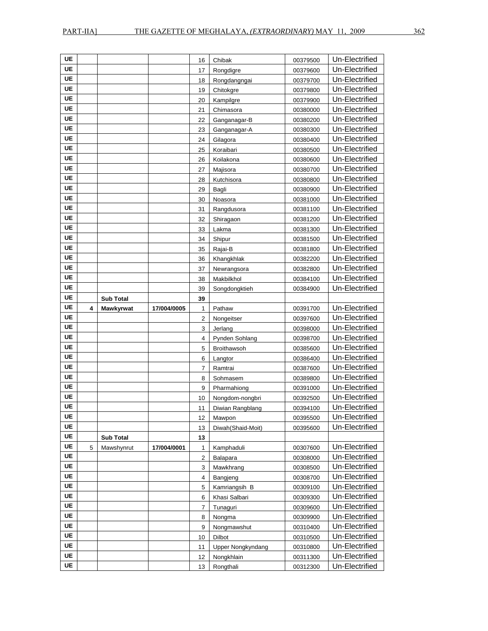| UE        |   |                  |             | 16             | Chibak                                 | 00379500             | Un-Electrified                   |
|-----------|---|------------------|-------------|----------------|----------------------------------------|----------------------|----------------------------------|
| <b>UE</b> |   |                  |             | 17             | Rongdigre                              | 00379600             | Un-Electrified                   |
| UE        |   |                  |             | 18             | Rongdangngai                           | 00379700             | Un-Electrified                   |
| UE        |   |                  |             | 19             | Chitokgre                              | 00379800             | Un-Electrified                   |
| UE        |   |                  |             | 20             | Kampilgre                              | 00379900             | Un-Electrified                   |
| UE        |   |                  |             | 21             | Chimasora                              | 00380000             | Un-Electrified                   |
| UE        |   |                  |             | 22             | Ganganagar-B                           | 00380200             | Un-Electrified                   |
| UE        |   |                  |             | 23             | Ganganagar-A                           | 00380300             | Un-Electrified                   |
| UE        |   |                  |             | 24             | Gilagora                               | 00380400             | Un-Electrified                   |
| UE        |   |                  |             | 25             | Koraibari                              | 00380500             | Un-Electrified                   |
| UE        |   |                  |             | 26             | Koilakona                              | 00380600             | Un-Electrified                   |
| UE        |   |                  |             | 27             | Majisora                               | 00380700             | Un-Electrified                   |
| UE        |   |                  |             | 28             | Kutchisora                             | 00380800             | Un-Electrified                   |
| UE        |   |                  |             | 29             | Bagli                                  | 00380900             | Un-Electrified                   |
| UE        |   |                  |             | 30             | Noasora                                | 00381000             | Un-Electrified                   |
| UE        |   |                  |             | 31             | Rangdusora                             | 00381100             | Un-Electrified                   |
| UE        |   |                  |             | 32             | Shiragaon                              | 00381200             | Un-Electrified                   |
| UE        |   |                  |             | 33             | Lakma                                  | 00381300             | Un-Electrified                   |
| UE        |   |                  |             | 34             | Shipur                                 | 00381500             | Un-Electrified                   |
| UE        |   |                  |             | 35             | Rajai-B                                | 00381800             | Un-Electrified                   |
| UE        |   |                  |             | 36             | Khangkhlak                             | 00382200             | Un-Electrified                   |
| UE        |   |                  |             | 37             | Newrangsora                            | 00382800             | Un-Electrified                   |
| UE        |   |                  |             | 38             | Makbilkhol                             | 00384100             | Un-Electrified                   |
| UE        |   |                  |             | 39             | Songdongktieh                          | 00384900             | Un-Electrified                   |
| UE        |   | <b>Sub Total</b> |             | 39             |                                        |                      |                                  |
| UE        | 4 | Mawkyrwat        | 17/004/0005 | 1              | Pathaw                                 | 00391700             | Un-Electrified                   |
|           |   |                  |             |                |                                        |                      |                                  |
| UE        |   |                  |             |                |                                        |                      |                                  |
| UE        |   |                  |             | $\overline{2}$ | Nongeitser                             | 00397600             | Un-Electrified                   |
| UE        |   |                  |             | 3              | Jerlang                                | 00398000             | Un-Electrified                   |
| UE        |   |                  |             | 4              | Pynden Sohlang                         | 00398700             | Un-Electrified                   |
| UE        |   |                  |             | 5              | <b>Broithawsoh</b>                     | 00385600             | Un-Electrified                   |
| UE        |   |                  |             | 6              | Langtor                                | 00386400             | Un-Electrified                   |
| UE        |   |                  |             | 7              | Ramtrai                                | 00387600             | Un-Electrified                   |
| UE        |   |                  |             | 8              | Sohmasem                               | 00389800             | Un-Electrified                   |
| UE        |   |                  |             | 9              | Pharmahiong                            | 00391000             | Un-Electrified                   |
| UE        |   |                  |             | 10             | Nongdom-nongbri                        | 00392500             | Un-Electrified                   |
| UE        |   |                  |             | 11             | Diwian Rangblang                       | 00394100             | Un-Electrified                   |
| UE        |   |                  |             | 12             | Mawpon                                 | 00395500             | Un-Electrified                   |
| UE        |   |                  |             | 13             | Diwah(Shaid-Moit)                      | 00395600             | Un-Electrified                   |
| UE        |   | <b>Sub Total</b> |             | 13             |                                        |                      |                                  |
| UE        | 5 | Mawshynrut       | 17/004/0001 | $\mathbf{1}$   | Kamphaduli                             | 00307600             | Un-Electrified                   |
| UE        |   |                  |             | 2              | Balapara                               | 00308000             | Un-Electrified                   |
| <b>UE</b> |   |                  |             | 3              | Mawkhrang                              | 00308500             | Un-Electrified                   |
| <b>UE</b> |   |                  |             | 4              | Bangjeng                               | 00308700             | Un-Electrified                   |
| UE        |   |                  |             | 5              | Kamriangsih B                          | 00309100             | Un-Electrified                   |
| UE        |   |                  |             | 6              | Khasi Salbari                          | 00309300             | Un-Electrified                   |
| UE        |   |                  |             | 7              | Tunaguri                               | 00309600             | Un-Electrified                   |
| UE        |   |                  |             | 8              | Nongma                                 | 00309900             | Un-Electrified                   |
| UE        |   |                  |             | 9              | Nongmawshut                            | 00310400             | Un-Electrified                   |
| UE        |   |                  |             | 10             | <b>Dilbot</b>                          | 00310500             | Un-Electrified                   |
| <b>UE</b> |   |                  |             | 11<br>12       | <b>Upper Nongkyndang</b><br>Nongkhlain | 00310800<br>00311300 | Un-Electrified<br>Un-Electrified |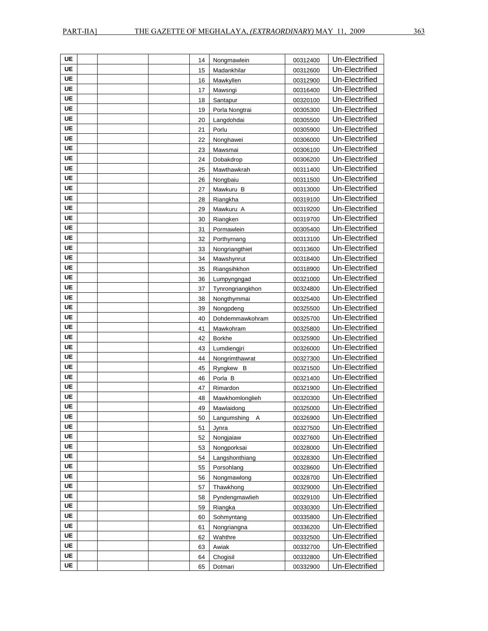| UE        |  | 14 | Nongmawlein      | 00312400 | Un-Electrified |
|-----------|--|----|------------------|----------|----------------|
| UE        |  | 15 | Madankhilar      | 00312600 | Un-Electrified |
| <b>UE</b> |  | 16 | Mawkyllen        | 00312900 | Un-Electrified |
| UE        |  | 17 | Mawsngi          | 00316400 | Un-Electrified |
| UE        |  | 18 | Santapur         | 00320100 | Un-Electrified |
| UE        |  | 19 | Porla Nongtrai   | 00305300 | Un-Electrified |
| UE        |  | 20 | Langdohdai       | 00305500 | Un-Electrified |
| UE        |  | 21 | Porlu            | 00305900 | Un-Electrified |
| UE        |  | 22 | Nonghawei        | 00306000 | Un-Electrified |
| UE        |  | 23 | Mawsmai          | 00306100 | Un-Electrified |
| UE        |  | 24 | Dobakdrop        | 00306200 | Un-Electrified |
| UE        |  | 25 | Mawthawkrah      | 00311400 | Un-Electrified |
| UE        |  | 26 | Nongbaiu         | 00311500 | Un-Electrified |
| UE        |  | 27 | Mawkuru B        | 00313000 | Un-Electrified |
| UE        |  | 28 | Riangkha         | 00319100 | Un-Electrified |
| <b>UE</b> |  | 29 | Mawkuru A        | 00319200 | Un-Electrified |
| UE        |  | 30 | Riangken         | 00319700 | Un-Electrified |
| UE        |  | 31 | Pormawlein       | 00305400 | Un-Electrified |
| UE        |  | 32 | Porthyrnang      | 00313100 | Un-Electrified |
| UE        |  | 33 | Nongriangthiet   | 00313600 | Un-Electrified |
| UE        |  | 34 | Mawshynrut       | 00318400 | Un-Electrified |
| UE        |  | 35 | Riangsihkhon     | 00318900 | Un-Electrified |
| UE        |  | 36 | Lumpyngngad      | 00321000 | Un-Electrified |
| UE        |  | 37 | Tynrongriangkhon | 00324800 | Un-Electrified |
| UE        |  | 38 | Nongthymmai      | 00325400 | Un-Electrified |
| UE        |  | 39 | Nongpdeng        | 00325500 | Un-Electrified |
| <b>UE</b> |  | 40 | Dohdemmawkohram  | 00325700 | Un-Electrified |
| UE        |  | 41 | Mawkohram        | 00325800 | Un-Electrified |
| <b>UE</b> |  | 42 | <b>Borkhe</b>    | 00325900 | Un-Electrified |
| UE        |  | 43 | Lumdiengjri      | 00326000 | Un-Electrified |
| UE        |  | 44 | Nongrimthawrat   | 00327300 | Un-Electrified |
| UE        |  | 45 | Ryngkew B        | 00321500 | Un-Electrified |
| UE        |  | 46 | Porla B          | 00321400 | Un-Electrified |
| UE        |  | 47 | Rimardon         | 00321900 | Un-Electrified |
| UE        |  | 48 | Mawkhomlonglieh  | 00320300 | Un-Electrified |
| UE        |  | 49 | Mawlaidong       | 00325000 | Un-Electrified |
| UE        |  | 50 | Langumshing<br>A | 00326900 | Un-Electrified |
| UE        |  | 51 | Jynra            | 00327500 | Un-Electrified |
| <b>UE</b> |  | 52 | Nongjaiaw        | 00327600 | Un-Electrified |
| UE        |  | 53 | Nongporksai      | 00328000 | Un-Electrified |
| UE        |  | 54 | Langshonthiang   | 00328300 | Un-Electrified |
| <b>UE</b> |  | 55 | Porsohlang       | 00328600 | Un-Electrified |
| <b>UE</b> |  | 56 | Nongmawlong      | 00328700 | Un-Electrified |
| UE        |  | 57 | Thawkhong        | 00329000 | Un-Electrified |
| <b>UE</b> |  | 58 | Pyndengmawlieh   | 00329100 | Un-Electrified |
| UE        |  | 59 | Riangka          | 00330300 | Un-Electrified |
| UE        |  | 60 | Sohmyntang       | 00335800 | Un-Electrified |
| UE        |  | 61 | Nongriangna      | 00336200 | Un-Electrified |
| UE        |  | 62 | Wahthre          | 00332500 | Un-Electrified |
| UE        |  | 63 | Awiak            | 00332700 | Un-Electrified |
| UE        |  | 64 | Chogisil         | 00332800 | Un-Electrified |
| UE        |  | 65 | Dotmari          | 00332900 | Un-Electrified |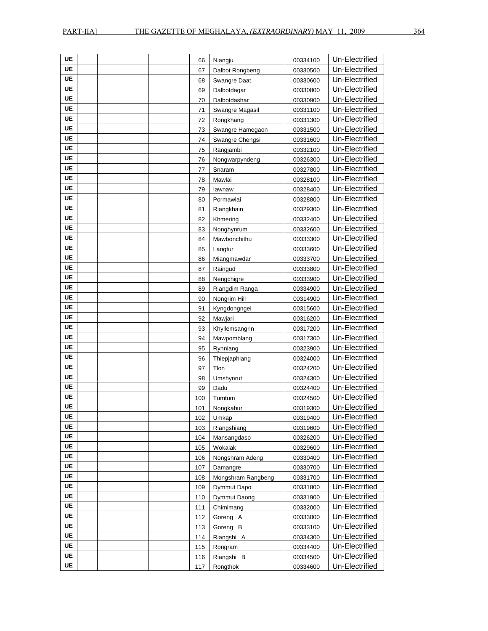| UE        |  | 66  | Niangju            | 00334100 | Un-Electrified |
|-----------|--|-----|--------------------|----------|----------------|
| <b>UE</b> |  | 67  | Dalbot Rongbeng    | 00330500 | Un-Electrified |
| UE        |  | 68  | Swangre Daat       | 00330600 | Un-Electrified |
| UE        |  | 69  | Dalbotdagar        | 00330800 | Un-Electrified |
| UE        |  | 70  | Dalbotdashar       | 00330900 | Un-Electrified |
| UE        |  | 71  | Swangre Magasil    | 00331100 | Un-Electrified |
| UE        |  | 72  | Rongkhang          | 00331300 | Un-Electrified |
| UE        |  | 73  | Swangre Hamegaon   | 00331500 | Un-Electrified |
| UE        |  | 74  | Swangre Chengsi    | 00331600 | Un-Electrified |
| UE        |  | 75  | Rangjambi          | 00332100 | Un-Electrified |
| UE        |  | 76  | Nongwarpyndeng     | 00326300 | Un-Electrified |
| UE        |  | 77  | Snaram             | 00327800 | Un-Electrified |
| UE        |  | 78  | Mawlai             | 00328100 | Un-Electrified |
| UE        |  | 79  | lawnaw             | 00328400 | Un-Electrified |
| UE        |  | 80  | Pormawlai          | 00328800 | Un-Electrified |
| UE        |  | 81  | Riangkhain         | 00329300 | Un-Electrified |
| UE        |  | 82  | Khmering           | 00332400 | Un-Electrified |
| UE        |  | 83  | Nonghynrum         | 00332600 | Un-Electrified |
| UE        |  | 84  | Mawbonchithu       | 00333300 | Un-Electrified |
| UE        |  | 85  | Langtur            | 00333600 | Un-Electrified |
| UE        |  | 86  | Miangmawdar        | 00333700 | Un-Electrified |
| UE        |  | 87  | Raingud            | 00333800 | Un-Electrified |
| UE        |  | 88  | Nengchigre         | 00333900 | Un-Electrified |
| UE        |  | 89  | Riangdim Ranga     | 00334900 | Un-Electrified |
| UE        |  | 90  | Nongrim Hill       | 00314900 | Un-Electrified |
| UE        |  | 91  | Kyngdongngei       | 00315600 | Un-Electrified |
| UE        |  | 92  | Mawjari            | 00316200 | Un-Electrified |
| UE        |  | 93  | Khyllemsangrin     | 00317200 | Un-Electrified |
| UE        |  | 94  | Mawpomblang        | 00317300 | Un-Electrified |
| UE        |  | 95  | Rynniang           | 00323900 | Un-Electrified |
| UE        |  | 96  | Thiepjaphlang      | 00324000 | Un-Electrified |
| UE        |  | 97  | Tlon               | 00324200 | Un-Electrified |
| UE        |  | 98  | Umshynrut          | 00324300 | Un-Electrified |
| UE        |  | 99  | Dadu               | 00324400 | Un-Electrified |
| UE        |  | 100 | Tumtum             | 00324500 | Un-Electrified |
| UE        |  | 101 | Nongkabur          | 00319300 | Un-Electrified |
| UE        |  | 102 | Umkap              | 00319400 | Un-Electrified |
| UE        |  | 103 | Riangshiang        | 00319600 | Un-Electrified |
| UE        |  | 104 | Mansangdaso        | 00326200 | Un-Electrified |
| UE        |  | 105 | Wokalak            | 00329600 | Un-Electrified |
| <b>UE</b> |  | 106 | Nongshram Adeng    | 00330400 | Un-Electrified |
| UE        |  | 107 | Damangre           | 00330700 | Un-Electrified |
| UE        |  | 108 | Mongshram Rangbeng | 00331700 | Un-Electrified |
| <b>UE</b> |  | 109 | Dymmut Dapo        | 00331800 | Un-Electrified |
| UE        |  | 110 | Dymmut Daong       | 00331900 | Un-Electrified |
| UE        |  | 111 | Chimimang          | 00332000 | Un-Electrified |
| UE        |  | 112 | Goreng A           | 00333000 | Un-Electrified |
| UE        |  | 113 | Goreng B           | 00333100 | Un-Electrified |
| UE        |  | 114 | Riangshi A         | 00334300 | Un-Electrified |
| UE        |  | 115 | Rongram            | 00334400 | Un-Electrified |
| UE        |  | 116 | Riangshi B         | 00334500 | Un-Electrified |
| UE        |  | 117 | Rongthok           | 00334600 | Un-Electrified |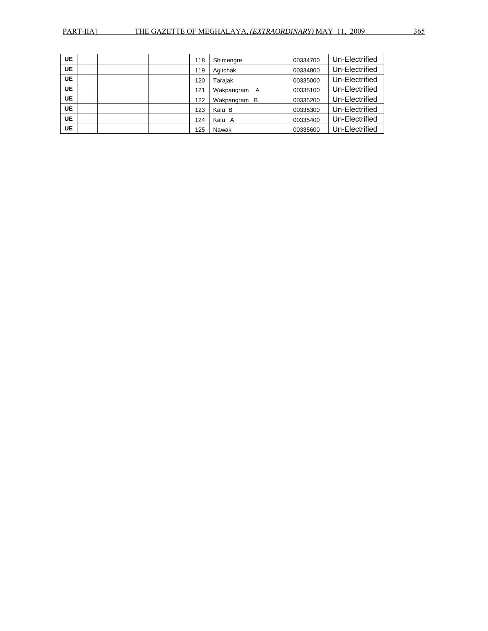| <b>UE</b> | 118 | Shimengre    | 00334700 | Un-Electrified |
|-----------|-----|--------------|----------|----------------|
| <b>UE</b> | 119 | Agitchak     | 00334800 | Un-Electrified |
| <b>UE</b> | 120 | Tarajak      | 00335000 | Un-Electrified |
| <b>UE</b> | 121 | Wakpangram A | 00335100 | Un-Electrified |
| <b>UE</b> | 122 | Wakpangram B | 00335200 | Un-Electrified |
| <b>UE</b> | 123 | Kalu B       | 00335300 | Un-Electrified |
| <b>UE</b> | 124 | Kalu<br>A    | 00335400 | Un-Electrified |
| <b>UE</b> | 125 | Nawak        | 00335600 | Un-Electrified |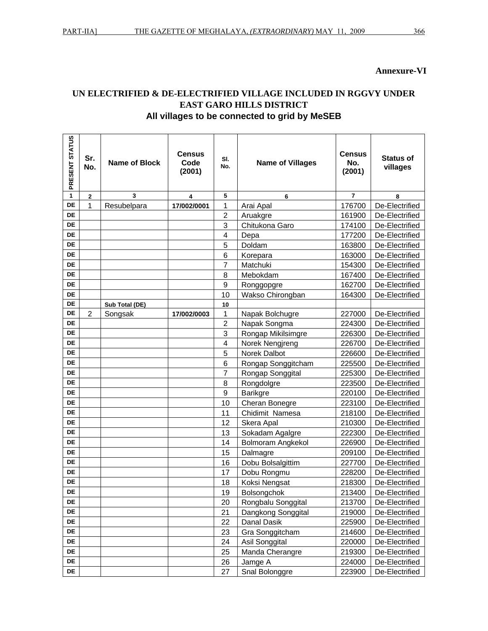### **Annexure-VI**

## UN ELECTRIFIED & DE-ELECTRIFIED VILLAGE INCLUDED IN RGGVY UNDER **EAST GARO HILLS DISTRICT** All villages to be connected to grid by MeSEB

| PRESENT STATUS | Sr.<br>No.     | <b>Name of Block</b> | <b>Census</b><br>Code<br>(2001) | SI.<br>No.              | <b>Name of Villages</b> | <b>Census</b><br>No.<br>(2001) | <b>Status of</b><br>villages |
|----------------|----------------|----------------------|---------------------------------|-------------------------|-------------------------|--------------------------------|------------------------------|
| 1              | $\overline{2}$ | 3                    | 4                               | 5                       | 6                       | $\overline{7}$                 | 8                            |
| DE             | 1              | Resubelpara          | 17/002/0001                     | 1                       | Arai Apal               | 176700                         | De-Electrified               |
| <b>DE</b>      |                |                      |                                 | $\overline{2}$          | Aruakgre                | 161900                         | De-Electrified               |
| DE             |                |                      |                                 | 3                       | Chitukona Garo          | 174100                         | De-Electrified               |
| DE             |                |                      |                                 | $\overline{\mathbf{4}}$ | Depa                    | 177200                         | De-Electrified               |
| DE             |                |                      |                                 | 5                       | Doldam                  | 163800                         | De-Electrified               |
| <b>DE</b>      |                |                      |                                 | 6                       | Korepara                | 163000                         | De-Electrified               |
| <b>DE</b>      |                |                      |                                 | 7                       | Matchuki                | 154300                         | De-Electrified               |
| <b>DE</b>      |                |                      |                                 | 8                       | Mebokdam                | 167400                         | De-Electrified               |
| <b>DE</b>      |                |                      |                                 | 9                       | Ronggopgre              | 162700                         | De-Electrified               |
| <b>DE</b>      |                |                      |                                 | 10                      | Wakso Chirongban        | 164300                         | De-Electrified               |
| <b>DE</b>      |                | Sub Total (DE)       |                                 | 10                      |                         |                                |                              |
| <b>DE</b>      | 2              | Songsak              | 17/002/0003                     | 1                       | Napak Bolchugre         | 227000                         | De-Electrified               |
| DE             |                |                      |                                 | $\overline{c}$          | Napak Songma            | 224300                         | De-Electrified               |
| <b>DE</b>      |                |                      |                                 | 3                       | Rongap Mikilsimgre      | 226300                         | De-Electrified               |
| DE             |                |                      |                                 | 4                       | Norek Nengjreng         | 226700                         | De-Electrified               |
| DE             |                |                      |                                 | 5                       | Norek Dalbot            | 226600                         | De-Electrified               |
| <b>DE</b>      |                |                      |                                 | 6                       | Rongap Songgitcham      | 225500                         | De-Electrified               |
| DE             |                |                      |                                 | $\overline{7}$          | Rongap Songgital        | 225300                         | De-Electrified               |
| DE             |                |                      |                                 | 8                       | Rongdolgre              | 223500                         | De-Electrified               |
| DE             |                |                      |                                 | 9                       | <b>Barikgre</b>         | 220100                         | De-Electrified               |
| DE             |                |                      |                                 | 10                      | Cheran Bonegre          | 223100                         | De-Electrified               |
| <b>DE</b>      |                |                      |                                 | 11                      | Chidimit Namesa         | 218100                         | De-Electrified               |
| <b>DE</b>      |                |                      |                                 | 12                      | Skera Apal              | 210300                         | De-Electrified               |
| DE             |                |                      |                                 | 13                      | Sokadam Agalgre         | 222300                         | De-Electrified               |
| <b>DE</b>      |                |                      |                                 | 14                      | Bolmoram Angkekol       | 226900                         | De-Electrified               |
| DE             |                |                      |                                 | 15                      | Dalmagre                | 209100                         | De-Electrified               |
| <b>DE</b>      |                |                      |                                 | 16                      | Dobu Bolsalgittim       | 227700                         | De-Electrified               |
| DE             |                |                      |                                 | 17                      | Dobu Rongmu             | 228200                         | De-Electrified               |
| DE             |                |                      |                                 | 18                      | Koksi Nengsat           | 218300                         | De-Electrified               |
| DE             |                |                      |                                 | 19                      | Bolsongchok             |                                | 213400   De-Electrified      |
| DE             |                |                      |                                 | 20                      | Rongbalu Songgital      | 213700                         | De-Electrified               |
| DE             |                |                      |                                 | 21                      | Dangkong Songgital      | 219000                         | De-Electrified               |
| DE             |                |                      |                                 | 22                      | Danal Dasik             | 225900                         | De-Electrified               |
| DE             |                |                      |                                 | 23                      | Gra Songgitcham         | 214600                         | De-Electrified               |
| DE             |                |                      |                                 | 24                      | Asil Songgital          | 220000                         | De-Electrified               |
| DE             |                |                      |                                 | 25                      | Manda Cherangre         | 219300                         | De-Electrified               |
| DE             |                |                      |                                 | 26                      | Jamge A                 | 224000                         | De-Electrified               |
| DE             |                |                      |                                 | 27                      | Snal Bolonggre          | 223900                         | De-Electrified               |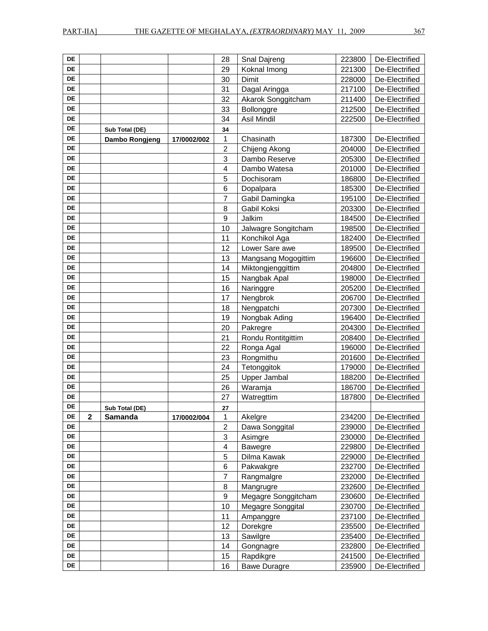| <b>DE</b> |             |                |             | 28                      | Snal Dajreng        | 223800 | De-Electrified |
|-----------|-------------|----------------|-------------|-------------------------|---------------------|--------|----------------|
| <b>DE</b> |             |                |             | 29                      | Koknal Imong        | 221300 | De-Electrified |
| <b>DE</b> |             |                |             | 30                      | Dimit               | 228000 | De-Electrified |
| DE        |             |                |             | 31                      | Dagal Aringga       | 217100 | De-Electrified |
| DE        |             |                |             | 32                      | Akarok Songgitcham  | 211400 | De-Electrified |
| DE        |             |                |             | 33                      | Bollonggre          | 212500 | De-Electrified |
| DE        |             |                |             | 34                      | Asil Mindil         | 222500 | De-Electrified |
| DE        |             | Sub Total (DE) |             | 34                      |                     |        |                |
| <b>DE</b> |             | Dambo Rongjeng | 17/0002/002 | 1                       | Chasinath           | 187300 | De-Electrified |
| DE        |             |                |             | $\overline{\mathbf{c}}$ | Chijeng Akong       | 204000 | De-Electrified |
| DE        |             |                |             | 3                       | Dambo Reserve       | 205300 | De-Electrified |
| DE        |             |                |             | $\overline{4}$          | Dambo Watesa        | 201000 | De-Electrified |
| <b>DE</b> |             |                |             | 5                       | Dochisoram          | 186800 | De-Electrified |
| DE        |             |                |             | 6                       | Dopalpara           | 185300 | De-Electrified |
| DE        |             |                |             | $\overline{7}$          | Gabil Damingka      | 195100 | De-Electrified |
| DE        |             |                |             | 8                       | Gabil Koksi         | 203300 | De-Electrified |
| DE        |             |                |             | $\boldsymbol{9}$        | Jalkim              | 184500 | De-Electrified |
| DE        |             |                |             | 10                      | Jalwagre Songitcham | 198500 | De-Electrified |
| DE        |             |                |             | 11                      | Konchikol Aga       | 182400 | De-Electrified |
| DE        |             |                |             | 12                      | Lower Sare awe      | 189500 | De-Electrified |
| DE        |             |                |             | 13                      | Mangsang Mogogittim | 196600 | De-Electrified |
| DE        |             |                |             | 14                      | Miktongjenggittim   | 204800 | De-Electrified |
| <b>DE</b> |             |                |             | 15                      | Nangbak Apal        | 198000 | De-Electrified |
| DE        |             |                |             | 16                      | Naringgre           | 205200 | De-Electrified |
| DE        |             |                |             | 17                      | Nengbrok            | 206700 | De-Electrified |
| <b>DE</b> |             |                |             | 18                      | Nengpatchi          | 207300 | De-Electrified |
| <b>DE</b> |             |                |             | 19                      | Nongbak Ading       | 196400 | De-Electrified |
| DE        |             |                |             | 20                      | Pakregre            | 204300 | De-Electrified |
| DE        |             |                |             | 21                      | Rondu Rontitgittim  | 208400 | De-Electrified |
| DE        |             |                |             | 22                      | Ronga Agal          | 196000 | De-Electrified |
| DE        |             |                |             | 23                      | Rongmithu           | 201600 | De-Electrified |
| DE        |             |                |             | 24                      | Tetonggitok         | 179000 | De-Electrified |
| DE        |             |                |             | 25                      | Upper Jambal        | 188200 | De-Electrified |
| DE        |             |                |             | 26                      | Waramja             | 186700 | De-Electrified |
| DE        |             |                |             | 27                      | Watregttim          | 187800 | De-Electrified |
| DE        |             | Sub Total (DE) |             | 27                      |                     |        |                |
| DE        | $\mathbf 2$ | <b>Samanda</b> | 17/0002/004 | 1                       | Akelgre             | 234200 | De-Electrified |
| DE        |             |                |             | $\overline{c}$          | Dawa Songgital      | 239000 | De-Electrified |
| DE        |             |                |             | 3                       | Asimgre             | 230000 | De-Electrified |
| DE        |             |                |             | 4                       | Bawegre             | 229800 | De-Electrified |
| DE        |             |                |             | 5                       | Dilma Kawak         | 229000 | De-Electrified |
| DE        |             |                |             | 6                       | Pakwakgre           | 232700 | De-Electrified |
| DE        |             |                |             | $\overline{7}$          | Rangmalgre          | 232000 | De-Electrified |
| DE        |             |                |             | 8                       | Mangrugre           | 232600 | De-Electrified |
| DE        |             |                |             | $\boldsymbol{9}$        | Megagre Songgitcham | 230600 | De-Electrified |
| DE        |             |                |             | 10                      | Megagre Songgital   | 230700 | De-Electrified |
| DE        |             |                |             | 11                      | Ampanggre           | 237100 | De-Electrified |
| DE        |             |                |             | 12                      | Dorekgre            | 235500 | De-Electrified |
| DE        |             |                |             | 13                      | Sawilgre            | 235400 | De-Electrified |
| DE        |             |                |             | 14                      | Gongnagre           | 232800 | De-Electrified |
| DE        |             |                |             | 15                      | Rapdikgre           | 241500 | De-Electrified |
| DE        |             |                |             | 16                      | <b>Bawe Duragre</b> | 235900 | De-Electrified |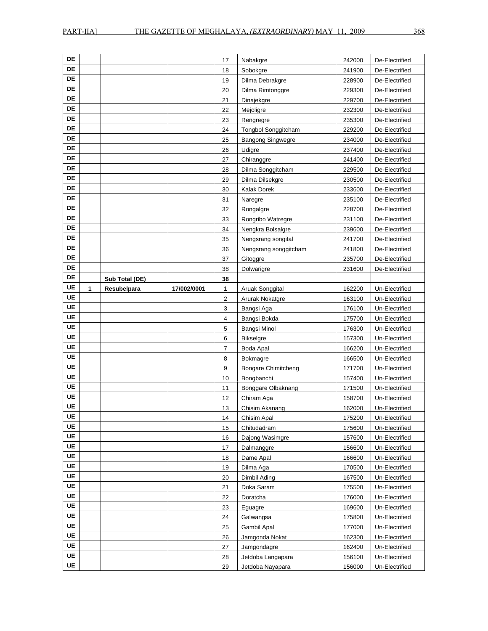| DE                     |   |                |             |                         |                            |        |                |
|------------------------|---|----------------|-------------|-------------------------|----------------------------|--------|----------------|
|                        |   |                |             | 17                      | Nabakgre                   | 242000 | De-Electrified |
| DE                     |   |                |             | 18                      | Sobokgre                   | 241900 | De-Electrified |
| DE                     |   |                |             | 19                      | Dilma Debrakgre            | 228900 | De-Electrified |
| DE                     |   |                |             | 20                      | Dilma Rimtonggre           | 229300 | De-Electrified |
| DE                     |   |                |             | 21                      | Dinajekgre                 | 229700 | De-Electrified |
| <b>DE</b>              |   |                |             | 22                      | Mejoligre                  | 232300 | De-Electrified |
| DE                     |   |                |             | 23                      | Rengregre                  | 235300 | De-Electrified |
| DE                     |   |                |             | 24                      | Tongbol Songgitcham        | 229200 | De-Electrified |
| DE                     |   |                |             | 25                      | Bangong Singwegre          | 234000 | De-Electrified |
| $\mathsf{DE}$          |   |                |             | 26                      | Udigre                     | 237400 | De-Electrified |
| DE                     |   |                |             | 27                      | Chiranggre                 | 241400 | De-Electrified |
| DE                     |   |                |             | 28                      | Dilma Songgitcham          | 229500 | De-Electrified |
| DE                     |   |                |             | 29                      | Dilma Dilsekgre            | 230500 | De-Electrified |
| DE                     |   |                |             | 30                      | Kalak Dorek                | 233600 | De-Electrified |
| DE                     |   |                |             | 31                      | Naregre                    | 235100 | De-Electrified |
| <b>DE</b>              |   |                |             | 32                      | Rongalgre                  | 228700 | De-Electrified |
| DE                     |   |                |             | 33                      | Rongribo Watregre          | 231100 | De-Electrified |
| DE                     |   |                |             | 34                      | Nengkra Bolsalgre          | 239600 | De-Electrified |
| DE                     |   |                |             | 35                      | Nengsrang songital         | 241700 | De-Electrified |
| DE                     |   |                |             | 36                      | Nengsrang songgitcham      | 241800 | De-Electrified |
| DE                     |   |                |             | 37                      | Gitoggre                   | 235700 | De-Electrified |
| DE                     |   |                |             | 38                      | Dolwarigre                 | 231600 | De-Electrified |
| DE                     |   | Sub Total (DE) |             | 38                      |                            |        |                |
| <b>UE</b>              | 1 | Resubelpara    | 17/002/0001 | 1                       | Aruak Songgital            | 162200 | Un-Electrified |
| UE                     |   |                |             | $\overline{\mathbf{c}}$ | Arurak Nokatgre            | 163100 | Un-Electrified |
| <b>UE</b>              |   |                |             | 3                       | Bangsi Aga                 | 176100 | Un-Electrified |
| UE                     |   |                |             | 4                       | Bangsi Bokda               | 175700 | Un-Electrified |
| <b>UE</b>              |   |                |             | 5                       | Bangsi Minol               | 176300 | Un-Electrified |
| UE                     |   |                |             | 6                       | <b>Bikselgre</b>           | 157300 | Un-Electrified |
| <b>UE</b>              |   |                |             | $\overline{7}$          | Boda Apal                  | 166200 | Un-Electrified |
|                        |   |                |             |                         |                            |        |                |
| UE                     |   |                |             | 8                       | <b>Bokmagre</b>            | 166500 | Un-Electrified |
| UE                     |   |                |             | 9                       | <b>Bongare Chimitcheng</b> | 171700 | Un-Electrified |
| UE                     |   |                |             | 10                      | Bongbanchi                 | 157400 | Un-Electrified |
| UE                     |   |                |             | 11                      | Bonggare Olbaknang         | 171500 | Un-Electrified |
| UE                     |   |                |             | 12                      | Chiram Aga                 | 158700 | Un-Electrified |
| <b>UE</b>              |   |                |             | 13                      | Chisim Akanang             | 162000 | Un-Electrified |
| UE                     |   |                |             | 14                      | Chisim Apal                | 175200 | Un-Electrified |
| UE                     |   |                |             | 15                      | Chitudadram                | 175600 | Un-Electrified |
| UE                     |   |                |             | 16                      | Dajong Wasimgre            | 157600 | Un-Electrified |
| <b>UE</b>              |   |                |             | 17                      | Dalmanggre                 | 156600 | Un-Electrified |
| <b>UE</b>              |   |                |             | 18                      | Dame Apal                  | 166600 | Un-Electrified |
| UE                     |   |                |             | 19                      | Dilma Aga                  | 170500 | Un-Electrified |
| UE                     |   |                |             | 20                      | Dimbil Ading               | 167500 | Un-Electrified |
| <b>UE</b>              |   |                |             | 21                      | Doka Saram                 | 175500 | Un-Electrified |
| UE                     |   |                |             | 22                      | Doratcha                   | 176000 | Un-Electrified |
| UE                     |   |                |             | 23                      | Eguagre                    | 169600 | Un-Electrified |
| UE                     |   |                |             | 24                      | Galwangsa                  | 175800 | Un-Electrified |
| UE                     |   |                |             | 25                      | Gambil Apal                | 177000 | Un-Electrified |
| UE                     |   |                |             | 26                      | Jamgonda Nokat             | 162300 | Un-Electrified |
| <b>UE</b>              |   |                |             | 27                      | Jamgondagre                | 162400 | Un-Electrified |
| <b>UE</b><br><b>UE</b> |   |                |             | 28                      | Jetdoba Langapara          | 156100 | Un-Electrified |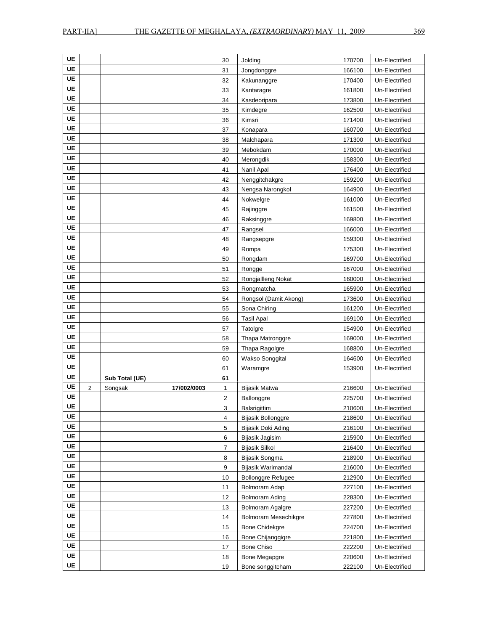| UE        |                |                |             |                |                           |        |                |
|-----------|----------------|----------------|-------------|----------------|---------------------------|--------|----------------|
| UE        |                |                |             | 30             | Jolding                   | 170700 | Un-Electrified |
| UE        |                |                |             | 31             | Jongdonggre               | 166100 | Un-Electrified |
| UE        |                |                |             | 32             | Kakunanggre               | 170400 | Un-Electrified |
| <b>UE</b> |                |                |             | 33             | Kantaragre                | 161800 | Un-Electrified |
|           |                |                |             | 34             | Kasdeoripara              | 173800 | Un-Electrified |
| UE        |                |                |             | 35             | Kimdegre                  | 162500 | Un-Electrified |
| <b>UE</b> |                |                |             | 36             | Kimsri                    | 171400 | Un-Electrified |
| UE        |                |                |             | 37             | Konapara                  | 160700 | Un-Electrified |
| UE        |                |                |             | 38             | Malchapara                | 171300 | Un-Electrified |
| UE        |                |                |             | 39             | Mebokdam                  | 170000 | Un-Electrified |
| UE        |                |                |             | 40             | Merongdik                 | 158300 | Un-Electrified |
| <b>UE</b> |                |                |             | 41             | Nanil Apal                | 176400 | Un-Electrified |
| UE        |                |                |             | 42             | Nenggitchakgre            | 159200 | Un-Electrified |
| UE        |                |                |             | 43             | Nengsa Narongkol          | 164900 | Un-Electrified |
| UE        |                |                |             | 44             | Nokwelgre                 | 161000 | Un-Electrified |
| UE        |                |                |             | 45             | Rajinggre                 | 161500 | Un-Electrified |
| <b>UE</b> |                |                |             | 46             | Raksinggre                | 169800 | Un-Electrified |
| UE        |                |                |             | 47             | Rangsel                   | 166000 | Un-Electrified |
| UE        |                |                |             | 48             | Rangsepgre                | 159300 | Un-Electrified |
| UE        |                |                |             | 49             | Rompa                     | 175300 | Un-Electrified |
| UE        |                |                |             | 50             | Rongdam                   | 169700 | Un-Electrified |
| UE        |                |                |             | 51             | Rongge                    | 167000 | Un-Electrified |
| UE        |                |                |             | 52             | Rongjallleng Nokat        | 160000 | Un-Electrified |
| UE        |                |                |             | 53             | Rongmatcha                | 165900 | Un-Electrified |
| UE        |                |                |             | 54             | Rongsol (Damit Akong)     | 173600 | Un-Electrified |
| <b>UE</b> |                |                |             | 55             | Sona Chiring              | 161200 | Un-Electrified |
| UE        |                |                |             | 56             | <b>Tasil Apal</b>         | 169100 | Un-Electrified |
| UE        |                |                |             | 57             | Tatolgre                  | 154900 | Un-Electrified |
| UE        |                |                |             | 58             | Thapa Matronggre          | 169000 | Un-Electrified |
| UE        |                |                |             | 59             | Thapa Ragolgre            | 168800 | Un-Electrified |
| <b>UE</b> |                |                |             | 60             | Wakso Songgital           | 164600 | Un-Electrified |
| UE        |                |                |             | 61             | Waramgre                  | 153900 | Un-Electrified |
| <b>UE</b> |                | Sub Total (UE) |             | 61             |                           |        |                |
| UE        | $\overline{2}$ | Songsak        | 17/002/0003 | 1              | Bijasik Matwa             | 216600 | Un-Electrified |
| UE        |                |                |             | $\overline{2}$ | Ballonggre                | 225700 | Un-Electrified |
| UE        |                |                |             | 3              | Balsrigittim              | 210600 | Un-Electrified |
| UE        |                |                |             | 4              | Bijasik Bollonggre        | 218600 | Un-Electrified |
| <b>UE</b> |                |                |             | 5              | Bijasik Doki Ading        | 216100 | Un-Electrified |
| <b>UE</b> |                |                |             | 6              | Bijasik Jagisim           | 215900 | Un-Electrified |
| <b>UE</b> |                |                |             | 7              | Bijasik Silkol            | 216400 | Un-Electrified |
| UE        |                |                |             | 8              | Bijasik Songma            | 218900 | Un-Electrified |
| UE        |                |                |             | 9              | Bijasik Warimandal        | 216000 | Un-Electrified |
| <b>UE</b> |                |                |             | 10             | <b>Bollonggre Refugee</b> | 212900 | Un-Electrified |
| <b>UE</b> |                |                |             | 11             | Bolmoram Adap             | 227100 | Un-Electrified |
| UE        |                |                |             | 12             | <b>Bolmoram Ading</b>     | 228300 | Un-Electrified |
| <b>UE</b> |                |                |             | 13             | <b>Bolmoram Agalgre</b>   | 227200 | Un-Electrified |
| UE        |                |                |             | 14             | Bolmoram Mesechikgre      | 227800 | Un-Electrified |
| <b>UE</b> |                |                |             | 15             | <b>Bone Chidekgre</b>     | 224700 | Un-Electrified |
| UE        |                |                |             | 16             | Bone Chijanggigre         | 221800 | Un-Electrified |
| UE        |                |                |             | 17             | <b>Bone Chiso</b>         | 222200 | Un-Electrified |
| <b>UE</b> |                |                |             | 18             | Bone Megapgre             | 220600 | Un-Electrified |
| UE        |                |                |             | 19             | Bone songgitcham          | 222100 | Un-Electrified |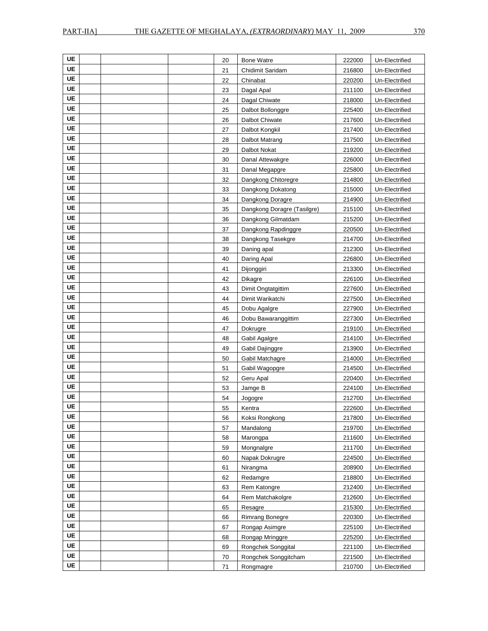| UE        | 20 | <b>Bone Watre</b>           | 222000 | Un-Electrified |
|-----------|----|-----------------------------|--------|----------------|
| <b>UE</b> | 21 | Chidimit Saridam            | 216800 | Un-Electrified |
| UE        | 22 | Chinabat                    | 220200 | Un-Electrified |
| <b>UE</b> | 23 | Dagal Apal                  | 211100 | Un-Electrified |
| UE        | 24 | Dagal Chiwate               | 218000 | Un-Electrified |
| UE        | 25 | Dalbot Bollonggre           | 225400 | Un-Electrified |
| UE        | 26 | Dalbot Chiwate              | 217600 | Un-Electrified |
| <b>UE</b> | 27 | Dalbot Kongkil              | 217400 | Un-Electrified |
| UE        | 28 | Dalbot Matrang              | 217500 | Un-Electrified |
| <b>UE</b> | 29 | Dalbot Nokat                | 219200 | Un-Electrified |
| UE        | 30 | Danal Attewakgre            | 226000 | Un-Electrified |
| UE        | 31 | Danal Megapgre              | 225800 | Un-Electrified |
| UE        | 32 | Dangkong Chitoregre         | 214800 | Un-Electrified |
| UE        | 33 | Dangkong Dokatong           | 215000 | Un-Electrified |
| UE        | 34 | Dangkong Doragre            | 214900 | Un-Electrified |
| <b>UE</b> | 35 | Dangkong Doragre (Tasilgre) | 215100 | Un-Electrified |
| UE        | 36 | Dangkong Gilmatdam          | 215200 | Un-Electrified |
| <b>UE</b> | 37 | Dangkong Rapdinggre         | 220500 | Un-Electrified |
| UE        | 38 | Dangkong Tasekgre           | 214700 | Un-Electrified |
| <b>UE</b> | 39 | Daning apal                 | 212300 | Un-Electrified |
| <b>UE</b> | 40 | Daring Apal                 | 226800 | Un-Electrified |
| <b>UE</b> | 41 | Dijonggiri                  | 213300 | Un-Electrified |
| UE        | 42 | <b>Dikagre</b>              | 226100 | Un-Electrified |
| <b>UE</b> | 43 | Dimit Ongtatgittim          | 227600 | Un-Electrified |
| UE        | 44 | Dimit Warikatchi            | 227500 | Un-Electrified |
| <b>UE</b> | 45 | Dobu Agalgre                | 227900 | Un-Electrified |
| UE        | 46 | Dobu Bawaranggittim         | 227300 | Un-Electrified |
| UE        | 47 | Dokrugre                    | 219100 | Un-Electrified |
| UE        | 48 | Gabil Agalgre               | 214100 | Un-Electrified |
| <b>UE</b> | 49 | Gabil Dajinggre             | 213900 | Un-Electrified |
| UE        | 50 | Gabil Matchagre             | 214000 | Un-Electrified |
| <b>UE</b> | 51 | Gabil Wagopgre              | 214500 | Un-Electrified |
| UE        | 52 | Geru Apal                   | 220400 | Un-Electrified |
| <b>UE</b> | 53 | Jamge B                     | 224100 | Un-Electrified |
| UE        | 54 | Jogogre                     | 212700 | Un-Electrified |
| UE        | 55 | Kentra                      | 222600 | Un-Electrified |
| UE        | 56 | Koksi Rongkong              | 217800 | Un-Electrified |
| UE        | 57 | Mandalong                   | 219700 | Un-Electrified |
| <b>UE</b> | 58 | Marongpa                    | 211600 | Un-Electrified |
| UE        | 59 | Mongnalgre                  | 211700 | Un-Electrified |
| UE        | 60 | Napak Dokrugre              | 224500 | Un-Electrified |
| <b>UE</b> | 61 | Nirangma                    | 208900 | Un-Electrified |
| UE        | 62 | Redamgre                    | 218800 | Un-Electrified |
| UE        | 63 | Rem Katongre                | 212400 | Un-Electrified |
| UE        | 64 | Rem Matchakolgre            | 212600 | Un-Electrified |
| UE        | 65 | Resagre                     | 215300 | Un-Electrified |
| UE        | 66 | <b>Rimrang Bonegre</b>      | 220300 | Un-Electrified |
| UE        | 67 | Rongap Asimgre              | 225100 | Un-Electrified |
| UE        | 68 | Rongap Mringgre             | 225200 | Un-Electrified |
| <b>UE</b> | 69 | Rongchek Songgital          | 221100 | Un-Electrified |
| UE        | 70 | Rongchek Songgitcham        | 221500 | Un-Electrified |
| UE        | 71 | Rongmagre                   | 210700 | Un-Electrified |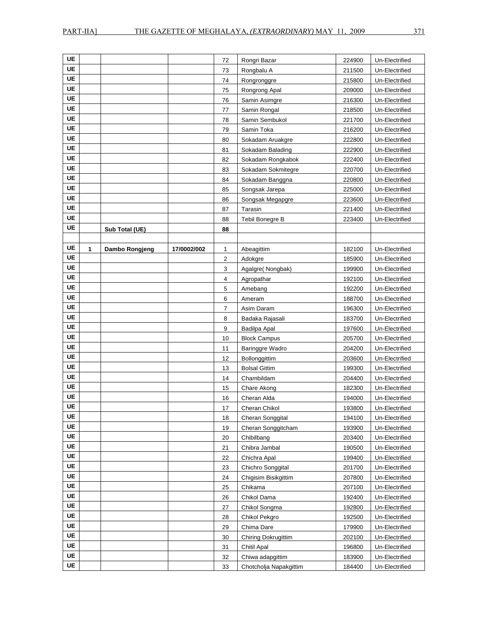| <b>UE</b> |   |                |             | 72 | Rongri Bazar           | 224900 | Un-Electrified |
|-----------|---|----------------|-------------|----|------------------------|--------|----------------|
| <b>UE</b> |   |                |             | 73 | Rongbalu A             | 211500 | Un-Electrified |
| UE        |   |                |             | 74 | Rongronggre            | 215800 | Un-Electrified |
| <b>UE</b> |   |                |             | 75 | Rongrong Apal          | 209000 | Un-Electrified |
| UE        |   |                |             | 76 | Samin Asimgre          | 216300 | Un-Electrified |
| <b>UE</b> |   |                |             | 77 | Samin Rongal           | 218500 | Un-Electrified |
| UE        |   |                |             | 78 | Samin Sembukol         | 221700 | Un-Electrified |
| UE        |   |                |             | 79 | Samin Toka             | 216200 | Un-Electrified |
| <b>UE</b> |   |                |             | 80 | Sokadam Aruakgre       | 222800 | Un-Electrified |
| <b>UE</b> |   |                |             | 81 | Sokadam Balading       | 222900 | Un-Electrified |
| UE        |   |                |             | 82 | Sokadam Rongkabok      | 222400 | Un-Electrified |
| <b>UE</b> |   |                |             | 83 | Sokadam Sokmitegre     | 220700 | Un-Electrified |
| UE        |   |                |             | 84 | Sokadam Banggna        | 220800 | Un-Electrified |
| <b>UE</b> |   |                |             | 85 | Songsak Jarepa         | 225000 | Un-Electrified |
| <b>UE</b> |   |                |             | 86 | Songsak Megapgre       | 223600 | Un-Electrified |
| <b>UE</b> |   |                |             | 87 | Tarasin                | 221400 | Un-Electrified |
| <b>UE</b> |   |                |             | 88 | Tebil Bonegre B        | 223400 | Un-Electrified |
| UE        |   | Sub Total (UE) |             | 88 |                        |        |                |
|           |   |                |             |    |                        |        |                |
| UE        | 1 | Dambo Rongjeng | 17/0002/002 | 1  | Abeagittim             | 182100 | Un-Electrified |
| UE        |   |                |             | 2  | Adokgre                | 185900 | Un-Electrified |
| UE        |   |                |             | 3  | Agalgre(Nongbak)       | 199900 | Un-Electrified |
| <b>UE</b> |   |                |             | 4  | Agropathar             | 192100 | Un-Electrified |
| UE        |   |                |             | 5  | Amebang                | 192200 | Un-Electrified |
| <b>UE</b> |   |                |             | 6  | Ameram                 | 188700 | Un-Electrified |
| UE        |   |                |             | 7  | Asim Daram             | 196300 | Un-Electrified |
| UE        |   |                |             | 8  | Badaka Rajasali        | 183700 | Un-Electrified |
| <b>UE</b> |   |                |             | 9  | Badilpa Apal           | 197600 | Un-Electrified |
| UE        |   |                |             | 10 | <b>Block Campus</b>    | 205700 | Un-Electrified |
| UE        |   |                |             | 11 | <b>Baringgre Wadro</b> | 204200 | Un-Electrified |
| <b>UE</b> |   |                |             | 12 | Bollonggittim          | 203600 | Un-Electrified |
| <b>UE</b> |   |                |             | 13 | <b>Bolsal Gittim</b>   | 199300 | Un-Electrified |
| <b>UE</b> |   |                |             | 14 | Chambildam             | 204400 | Un-Electrified |
| UE        |   |                |             | 15 | Chare Akong            | 182300 | Un-Electrified |
| UE        |   |                |             | 16 | Cheran Alda            | 194000 | Un-Electrified |
| <b>UE</b> |   |                |             | 17 | Cheran Chikol          | 193800 | Un-Electrified |
| UE        |   |                |             | 18 | Cheran Songgital       | 194100 | Un-Electrified |
| <b>UE</b> |   |                |             | 19 | Cheran Songgitcham     | 193900 | Un-Electrified |
| <b>UE</b> |   |                |             | 20 | Chibilbang             | 203400 | Un-Electrified |
| UE        |   |                |             | 21 | Chibra Jambal          | 190500 | Un-Electrified |
| UE        |   |                |             | 22 | Chichra Apal           | 199400 | Un-Electrified |
| UE        |   |                |             | 23 | Chichro Songgital      | 201700 | Un-Electrified |
| UE        |   |                |             | 24 | Chigisim Bisikgittim   | 207800 | Un-Electrified |
| <b>UE</b> |   |                |             | 25 | Chikama                | 207100 | Un-Electrified |
| UE        |   |                |             | 26 | Chikol Dama            | 192400 | Un-Electrified |
| <b>UE</b> |   |                |             | 27 | Chikol Songma          | 192800 | Un-Electrified |
| UE        |   |                |             | 28 | Chikol Pekgro          | 192500 | Un-Electrified |
| UE        |   |                |             | 29 | Chima Dare             | 179900 | Un-Electrified |
| UE        |   |                |             | 30 | Chiring Dokrugittim    | 202100 | Un-Electrified |
| UE        |   |                |             | 31 | Chitil Apal            | 196800 | Un-Electrified |
| <b>UE</b> |   |                |             | 32 | Chiwa adapgittim       | 183900 | Un-Electrified |
| <b>UE</b> |   |                |             | 33 | Chotcholja Napakgittim | 184400 | Un-Electrified |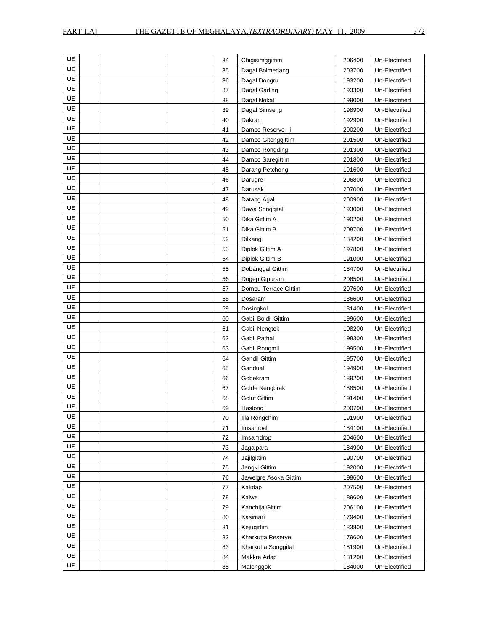| UE        | 34 | Chigisimggittim       | 206400 | Un-Electrified |
|-----------|----|-----------------------|--------|----------------|
| UE        | 35 | Dagal Bolmedang       | 203700 | Un-Electrified |
| UE        | 36 | Dagal Dongru          | 193200 | Un-Electrified |
| UE        | 37 | Dagal Gading          | 193300 | Un-Electrified |
| UE        | 38 | Dagal Nokat           | 199000 | Un-Electrified |
| UE        | 39 | Dagal Simseng         | 198900 | Un-Electrified |
| UE        | 40 | Dakran                | 192900 | Un-Electrified |
| UE        | 41 | Dambo Reserve - ii    | 200200 | Un-Electrified |
| UE        | 42 | Dambo Gitonggittim    | 201500 | Un-Electrified |
| UE        | 43 | Dambo Rongding        | 201300 | Un-Electrified |
| <b>UE</b> | 44 | Dambo Saregittim      | 201800 | Un-Electrified |
| UE        | 45 | Darang Petchong       | 191600 | Un-Electrified |
| UE        | 46 | Darugre               | 206800 | Un-Electrified |
| UE        | 47 | Darusak               | 207000 | Un-Electrified |
| <b>UE</b> | 48 | Datang Agal           | 200900 | Un-Electrified |
| UE        | 49 | Dawa Songgital        | 193000 | Un-Electrified |
| UE        | 50 | Dika Gittim A         | 190200 | Un-Electrified |
| UE        | 51 | Dika Gittim B         | 208700 | Un-Electrified |
| UE        | 52 | Dilkang               | 184200 | Un-Electrified |
| UE        | 53 | Diplok Gittim A       | 197800 | Un-Electrified |
| UE        | 54 | Diplok Gittim B       | 191000 | Un-Electrified |
| UE        | 55 | Dobanggal Gittim      | 184700 | Un-Electrified |
| UE        | 56 | Dogep Gipuram         | 206500 | Un-Electrified |
| UE        | 57 | Dombu Terrace Gittim  | 207600 | Un-Electrified |
| UE        | 58 | Dosaram               | 186600 | Un-Electrified |
| UE        | 59 | Dosingkol             | 181400 | Un-Electrified |
| UE        | 60 | Gabil Boldil Gittim   | 199600 | Un-Electrified |
| UE        | 61 | Gabil Nengtek         | 198200 | Un-Electrified |
| UE        | 62 | Gabil Pathal          | 198300 | Un-Electrified |
| UE        | 63 | Gabil Rongmil         | 199500 | Un-Electrified |
| UE        | 64 | <b>Gandil Gittim</b>  | 195700 | Un-Electrified |
| UE        | 65 | Gandual               | 194900 | Un-Electrified |
| UE        | 66 | Gobekram              | 189200 | Un-Electrified |
| UE        | 67 | Golde Nengbrak        | 188500 | Un-Electrified |
| UE        | 68 | <b>Golut Gittim</b>   | 191400 | Un-Electrified |
| UE        | 69 | Haslong               | 200700 | Un-Electrified |
| UE        | 70 | Illa Rongchim         | 191900 | Un-Electrified |
| <b>UE</b> | 71 | Imsambal              | 184100 | Un-Electrified |
| <b>UE</b> | 72 | Imsamdrop             | 204600 | Un-Electrified |
| <b>UE</b> | 73 | Jagalpara             | 184900 | Un-Electrified |
| UE        | 74 | Jajilgittim           | 190700 | Un-Electrified |
| UE        | 75 | Jangki Gittim         | 192000 | Un-Electrified |
| UE        | 76 | Jawelgre Asoka Gittim | 198600 | Un-Electrified |
| UE        | 77 | Kakdap                | 207500 | Un-Electrified |
| <b>UE</b> | 78 | Kalwe                 | 189600 | Un-Electrified |
| UE        | 79 | Kanchija Gittim       | 206100 | Un-Electrified |
| UE        | 80 | Kasimari              | 179400 | Un-Electrified |
| UE        | 81 | Kejugittim            | 183800 | Un-Electrified |
| UE        | 82 | Kharkutta Reserve     | 179600 | Un-Electrified |
| UE        | 83 | Kharkutta Songgital   | 181900 | Un-Electrified |
| <b>UE</b> | 84 | Makkre Adap           | 181200 | Un-Electrified |
| UE        | 85 | Malenggok             | 184000 | Un-Electrified |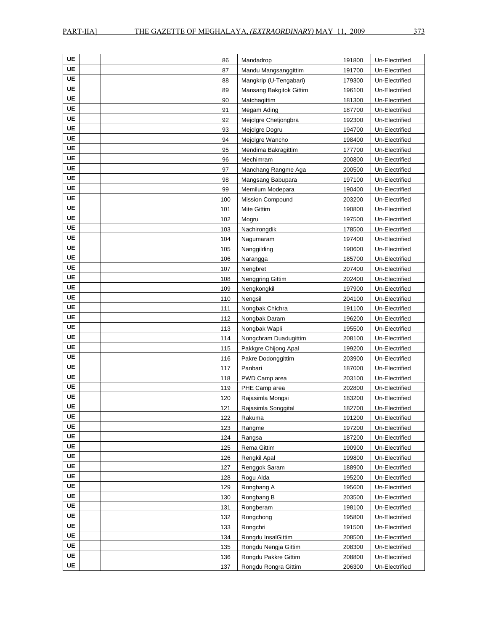| UE        | 86  | Mandadrop               | 191800 | Un-Electrified |
|-----------|-----|-------------------------|--------|----------------|
| UE        | 87  | Mandu Mangsanggittim    | 191700 | Un-Electrified |
| UE        | 88  | Mangkrip (U-Tengabari)  | 179300 | Un-Electrified |
| <b>UE</b> | 89  | Mansang Bakgitok Gittim | 196100 | Un-Electrified |
| UE        | 90  | Matchagittim            | 181300 | Un-Electrified |
| UE        | 91  | Megam Ading             | 187700 | Un-Electrified |
| UE        | 92  | Mejolgre Chetjongbra    | 192300 | Un-Electrified |
| UE        | 93  | Mejolgre Dogru          | 194700 | Un-Electrified |
| UE        | 94  | Mejolgre Wancho         | 198400 | Un-Electrified |
| UE        | 95  | Mendima Bakragittim     | 177700 | Un-Electrified |
| UE        | 96  | Mechimram               | 200800 | Un-Electrified |
| UE        | 97  | Manchang Rangme Aga     | 200500 | Un-Electrified |
| UE        | 98  | Mangsang Babupara       | 197100 | Un-Electrified |
| UE        | 99  | Memilum Modepara        | 190400 | Un-Electrified |
| <b>UE</b> | 100 | <b>Mission Compound</b> | 203200 | Un-Electrified |
| UE        | 101 | Mite Gittim             | 190800 | Un-Electrified |
| <b>UE</b> | 102 | Mogru                   | 197500 | Un-Electrified |
| UE        | 103 | Nachirongdik            | 178500 | Un-Electrified |
| UE        | 104 | Nagumaram               | 197400 | Un-Electrified |
| UE        | 105 | Nanggilding             | 190600 | Un-Electrified |
| UE        | 106 | Narangga                | 185700 | Un-Electrified |
| UE        | 107 | Nengbret                | 207400 | Un-Electrified |
| <b>UE</b> | 108 | Nenggring Gittim        | 202400 | Un-Electrified |
| UE        | 109 | Nengkongkil             | 197900 | Un-Electrified |
| <b>UE</b> | 110 | Nengsil                 | 204100 | Un-Electrified |
| UE        | 111 | Nongbak Chichra         | 191100 | Un-Electrified |
| <b>UE</b> | 112 | Nongbak Daram           | 196200 | Un-Electrified |
| UE        | 113 | Nongbak Wapli           | 195500 | Un-Electrified |
| UE        | 114 | Nongchram Duadugittim   | 208100 | Un-Electrified |
| <b>UE</b> | 115 | Pakkgre Chijong Apal    | 199200 | Un-Electrified |
| UE        | 116 | Pakre Dodonggittim      | 203900 | Un-Electrified |
| UE        | 117 | Panbari                 | 187000 | Un-Electrified |
| UE        | 118 | PWD Camp area           | 203100 | Un-Electrified |
| UE        | 119 | PHE Camp area           | 202800 | Un-Electrified |
| UE        | 120 | Rajasimla Mongsi        | 183200 | Un-Electrified |
| UE        | 121 | Rajasimla Songgital     | 182700 | Un-Electrified |
| UE        | 122 | Rakuma                  | 191200 | Un-Electrified |
| <b>UE</b> | 123 | Rangme                  | 197200 | Un-Electrified |
| UE        | 124 | Rangsa                  | 187200 | Un-Electrified |
| UE        | 125 | Rema Gittim             | 190900 | Un-Electrified |
| UE        | 126 | Rengkil Apal            | 199800 | Un-Electrified |
| UE        | 127 | Renggok Saram           | 188900 | Un-Electrified |
| UE        | 128 | Rogu Alda               | 195200 | Un-Electrified |
| UE        | 129 | Rongbang A              | 195600 | Un-Electrified |
| UE        | 130 | Rongbang B              | 203500 | Un-Electrified |
| UE        | 131 | Rongberam               | 198100 | Un-Electrified |
| UE        | 132 | Rongchong               | 195800 | Un-Electrified |
| UE        | 133 | Rongchri                | 191500 | Un-Electrified |
| UE        | 134 | Rongdu InsalGittim      | 208500 | Un-Electrified |
| UE        | 135 | Rongdu Nengja Gittim    | 208300 | Un-Electrified |
| UE        | 136 | Rongdu Pakkre Gittim    | 208800 | Un-Electrified |
| <b>UE</b> | 137 | Ronadu Ronara Gittim    | 206300 | Un-Electrified |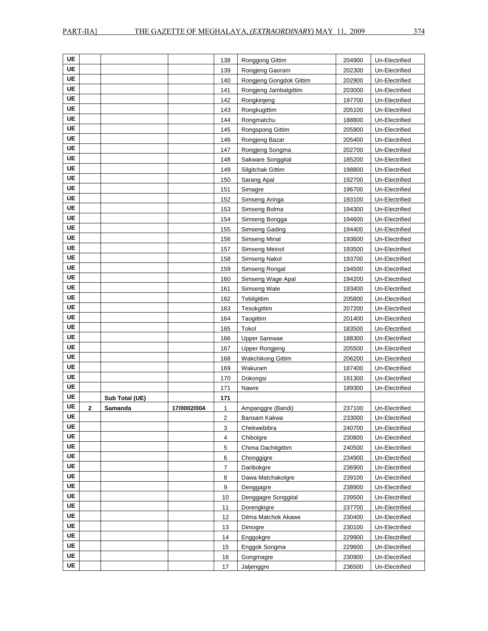| UE        |              |                |             | 138 | Ronggong Gittim         | 204900 | Un-Electrified |
|-----------|--------------|----------------|-------------|-----|-------------------------|--------|----------------|
| UE        |              |                |             | 139 | Rongjeng Gaoram         | 202300 | Un-Electrified |
| UE        |              |                |             | 140 | Rongjeng Gongdok Gittim | 202900 | Un-Electrified |
| <b>UE</b> |              |                |             | 141 | Rongjeng Jambalgittim   | 203000 | Un-Electrified |
| UE        |              |                |             | 142 | Rongkinjeng             | 197700 | Un-Electrified |
| <b>UE</b> |              |                |             | 143 | Rongkugittim            | 205100 | Un-Electrified |
| UE        |              |                |             | 144 | Rongmatchu              | 188800 | Un-Electrified |
| UE        |              |                |             | 145 | Rongspong Gittim        | 205900 | Un-Electrified |
| <b>UE</b> |              |                |             | 146 | Rongjeng Bazar          | 205400 | Un-Electrified |
| <b>UE</b> |              |                |             | 147 | Rongjeng Songma         | 202700 | Un-Electrified |
| UE        |              |                |             | 148 | Sakware Songgital       | 185200 | Un-Electrified |
| <b>UE</b> |              |                |             | 149 | Silgitchak Gittim       | 198800 | Un-Electrified |
| UE        |              |                |             | 150 | Sarang Apal             | 192700 | Un-Electrified |
| <b>UE</b> |              |                |             | 151 | Simagre                 | 196700 | Un-Electrified |
| UE        |              |                |             | 152 | Simseng Aringa          | 193100 | Un-Electrified |
| <b>UE</b> |              |                |             | 153 | Simseng Bolma           | 194300 | Un-Electrified |
| UE        |              |                |             | 154 | Simseng Bongga          | 194600 | Un-Electrified |
| UE        |              |                |             | 155 | Simseng Gading          | 194400 | Un-Electrified |
| UE        |              |                |             | 156 | Simseng Minal           | 193600 | Un-Electrified |
| <b>UE</b> |              |                |             | 157 | Simseng Meinol          | 193500 | Un-Electrified |
| UE        |              |                |             | 158 | Simseng Nakol           | 193700 | Un-Electrified |
| <b>UE</b> |              |                |             | 159 | Simseng Rongal          | 194500 | Un-Electrified |
| UE        |              |                |             | 160 | Simseng Wage Apal       | 194200 | Un-Electrified |
| <b>UE</b> |              |                |             | 161 | Simseng Wale            | 193400 | Un-Electrified |
| UE        |              |                |             | 162 | Tebilgittim             | 205800 | Un-Electrified |
| <b>UE</b> |              |                |             | 163 | Tesokgittim             | 207200 | Un-Electrified |
| UE        |              |                |             | 164 | Taogittim               | 201400 | Un-Electrified |
| <b>UE</b> |              |                |             | 165 | Tokol                   | 183500 | Un-Electrified |
| UE        |              |                |             | 166 | <b>Upper Sarewae</b>    | 188300 | Un-Electrified |
| <b>UE</b> |              |                |             | 167 | <b>Upper Rongjeng</b>   | 205500 | Un-Electrified |
| UE        |              |                |             | 168 | Wakchikong Gittim       | 206200 | Un-Electrified |
| UE        |              |                |             | 169 | Wakuram                 | 187400 | Un-Electrified |
| UE        |              |                |             | 170 | Dokongsi                | 191300 | Un-Electrified |
| UE        |              |                |             | 171 | Nawre                   | 189300 | Un-Electrified |
| UE        |              | Sub Total (UE) |             | 171 |                         |        |                |
| <b>UE</b> | $\mathbf{2}$ | Samanda        | 17/0002/004 | 1   | Ampanggre (Bandi)       | 237100 | Un-Electrified |
| UE        |              |                |             | 2   | Bansam Kakwa            | 233000 | Un-Electrified |
| <b>UE</b> |              |                |             | 3   | Chekwebibra             | 240700 | Un-Electrified |
| UE        |              |                |             | 4   | Chibolgre               | 230800 | Un-Electrified |
| UE        |              |                |             | 5   | Chima Dachitgittim      | 240500 | Un-Electrified |
| UE        |              |                |             | 6   | Chonggigre              | 234900 | Un-Electrified |
| UE        |              |                |             | 7   | Daribokgre              | 236900 | Un-Electrified |
| UE        |              |                |             | 8   | Dawa Matchakolgre       | 239100 | Un-Electrified |
| UE        |              |                |             | 9   | Denggagre               | 238900 | Un-Electrified |
| UE        |              |                |             | 10  | Denggagre Songgital     | 239500 | Un-Electrified |
| UE        |              |                |             | 11  | Dorengkigre             | 237700 | Un-Electrified |
| UE        |              |                |             | 12  | Dilma Matchok Akawe     | 230400 | Un-Electrified |
| UE        |              |                |             | 13  | Dimogre                 | 230100 | Un-Electrified |
| UE        |              |                |             | 14  | Enggokgre               | 229900 | Un-Electrified |
| UE        |              |                |             | 15  | Enggok Songma           | 229600 | Un-Electrified |
| UE        |              |                |             | 16  | Gongmagre               | 230900 | Un-Electrified |
| <b>UE</b> |              |                |             | 17  | Jaljenggre              | 236500 | Un-Electrified |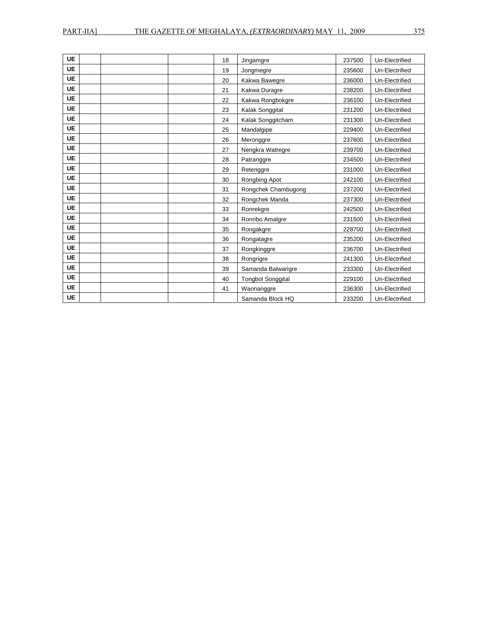| <b>UE</b> | 18 | Jingamgre                | 237500 | Un-Electrified |
|-----------|----|--------------------------|--------|----------------|
| <b>UE</b> | 19 | Jongmegre                | 235600 | Un-Electrified |
| <b>UE</b> | 20 | Kakwa Bawegre            | 236000 | Un-Electrified |
| <b>UE</b> | 21 | Kakwa Duragre            | 238200 | Un-Electrified |
| <b>UE</b> | 22 | Kakwa Rongbokgre         | 236100 | Un-Electrified |
| <b>UE</b> | 23 | Kalak Songgital          | 231200 | Un-Electrified |
| <b>UE</b> | 24 | Kalak Songgitcham        | 231300 | Un-Electrified |
| <b>UE</b> | 25 | Mandalgipe               | 229400 | Un-Electrified |
| <b>UE</b> | 26 | Meronggre                | 237600 | Un-Electrified |
| <b>UE</b> | 27 | Nengkra Watregre         | 239700 | Un-Electrified |
| <b>UE</b> | 28 | Patranggre               | 234500 | Un-Electrified |
| <b>UE</b> | 29 | Retenggre                | 231000 | Un-Electrified |
| <b>UE</b> | 30 | Rongbing Apot            | 242100 | Un-Electrified |
| <b>UE</b> | 31 | Rongchek Chambugong      | 237200 | Un-Electrified |
| <b>UE</b> | 32 | Rongchek Manda           | 237300 | Un-Electrified |
| <b>UE</b> | 33 | Ronrekgre                | 242500 | Un-Electrified |
| <b>UE</b> | 34 | Ronribo Amalgre          | 231500 | Un-Electrified |
| <b>UE</b> | 35 | Rongakgre                | 228700 | Un-Electrified |
| <b>UE</b> | 36 | Rongatagre               | 235200 | Un-Electrified |
| <b>UE</b> | 37 | Rongkinggre              | 236700 | Un-Electrified |
| <b>UE</b> | 38 | Rongrigre                | 241300 | Un-Electrified |
| <b>UE</b> | 39 | Samanda Balwarigre       | 233300 | Un-Electrified |
| <b>UE</b> | 40 | <b>Tongbol Songgital</b> | 229100 | Un-Electrified |
| <b>UE</b> | 41 | Wannanggre               | 236300 | Un-Electrified |
| <b>UE</b> |    | Samanda Block HQ         | 233200 | Un-Electrified |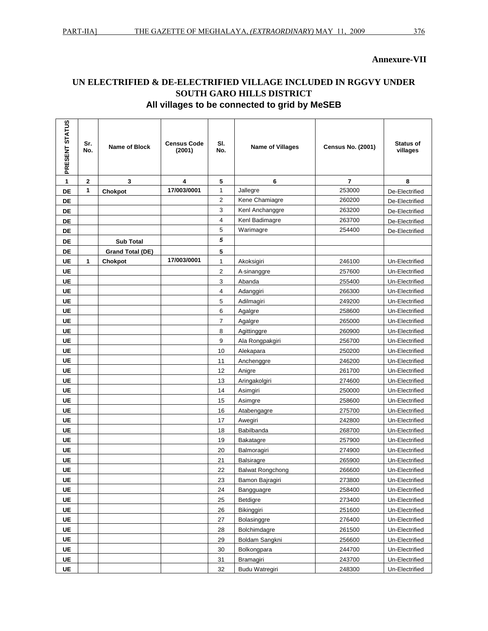## **UN ELECTRIFIED & DE-ELECTRIFIED VILLAGE INCLUDED IN RGGVY UNDER SOUTH GARO HILLS DISTRICT All villages to be connected to grid by MeSEB**

| PRESENT STATUS | Sr.<br>No.  | <b>Name of Block</b>    | <b>Census Code</b><br>(2001) | SI.<br>No.     | <b>Name of Villages</b> | <b>Census No. (2001)</b> | <b>Status of</b><br>villages |
|----------------|-------------|-------------------------|------------------------------|----------------|-------------------------|--------------------------|------------------------------|
| 1              | $\mathbf 2$ | 3                       | 4                            | 5              | 6                       | 7                        | 8                            |
| DE             | 1           | Chokpot                 | 17/003/0001                  | $\mathbf{1}$   | Jallegre                | 253000                   | De-Electrified               |
| DE             |             |                         |                              | $\overline{2}$ | Kene Chamiagre          | 260200                   | De-Electrified               |
| DE             |             |                         |                              | 3              | Kenl Anchanggre         | 263200                   | De-Electrified               |
| DE             |             |                         |                              | 4              | Kenl Badimagre          | 263700                   | De-Electrified               |
| DE             |             |                         |                              | 5              | Warimagre               | 254400                   | De-Electrified               |
| DE             |             | <b>Sub Total</b>        |                              | 5              |                         |                          |                              |
| DE             |             | <b>Grand Total (DE)</b> |                              | 5              |                         |                          |                              |
| UE             | 1           | Chokpot                 | 17/003/0001                  | $\mathbf{1}$   | Akoksigiri              | 246100                   | Un-Electrified               |
| UE             |             |                         |                              | $\overline{2}$ | A-sinanggre             | 257600                   | Un-Electrified               |
| <b>UE</b>      |             |                         |                              | 3              | Abanda                  | 255400                   | Un-Electrified               |
| UE             |             |                         |                              | 4              | Adanggiri               | 266300                   | Un-Electrified               |
| UE             |             |                         |                              | 5              | Adilmagiri              | 249200                   | Un-Electrified               |
| UE             |             |                         |                              | 6              | Agalgre                 | 258600                   | Un-Electrified               |
| UE             |             |                         |                              | 7              | Agalgre                 | 265000                   | Un-Electrified               |
| UE             |             |                         |                              | 8              | Agittinggre             | 260900                   | Un-Electrified               |
| UE             |             |                         |                              | 9              | Ala Rongpakgiri         | 256700                   | Un-Electrified               |
| UE             |             |                         |                              | 10             | Alekapara               | 250200                   | Un-Electrified               |
| UE             |             |                         |                              | 11             | Anchenggre              | 246200                   | Un-Electrified               |
| UE             |             |                         |                              | 12             | Anigre                  | 261700                   | Un-Electrified               |
| UE             |             |                         |                              | 13             | Aringakolgiri           | 274600                   | Un-Electrified               |
| UE             |             |                         |                              | 14             | Asimgiri                | 250000                   | Un-Electrified               |
| <b>UE</b>      |             |                         |                              | 15             | Asimgre                 | 258600                   | Un-Electrified               |
| UE             |             |                         |                              | 16             | Atabengagre             | 275700                   | Un-Electrified               |
| UE             |             |                         |                              | 17             | Awegiri                 | 242800                   | Un-Electrified               |
| UE             |             |                         |                              | 18             | Babilbanda              | 268700                   | Un-Electrified               |
| UE             |             |                         |                              | 19             | Bakatagre               | 257900                   | Un-Electrified               |
| UE             |             |                         |                              | 20             | Balmoragiri             | 274900                   | Un-Electrified               |
| UE             |             |                         |                              | 21             | <b>Balsiragre</b>       | 265900                   | Un-Electrified               |
| UE             |             |                         |                              | 22             | <b>Balwat Rongchong</b> | 266600                   | Un-Electrified               |
| UE             |             |                         |                              | 23             | Bamon Bajragiri         | 273800                   | Un-Electrified               |
| UE             |             |                         |                              | 24             | Bangguagre              | 258400                   | Un-Electrified               |
| <b>UE</b>      |             |                         |                              | 25             | Betdigre                | 273400                   | Un-Electrified               |
| <b>UE</b>      |             |                         |                              | 26             | Bikinggiri              | 251600                   | Un-Electrified               |
| <b>UE</b>      |             |                         |                              | 27             | Bolasinggre             | 276400                   | Un-Electrified               |
| <b>UE</b>      |             |                         |                              | 28             | Bolchimdagre            | 261500                   | Un-Electrified               |
| <b>UE</b>      |             |                         |                              | 29             | Boldam Sangkni          | 256600                   | Un-Electrified               |
| <b>UE</b>      |             |                         |                              | 30             | Bolkongpara             | 244700                   | Un-Electrified               |
| <b>UE</b>      |             |                         |                              | 31             | Bramagiri               | 243700                   | Un-Electrified               |
| UE             |             |                         |                              | 32             | <b>Budu Watregiri</b>   | 248300                   | Un-Electrified               |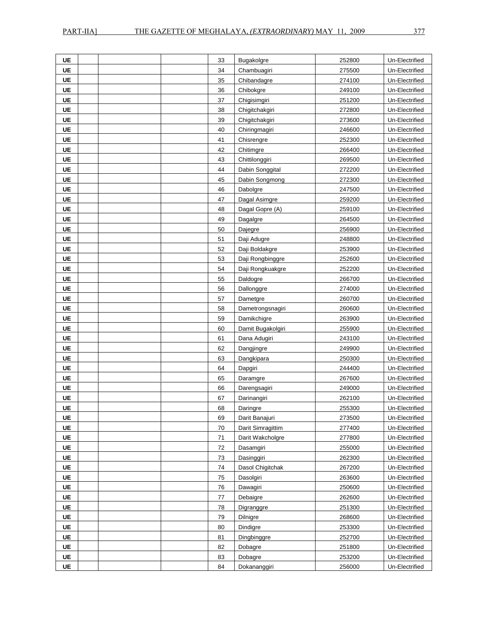| UE        | 33 | Bugakolgre        | 252800 | Un-Electrified |
|-----------|----|-------------------|--------|----------------|
| UE        | 34 | Chambuagiri       | 275500 | Un-Electrified |
| <b>UE</b> | 35 | Chibandagre       | 274100 | Un-Electrified |
| <b>UE</b> | 36 | Chibokgre         | 249100 | Un-Electrified |
| UE        | 37 | Chigisimgiri      | 251200 | Un-Electrified |
| <b>UE</b> | 38 | Chigitchakgiri    | 272800 | Un-Electrified |
| UE        | 39 | Chigitchakgiri    | 273600 | Un-Electrified |
| UE        | 40 | Chiringmagiri     | 246600 | Un-Electrified |
| <b>UE</b> | 41 | Chisrengre        | 252300 | Un-Electrified |
| UE        | 42 | Chitimgre         | 266400 | Un-Electrified |
| UE        | 43 | Chittilonggiri    | 269500 | Un-Electrified |
| <b>UE</b> | 44 | Dabin Songgital   | 272200 | Un-Electrified |
| <b>UE</b> | 45 | Dabin Songmong    | 272300 | Un-Electrified |
| UE        | 46 | Dabolgre          | 247500 | Un-Electrified |
| <b>UE</b> | 47 | Dagal Asimgre     | 259200 | Un-Electrified |
| <b>UE</b> | 48 | Dagal Gopre (A)   | 259100 | Un-Electrified |
| <b>UE</b> | 49 | Dagalgre          | 264500 | Un-Electrified |
| UE        | 50 | Dajegre           | 256900 | Un-Electrified |
| UE        | 51 | Daji Adugre       | 248800 | Un-Electrified |
| UE        | 52 | Daji Boldakgre    | 253900 | Un-Electrified |
| UE        | 53 | Daji Rongbinggre  | 252600 | Un-Electrified |
| <b>UE</b> | 54 | Daji Rongkuakgre  | 252200 | Un-Electrified |
| <b>UE</b> | 55 | Daldogre          | 266700 | Un-Electrified |
| UE        | 56 | Dallonggre        | 274000 | Un-Electrified |
| <b>UE</b> | 57 | Dametgre          | 260700 | Un-Electrified |
| <b>UE</b> | 58 | Dametrongsnagiri  | 260600 | Un-Electrified |
| UE        | 59 | Damikchigre       | 263900 | Un-Electrified |
| <b>UE</b> | 60 | Damit Bugakolgiri | 255900 | Un-Electrified |
| <b>UE</b> | 61 | Dana Adugiri      | 243100 | Un-Electrified |
| UE        | 62 | Dangjingre        | 249900 | Un-Electrified |
| <b>UE</b> | 63 | Dangkipara        | 250300 | Un-Electrified |
| UE        | 64 | Dapgiri           | 244400 | Un-Electrified |
| UE        | 65 | Daramgre          | 267600 | Un-Electrified |
| <b>UE</b> | 66 | Darengsagiri      | 249000 | Un-Electrified |
| UE        | 67 | Darinangiri       | 262100 | Un-Electrified |
| <b>UE</b> | 68 | Daringre          | 255300 | Un-Electrified |
| UE        | 69 | Darit Banajuri    | 273500 | Un-Electrified |
| <b>UE</b> | 70 | Darit Simragittim | 277400 | Un-Electrified |
| <b>UE</b> | 71 | Darit Wakcholgre  | 277800 | Un-Electrified |
| <b>UE</b> | 72 | Dasamgiri         | 255000 | Un-Electrified |
| <b>UE</b> | 73 | Dasinggiri        | 262300 | Un-Electrified |
| <b>UE</b> | 74 | Dasol Chigitchak  | 267200 | Un-Electrified |
| <b>UE</b> | 75 | Dasolgiri         | 263600 | Un-Electrified |
| <b>UE</b> | 76 | Dawagiri          | 250600 | Un-Electrified |
| <b>UE</b> | 77 | Debaigre          | 262600 | Un-Electrified |
| <b>UE</b> | 78 | Digranggre        | 251300 | Un-Electrified |
| <b>UE</b> | 79 | Dilnigre          | 268600 | Un-Electrified |
| UE        | 80 | Dindigre          | 253300 | Un-Electrified |
| <b>UE</b> | 81 | Dingbinggre       | 252700 | Un-Electrified |
| UE        | 82 | Dobagre           | 251800 | Un-Electrified |
| <b>UE</b> | 83 | Dobagre           | 253200 | Un-Electrified |
| UE        | 84 | Dokananggiri      | 256000 | Un-Electrified |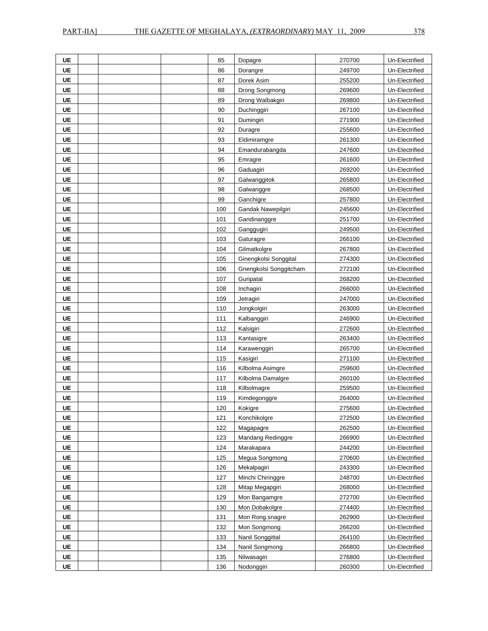| UE        | 85  | Dopagre                | 270700 | Un-Electrified |
|-----------|-----|------------------------|--------|----------------|
| UE        | 86  | Dorangre               | 249700 | Un-Electrified |
| UE        | 87  | Dorek Asim             | 255200 | Un-Electrified |
| <b>UE</b> | 88  | Drong Songmong         | 269600 | Un-Electrified |
| <b>UE</b> | 89  | Drong Walbakgiri       | 269800 | Un-Electrified |
| UE        | 90  | Duchinggiri            | 267100 | Un-Electrified |
| <b>UE</b> | 91  | Dumingiri              | 271900 | Un-Electrified |
| <b>UE</b> | 92  | Duragre                | 255600 | Un-Electrified |
| UE        | 93  | Eldimiramgre           | 261300 | Un-Electrified |
| UE        | 94  | Emandurabangda         | 247600 | Un-Electrified |
| <b>UE</b> | 95  | Emragre                | 261600 | Un-Electrified |
| <b>UE</b> | 96  | Gaduagiri              | 269200 | Un-Electrified |
| UE        | 97  | Galwanggitok           | 265800 | Un-Electrified |
| UE        | 98  | Galwanggre             | 268500 | Un-Electrified |
| UE        | 99  | Ganchigre              | 257800 | Un-Electrified |
| UE        | 100 | Gandak Nawepilgiri     | 245600 | Un-Electrified |
| UE        | 101 | Gandinanggre           | 251700 | Un-Electrified |
| <b>UE</b> | 102 | Ganggugiri             | 249500 | Un-Electrified |
| UE        | 103 | Gaturagre              | 266100 | Un-Electrified |
| <b>UE</b> | 104 | Gilmatkolgre           | 267800 | Un-Electrified |
| <b>UE</b> | 105 | Ginengkolsi Songgital  | 274300 | Un-Electrified |
| <b>UE</b> | 106 | Gnengkolsi Songgitcham | 272100 | Un-Electrified |
| <b>UE</b> | 107 | Guripatal              | 268200 | Un-Electrified |
| <b>UE</b> | 108 | Inchagiri              | 266000 | Un-Electrified |
| <b>UE</b> | 109 | Jetragiri              | 247000 | Un-Electrified |
| UE        | 110 | Jongkolgiri            | 263000 | Un-Electrified |
| UE        | 111 | Kalbanggiri            | 246900 | Un-Electrified |
| UE        | 112 | Kalsigiri              | 272600 | Un-Electrified |
| UE        | 113 | Kantasigre             | 263400 | Un-Electrified |
| <b>UE</b> | 114 | Karawenggiri           | 265700 | Un-Electrified |
| <b>UE</b> | 115 | Kasigiri               | 271100 | Un-Electrified |
| UE        | 116 | Kilbolma Asimgre       | 259600 | Un-Electrified |
| <b>UE</b> | 117 | Kilbolma Damalgre      | 260100 | Un-Electrified |
| <b>UE</b> | 118 | Kilbolmagre            | 259500 | Un-Electrified |
| UE        | 119 | Kimdegonggre           | 264000 | Un-Electrified |
| <b>UE</b> | 120 | Kokigre                | 275600 | Un-Electrified |
| UE        | 121 | Konchikolgre           | 272500 | Un-Electrified |
| <b>UE</b> | 122 | Magapagre              | 262500 | Un-Electrified |
| <b>UE</b> | 123 | Mandang Redinggre      | 266900 | Un-Electrified |
| <b>UE</b> | 124 | Marakapara             | 244200 | Un-Electrified |
| <b>UE</b> | 125 | Megua Songmong         | 270600 | Un-Electrified |
| <b>UE</b> | 126 | Mekalpagiri            | 243300 | Un-Electrified |
| <b>UE</b> | 127 | Minchi Chiringgre      | 248700 | Un-Electrified |
| <b>UE</b> | 128 | Mitap Megapgiri        | 268000 | Un-Electrified |
| UE        | 129 | Mon Bangamgre          | 272700 | Un-Electrified |
| <b>UE</b> | 130 | Mon Dobakolgre         | 274400 | Un-Electrified |
| <b>UE</b> | 131 | Mon Rong.snagre        | 262900 | Un-Electrified |
| <b>UE</b> | 132 | Mon Songmong           | 266200 | Un-Electrified |
| <b>UE</b> | 133 | Nanil Songgittal       | 264100 | Un-Electrified |
| UE        | 134 | Nanil Songmong         | 266800 | Un-Electrified |
| <b>UE</b> | 135 | Nilwasagiri            | 276800 | Un-Electrified |
| <b>UE</b> | 136 | Nodonggiri             | 260300 | Un-Electrified |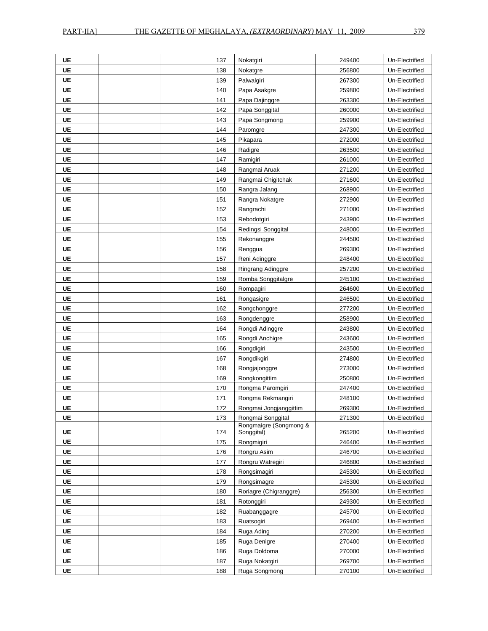| UE        |  | 137 | Nokatgiri                            | 249400 | Un-Electrified |
|-----------|--|-----|--------------------------------------|--------|----------------|
| UE        |  | 138 | Nokatgre                             | 256800 | Un-Electrified |
| <b>UE</b> |  | 139 | Palwalgiri                           | 267300 | Un-Electrified |
| UE        |  | 140 | Papa Asakgre                         | 259800 | Un-Electrified |
| UE        |  | 141 | Papa Dajinggre                       | 263300 | Un-Electrified |
| <b>UE</b> |  | 142 | Papa Songgital                       | 260000 | Un-Electrified |
| UE        |  | 143 | Papa Songmong                        | 259900 | Un-Electrified |
| UE        |  | 144 | Paromgre                             | 247300 | Un-Electrified |
| UE        |  | 145 | Pikapara                             | 272000 | Un-Electrified |
| UE        |  | 146 | Radigre                              | 263500 | Un-Electrified |
| UE        |  | 147 | Ramigiri                             | 261000 | Un-Electrified |
| <b>UE</b> |  | 148 | Rangmai Aruak                        | 271200 | Un-Electrified |
| <b>UE</b> |  | 149 | Rangmai Chigitchak                   | 271600 | Un-Electrified |
| UE        |  | 150 | Rangra Jalang                        | 268900 | Un-Electrified |
| <b>UE</b> |  | 151 | Rangra Nokatgre                      | 272900 | Un-Electrified |
| <b>UE</b> |  | 152 | Rangrachi                            | 271000 | Un-Electrified |
| UE        |  | 153 | Rebodotgiri                          | 243900 | Un-Electrified |
| <b>UE</b> |  | 154 | Redingsi Songgital                   | 248000 | Un-Electrified |
| <b>UE</b> |  | 155 | Rekonanggre                          | 244500 | Un-Electrified |
| UE        |  | 156 | Renggua                              | 269300 | Un-Electrified |
| UE        |  | 157 | Reni Adinggre                        | 248400 | Un-Electrified |
| <b>UE</b> |  | 158 | Ringrang Adinggre                    | 257200 | Un-Electrified |
| UE        |  | 159 | Romba Songgitalgre                   | 245100 | Un-Electrified |
| UE        |  | 160 | Rompagiri                            | 264600 | Un-Electrified |
| UE        |  | 161 | Rongasigre                           | 246500 | Un-Electrified |
| <b>UE</b> |  | 162 | Rongchonggre                         | 277200 | Un-Electrified |
| UE        |  | 163 | Rongdenggre                          | 258900 | Un-Electrified |
| UE        |  | 164 | Rongdi Adinggre                      | 243800 | Un-Electrified |
| UE        |  | 165 | Rongdi Anchigre                      | 243600 | Un-Electrified |
| UE        |  | 166 | Rongdigiri                           | 243500 | Un-Electrified |
| <b>UE</b> |  | 167 | Rongdikgiri                          | 274800 | Un-Electrified |
| UE        |  | 168 | Rongjajonggre                        | 273000 | Un-Electrified |
| UE        |  | 169 | Rongkongittim                        | 250800 | Un-Electrified |
| UE        |  | 170 | Rongma Paromgiri                     | 247400 | Un-Electrified |
| <b>UE</b> |  | 171 | Rongma Rekmangiri                    | 248100 | Un-Electrified |
| UE        |  | 172 | Rongmai Jongjanggittim               | 269300 | Un-Electrified |
| UE        |  | 173 | Rongmai Songgital                    | 271300 | Un-Electrified |
| UE        |  | 174 | Rongmaigre (Songmong &<br>Songgital) | 265200 | Un-Electrified |
| <b>UE</b> |  | 175 | Rongmigiri                           | 246400 | Un-Electrified |
| <b>UE</b> |  | 176 | Rongru Asim                          | 246700 | Un-Electrified |
| UE        |  | 177 | Rongru Watregiri                     | 246800 | Un-Electrified |
| UE        |  | 178 | Rongsimagiri                         | 245300 | Un-Electrified |
| <b>UE</b> |  | 179 | Rongsimagre                          | 245300 | Un-Electrified |
| <b>UE</b> |  | 180 | Roriagre (Chigranggre)               | 256300 | Un-Electrified |
| UE        |  | 181 | Rotonggiri                           | 249300 | Un-Electrified |
| <b>UE</b> |  | 182 | Ruabanggagre                         | 245700 | Un-Electrified |
| UE        |  | 183 | Ruatsogiri                           | 269400 | Un-Electrified |
| UE        |  | 184 | Ruga Ading                           | 270200 | Un-Electrified |
| <b>UE</b> |  | 185 | Ruga Denigre                         | 270400 | Un-Electrified |
| UE        |  | 186 | Ruga Doldoma                         | 270000 | Un-Electrified |
| <b>UE</b> |  | 187 | Ruga Nokatgiri                       | 269700 | Un-Electrified |
| <b>UE</b> |  | 188 | Ruga Songmong                        | 270100 | Un-Electrified |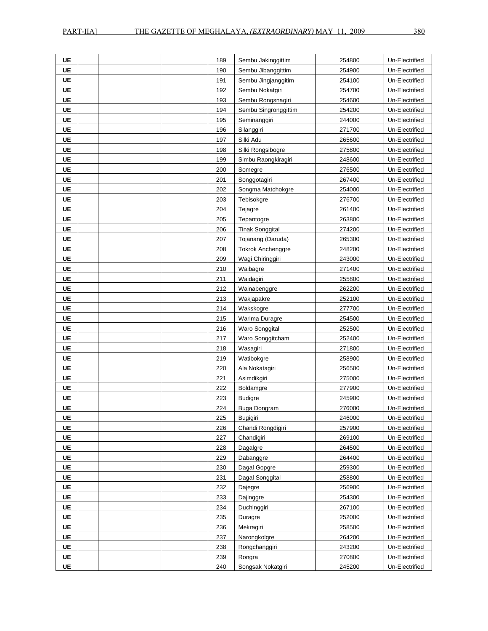| UE        |  | 189 | Sembu Jakinggittim       | 254800 | Un-Electrified |
|-----------|--|-----|--------------------------|--------|----------------|
| UE        |  | 190 | Sembu Jibanggittim       | 254900 | Un-Electrified |
| UE        |  | 191 | Sembu Jingjanggitim      | 254100 | Un-Electrified |
| <b>UE</b> |  | 192 | Sembu Nokatgiri          | 254700 | Un-Electrified |
| <b>UE</b> |  | 193 | Sembu Rongsnagiri        | 254600 | Un-Electrified |
| UE        |  | 194 | Sembu Singronggittim     | 254200 | Un-Electrified |
| UE        |  | 195 | Seminanggiri             | 244000 | Un-Electrified |
| UE        |  | 196 | Silanggiri               | 271700 | Un-Electrified |
| <b>UE</b> |  | 197 | Silki Adu                | 265600 | Un-Electrified |
| UE        |  | 198 | Silki Rongsibogre        | 275800 | Un-Electrified |
| UE        |  | 199 | Simbu Raongkiragiri      | 248600 | Un-Electrified |
| UE        |  | 200 | Somegre                  | 276500 | Un-Electrified |
| UE        |  | 201 | Songgotagiri             | 267400 | Un-Electrified |
| <b>UE</b> |  | 202 | Songma Matchokgre        | 254000 | Un-Electrified |
| UE        |  | 203 | Tebisokgre               | 276700 | Un-Electrified |
| UE        |  | 204 | Tejagre                  | 261400 | Un-Electrified |
| <b>UE</b> |  | 205 | Tepantogre               | 263800 | Un-Electrified |
| UE        |  | 206 | <b>Tinak Songgital</b>   | 274200 | Un-Electrified |
| UE        |  | 207 | Tojanang (Daruda)        | 265300 | Un-Electrified |
| <b>UE</b> |  | 208 | <b>Tokrok Anchenggre</b> | 248200 | Un-Electrified |
| <b>UE</b> |  | 209 | Wagi Chiringgiri         | 243000 | Un-Electrified |
| UE        |  | 210 | Waibagre                 | 271400 | Un-Electrified |
| <b>UE</b> |  | 211 | Waidagiri                | 255800 | Un-Electrified |
| <b>UE</b> |  | 212 | Wainabenggre             | 262200 | Un-Electrified |
| UE        |  | 213 | Wakjapakre               | 252100 | Un-Electrified |
| UE        |  | 214 | Wakskogre                | 277700 | Un-Electrified |
| <b>UE</b> |  | 215 | Warima Duragre           | 254500 | Un-Electrified |
| UE        |  | 216 | Waro Songgital           | 252500 | Un-Electrified |
| UE        |  | 217 | Waro Songgitcham         | 252400 | Un-Electrified |
| UE        |  | 218 | Wasagiri                 | 271800 | Un-Electrified |
| UE        |  | 219 | Watibokgre               | 258900 | Un-Electrified |
| UE        |  | 220 | Ala Nokatagiri           | 256500 | Un-Electrified |
| <b>UE</b> |  | 221 | Asimdikgiri              | 275000 | Un-Electrified |
| UE        |  | 222 | Boldamgre                | 277900 | Un-Electrified |
| UE        |  | 223 | <b>Budigre</b>           | 245900 | Un-Electrified |
| UE        |  | 224 | Buga Dongram             | 276000 | Un-Electrified |
| UE        |  | 225 | <b>Bugigiri</b>          | 246000 | Un-Electrified |
| <b>UE</b> |  | 226 | Chandi Rongdigiri        | 257900 | Un-Electrified |
| <b>UE</b> |  | 227 | Chandigiri               | 269100 | Un-Electrified |
| <b>UE</b> |  | 228 | Dagalgre                 | 264500 | Un-Electrified |
| <b>UE</b> |  | 229 | Dabanggre                | 264400 | Un-Electrified |
| UE        |  | 230 | Dagal Gopgre             | 259300 | Un-Electrified |
| <b>UE</b> |  | 231 | Dagal Songgital          | 258800 | Un-Electrified |
| <b>UE</b> |  | 232 | Dajegre                  | 256900 | Un-Electrified |
| <b>UE</b> |  | 233 | Dajinggre                | 254300 | Un-Electrified |
| <b>UE</b> |  | 234 | Duchinggiri              | 267100 | Un-Electrified |
| UE        |  | 235 | Duragre                  | 252000 | Un-Electrified |
| UE        |  | 236 | Mekragiri                | 258500 | Un-Electrified |
| <b>UE</b> |  | 237 | Narongkolgre             | 264200 | Un-Electrified |
| <b>UE</b> |  | 238 | Rongchanggiri            | 243200 | Un-Electrified |
| <b>UE</b> |  | 239 | Rongra                   | 270800 | Un-Electrified |
| UE        |  | 240 | Songsak Nokatgiri        | 245200 | Un-Electrified |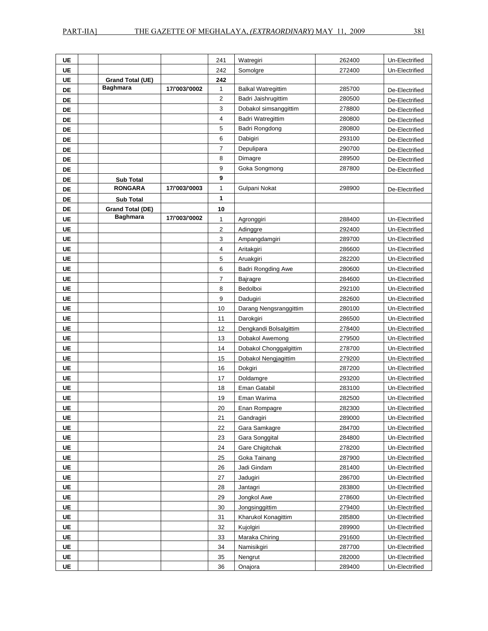| UE        |                         |               | 241            | Watregiri                 | 262400 | Un-Electrified |
|-----------|-------------------------|---------------|----------------|---------------------------|--------|----------------|
| UE        |                         |               | 242            | Somolgre                  | 272400 | Un-Electrified |
| UE        | <b>Grand Total (UE)</b> |               | 242            |                           |        |                |
| DE        | <b>Baghmara</b>         | 17/'003/'0002 | 1              | <b>Balkal Watregittim</b> | 285700 | De-Electrified |
| DE        |                         |               | $\overline{2}$ | Badri Jaishrugittim       | 280500 | De-Electrified |
| DE        |                         |               | 3              | Dobakol simsanggittim     | 278800 | De-Electrified |
| DE        |                         |               | 4              | Badri Watregittim         | 280800 | De-Electrified |
| DE        |                         |               | 5              | Badri Rongdong            | 280800 | De-Electrified |
| DE        |                         |               | 6              | Dabigiri                  | 293100 | De-Electrified |
| DE        |                         |               | $\overline{7}$ | Depulipara                | 290700 | De-Electrified |
| DE        |                         |               | 8              | Dimagre                   | 289500 | De-Electrified |
| DE        |                         |               | 9              | Goka Songmong             | 287800 | De-Electrified |
| DE        | <b>Sub Total</b>        |               | 9              |                           |        |                |
| DE        | <b>RONGARA</b>          | 17/'003/'0003 | 1              | Gulpani Nokat             | 298900 | De-Electrified |
| DE        | <b>Sub Total</b>        |               | 1              |                           |        |                |
| DE        | <b>Grand Total (DE)</b> |               | 10             |                           |        |                |
| UE        | <b>Baghmara</b>         | 17/'003/'0002 | $\mathbf{1}$   | Agronggiri                | 288400 | Un-Electrified |
| UE        |                         |               | $\overline{2}$ | Adinggre                  | 292400 | Un-Electrified |
| <b>UE</b> |                         |               | 3              | Ampangdamgiri             | 289700 | Un-Electrified |
| UE        |                         |               | 4              | Aritakgiri                | 286600 | Un-Electrified |
| UE        |                         |               | 5              | Aruakgiri                 | 282200 | Un-Electrified |
| UE        |                         |               | 6              | <b>Badri Rongding Awe</b> | 280600 | Un-Electrified |
| UE        |                         |               | 7              | Bajragre                  | 284600 | Un-Electrified |
| UE        |                         |               | 8              | Bedolboi                  | 292100 | Un-Electrified |
| UE        |                         |               | 9              | Dadugiri                  | 282600 | Un-Electrified |
| <b>UE</b> |                         |               | 10             | Darang Nengsranggittim    | 280100 | Un-Electrified |
| UE        |                         |               | 11             | Darokgiri                 | 286500 | Un-Electrified |
| UE        |                         |               | 12             | Dengkandi Bolsalgittim    | 278400 | Un-Electrified |
| UE        |                         |               | 13             | Dobakol Awemong           | 279500 | Un-Electrified |
| UE        |                         |               | 14             | Dobakol Chonggalgittim    | 278700 | Un-Electrified |
| UE        |                         |               | 15             | Dobakol Nengjagittim      | 279200 | Un-Electrified |
| <b>UE</b> |                         |               | 16             | Dokgiri                   | 287200 | Un-Electrified |
| UE        |                         |               | 17             | Doldamgre                 | 293200 | Un-Electrified |
| UE        |                         |               | 18             | Eman Gatabil              | 283100 | Un-Electrified |
| <b>UE</b> |                         |               | 19             | Eman Warima               | 282500 | Un-Electrified |
| <b>UE</b> |                         |               | 20             | Enan Rompagre             | 282300 | Un-Electrified |
| UE        |                         |               | 21             | Gandragiri                | 289000 | Un-Electrified |
| <b>UE</b> |                         |               | 22             | Gara Samkagre             | 284700 | Un-Electrified |
| UE        |                         |               | 23             | Gara Songgital            | 284800 | Un-Electrified |
| <b>UE</b> |                         |               | 24             | Gare Chigitchak           | 278200 | Un-Electrified |
| UE        |                         |               | 25             | Goka Tainang              | 287900 | Un-Electrified |
| <b>UE</b> |                         |               | 26             | Jadi Gindam               | 281400 | Un-Electrified |
| <b>UE</b> |                         |               | 27             | Jadugiri                  | 286700 | Un-Electrified |
| <b>UE</b> |                         |               | 28             | Jantagri                  | 283800 | Un-Electrified |
| <b>UE</b> |                         |               | 29             | Jongkol Awe               | 278600 | Un-Electrified |
| UE        |                         |               | 30             | Jongsinggittim            | 279400 | Un-Electrified |
| <b>UE</b> |                         |               | 31             | Kharukol Konagittim       | 285800 | Un-Electrified |
| <b>UE</b> |                         |               | 32             | Kujolgiri                 | 289900 | Un-Electrified |
| <b>UE</b> |                         |               | 33             | Maraka Chiring            | 291600 | Un-Electrified |
| UE        |                         |               | 34             | Namisikgiri               | 287700 | Un-Electrified |
| <b>UE</b> |                         |               | 35             | Nengrut                   | 282000 | Un-Electrified |
| <b>UE</b> |                         |               | 36             | Onajora                   | 289400 | Un-Electrified |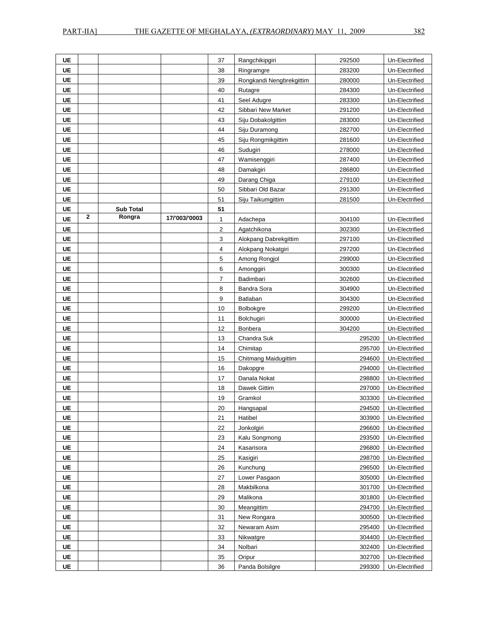| UE        |             |                  |               | 37             | Rangchikipgiri           | 292500 | Un-Electrified |
|-----------|-------------|------------------|---------------|----------------|--------------------------|--------|----------------|
| UE        |             |                  |               | 38             | Ringramgre               | 283200 | Un-Electrified |
| <b>UE</b> |             |                  |               | 39             | Rongkandi Nengbrekgittim | 280000 | Un-Electrified |
| <b>UE</b> |             |                  |               | 40             | Rutagre                  | 284300 | Un-Electrified |
| UE        |             |                  |               | 41             | Seel Adugre              | 283300 | Un-Electrified |
| UE        |             |                  |               | 42             | Sibbari New Market       | 291200 | Un-Electrified |
| UE        |             |                  |               | 43             | Siju Dobakolgittim       | 283000 | Un-Electrified |
| <b>UE</b> |             |                  |               | 44             | Siju Duramong            | 282700 | Un-Electrified |
| UE        |             |                  |               | 45             | Siju Rongmikgittim       | 281600 | Un-Electrified |
| UE        |             |                  |               | 46             | Sudugiri                 | 278000 | Un-Electrified |
| UE        |             |                  |               | 47             | Wamisenggiri             | 287400 | Un-Electrified |
| UE        |             |                  |               | 48             | Damakgiri                | 286800 | Un-Electrified |
| UE        |             |                  |               | 49             | Darang Chiga             | 279100 | Un-Electrified |
| UE        |             |                  |               | 50             | Sibbari Old Bazar        | 291300 | Un-Electrified |
| UE        |             |                  |               | 51             | Siju Taikumgittim        | 281500 | Un-Electrified |
| <b>UE</b> |             | <b>Sub Total</b> |               | 51             |                          |        |                |
| <b>UE</b> | $\mathbf 2$ | Rongra           | 17/'003/'0003 | 1              | Adachepa                 | 304100 | Un-Electrified |
| UE        |             |                  |               | $\overline{2}$ | Agatchikona              | 302300 | Un-Electrified |
| UE        |             |                  |               | 3              | Alokpang Dabrekgittim    | 297100 | Un-Electrified |
| UE        |             |                  |               | 4              | Alokpang Nokatgiri       | 297200 | Un-Electrified |
| <b>UE</b> |             |                  |               | 5              | Among Rongjol            | 299000 | Un-Electrified |
| UE        |             |                  |               | 6              | Amonggiri                | 300300 | Un-Electrified |
| UE        |             |                  |               | 7              | Badimbari                | 302600 | Un-Electrified |
| UE        |             |                  |               | 8              | Bandra Sora              | 304900 | Un-Electrified |
| UE        |             |                  |               | 9              | Batlaban                 | 304300 | Un-Electrified |
| UE        |             |                  |               | 10             | Bolbokgre                | 299200 | Un-Electrified |
| UE        |             |                  |               | 11             | Bolchugiri               | 300000 | Un-Electrified |
| UE        |             |                  |               | 12             | <b>Bonbera</b>           | 304200 | Un-Electrified |
| <b>UE</b> |             |                  |               | 13             | Chandra Suk              | 295200 | Un-Electrified |
| <b>UE</b> |             |                  |               | 14             | Chimitap                 | 295700 | Un-Electrified |
| UE        |             |                  |               | 15             | Chitmang Maidugittim     | 294600 | Un-Electrified |
| UE        |             |                  |               | 16             | Dakopgre                 | 294000 | Un-Electrified |
| UE        |             |                  |               | 17             | Danala Nokat             | 298800 | Un-Electrified |
| <b>UE</b> |             |                  |               | 18             | Dawek Gittim             | 297000 | Un-Electrified |
| UE        |             |                  |               | 19             | Gramkol                  | 303300 | Un-Electrified |
| <b>UE</b> |             |                  |               | 20             | Hangsapal                | 294500 | Un-Electrified |
| UE        |             |                  |               | 21             | Hatibel                  | 303900 | Un-Electrified |
| <b>UE</b> |             |                  |               | 22             | Jonkolgiri               | 296600 | Un-Electrified |
| <b>UE</b> |             |                  |               | 23             | Kalu Songmong            | 293500 | Un-Electrified |
| <b>UE</b> |             |                  |               | 24             | Kasarisora               | 296800 | Un-Electrified |
| <b>UE</b> |             |                  |               | 25             | Kasigiri                 | 298700 | Un-Electrified |
| <b>UE</b> |             |                  |               | 26             | Kunchung                 | 296500 | Un-Electrified |
| <b>UE</b> |             |                  |               | 27             | Lower Pasgaon            | 305000 | Un-Electrified |
| <b>UE</b> |             |                  |               | 28             | Makbilkona               | 301700 | Un-Electrified |
| <b>UE</b> |             |                  |               | 29             | Malikona                 | 301800 | Un-Electrified |
| UE        |             |                  |               | 30             | Meangittim               | 294700 | Un-Electrified |
| <b>UE</b> |             |                  |               | 31             | New Rongara              | 300500 | Un-Electrified |
| <b>UE</b> |             |                  |               | 32             | Newaram Asim             | 295400 | Un-Electrified |
| <b>UE</b> |             |                  |               | 33             | Nikwatgre                | 304400 | Un-Electrified |
| <b>UE</b> |             |                  |               | 34             | Nolbari                  | 302400 | Un-Electrified |
| <b>UE</b> |             |                  |               | 35             | Oripur                   | 302700 | Un-Electrified |
| UE        |             |                  |               | 36             | Panda Bolsilgre          | 299300 | Un-Electrified |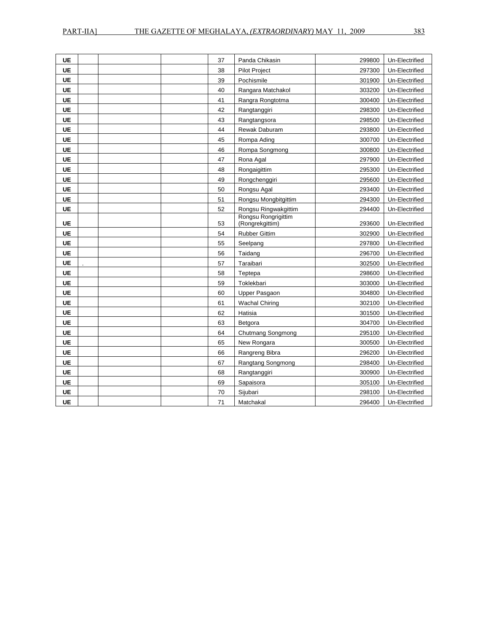| <b>UE</b> | 37       | Panda Chikasin                          | 299800           | Un-Electrified                   |
|-----------|----------|-----------------------------------------|------------------|----------------------------------|
| <b>UE</b> | 38       | <b>Pilot Project</b>                    | 297300           | Un-Electrified                   |
| <b>UE</b> | 39       | Pochismile                              | 301900           | Un-Electrified                   |
| <b>UE</b> | 40       | Rangara Matchakol                       | 303200           | Un-Electrified                   |
| UE        | 41       | Rangra Rongtotma                        | 300400           | Un-Electrified                   |
| <b>UE</b> | 42       | Rangtanggiri                            | 298300           | Un-Electrified                   |
| UE        | 43       | Rangtangsora                            | 298500           | Un-Electrified                   |
| UE        | 44       | Rewak Daburam                           | 293800           | Un-Electrified                   |
| UE        | 45       | Rompa Ading                             | 300700           | Un-Electrified                   |
| <b>UE</b> | 46       | Rompa Songmong                          | 300800           | Un-Electrified                   |
| <b>UE</b> | 47       | Rona Agal                               | 297900           | Un-Electrified                   |
| <b>UE</b> | 48       | Rongaigittim                            | 295300           | Un-Electrified                   |
| <b>UE</b> | 49       | Rongchenggiri                           | 295600           | Un-Electrified                   |
| UE        | 50       | Rongsu Agal                             | 293400           | Un-Electrified                   |
| <b>UE</b> | 51       | Rongsu Mongbitgittim                    | 294300           | Un-Electrified                   |
| <b>UE</b> | 52       | Rongsu Ringwakgittim                    | 294400           | Un-Electrified                   |
| UE        |          | Rongsu Rongrigittim                     |                  |                                  |
| <b>UE</b> | 53       | (Rongrekgittim)<br><b>Rubber Gittim</b> | 293600           | Un-Electrified                   |
| UE        | 54<br>55 | Seelpang                                | 302900<br>297800 | Un-Electrified<br>Un-Electrified |
| UE        | 56       | Taidang                                 |                  | Un-Electrified                   |
| <b>UE</b> | 57       | Taraibari                               | 296700<br>302500 | Un-Electrified                   |
| <b>UE</b> |          |                                         |                  |                                  |
| <b>UE</b> | 58       | Teptepa<br>Toklekbari                   | 298600           | Un-Electrified                   |
| <b>UE</b> | 59<br>60 |                                         | 303000           | Un-Electrified                   |
| <b>UE</b> |          | Upper Pasgaon                           | 304800           | Un-Electrified                   |
|           | 61       | <b>Wachal Chiring</b>                   | 302100           | Un-Electrified                   |
| UE        | 62       | Hatisia                                 | 301500           | Un-Electrified                   |
| <b>UE</b> | 63       | Betgora                                 | 304700           | Un-Electrified                   |
| UE        | 64       | Chutmang Songmong                       | 295100           | Un-Electrified                   |
| UE        | 65       | New Rongara                             | 300500           | Un-Electrified                   |
| <b>UE</b> | 66       | Rangreng Bibra                          | 296200           | Un-Electrified                   |
| <b>UE</b> | 67       | Rangtang Songmong                       | 298400           | Un-Electrified                   |
| UE        | 68       | Rangtanggiri                            | 300900           | Un-Electrified                   |
| <b>UE</b> | 69       | Sapaisora                               | 305100           | Un-Electrified                   |
| <b>UE</b> | 70       | Sijubari                                | 298100           | Un-Electrified                   |
| <b>UE</b> | 71       | Matchakal                               | 296400           | Un-Electrified                   |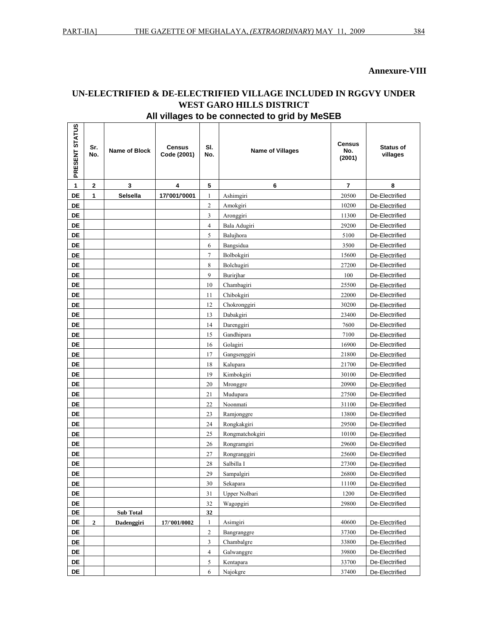r.

#### **Annexure-VIII**

# **UN-ELECTRIFIED & DE-ELECTRIFIED VILLAGE INCLUDED IN RGGVY UNDER WEST GARO HILLS DISTRICT All villages to be connected to grid by MeSEB**

| PRESENT STATUS | Sr.<br>No.   | <b>Name of Block</b> | <b>Census</b><br>Code (2001) | SI.<br>No.     | <b>Name of Villages</b> | Census<br>No.<br>(2001) | <b>Status of</b><br>villages |
|----------------|--------------|----------------------|------------------------------|----------------|-------------------------|-------------------------|------------------------------|
| 1              | $\mathbf{2}$ | 3                    | 4                            | 5              | 6                       | 7                       | 8                            |
| DE             | 1            | Selsella             | 17/'001/'0001                | 1              | Ashimgiri               | 20500                   | De-Electrified               |
| <b>DE</b>      |              |                      |                              | 2              | Amokgiri                | 10200                   | De-Electrified               |
| <b>DE</b>      |              |                      |                              | 3              | Aronggiri               | 11300                   | De-Electrified               |
| DE             |              |                      |                              | $\overline{4}$ | Bala Adugiri            | 29200                   | De-Electrified               |
| DE             |              |                      |                              | 5              | Balujhora               | 5100                    | De-Electrified               |
| <b>DE</b>      |              |                      |                              | 6              | Bangsidua               | 3500                    | De-Electrified               |
| DE             |              |                      |                              | $\tau$         | Bolbokgiri              | 15600                   | De-Electrified               |
| DE             |              |                      |                              | 8              | Bolchugiri              | 27200                   | De-Electrified               |
| DE             |              |                      |                              | 9              | Burirjhar               | 100                     | De-Electrified               |
| DE             |              |                      |                              | 10             | Chambagiri              | 25500                   | De-Electrified               |
| DE             |              |                      |                              | 11             | Chibokgiri              | 22000                   | De-Electrified               |
| <b>DE</b>      |              |                      |                              | 12             | Chokronggiri            | 30200                   | De-Electrified               |
| DE             |              |                      |                              | 13             | Dabakgiri               | 23400                   | De-Electrified               |
| DE             |              |                      |                              | 14             | Darenggiri              | 7600                    | De-Electrified               |
| DE             |              |                      |                              | 15             | Gandhipara              | 7100                    | De-Electrified               |
| DE             |              |                      |                              | 16             | Golagiri                | 16900                   | De-Electrified               |
| DE             |              |                      |                              | 17             | Gangsenggiri            | 21800                   | De-Electrified               |
| <b>DE</b>      |              |                      |                              | 18             | Kalupara                | 21700                   | De-Electrified               |
| DE             |              |                      |                              | 19             | Kimbokgiri              | 30100                   | De-Electrified               |
| DE             |              |                      |                              | 20             | Mronggre                | 20900                   | De-Electrified               |
| DE             |              |                      |                              | 21             | Mudupara                | 27500                   | De-Electrified               |
| DE             |              |                      |                              | 22             | Noonmati                | 31100                   | De-Electrified               |
| DE             |              |                      |                              | 23             | Ramjonggre              | 13800                   | De-Electrified               |
| DE             |              |                      |                              | 24             | Rongkakgiri             | 29500                   | De-Electrified               |
| <b>DE</b>      |              |                      |                              | 25             | Rongmatchokgiri         | 10100                   | De-Electrified               |
| <b>DE</b>      |              |                      |                              | 26             | Rongramgiri             | 29600                   | De-Electrified               |
| DE             |              |                      |                              | 27             | Rongranggiri            | 25600                   | De-Electrified               |
| DE             |              |                      |                              | 28             | Salbilla I              | 27300                   | De-Electrified               |
| <b>DE</b>      |              |                      |                              | 29             | Sampalgiri              | 26800                   | De-Electrified               |
| DE             |              |                      |                              | 30             | Sekapara                | 11100                   | De-Electrified               |
| DE             |              |                      |                              | 31             | Upper Nolbari           | 1200                    | De-Electrified               |
| DE             |              |                      |                              | 32             | Wagopgiri               | 29800                   | De-Electrified               |
| DE             |              | <b>Sub Total</b>     |                              | 32             |                         |                         |                              |
| DE             | $\mathbf{2}$ | Dadenggiri           | 17/'001/0002                 | $\mathbf{1}$   | Asimgiri                | 40600                   | De-Electrified               |
| DE             |              |                      |                              | $\overline{c}$ | Bangranggre             | 37300                   | De-Electrified               |
| DE             |              |                      |                              | $\mathfrak{Z}$ | Chambalgre              | 33800                   | De-Electrified               |
| DE             |              |                      |                              | $\overline{4}$ | Galwanggre              | 39800                   | De-Electrified               |
| DE             |              |                      |                              | 5              | Kentapara               | 33700                   | De-Electrified               |
| DE             |              |                      |                              | 6              | Najokgre                | 37400                   | De-Electrified               |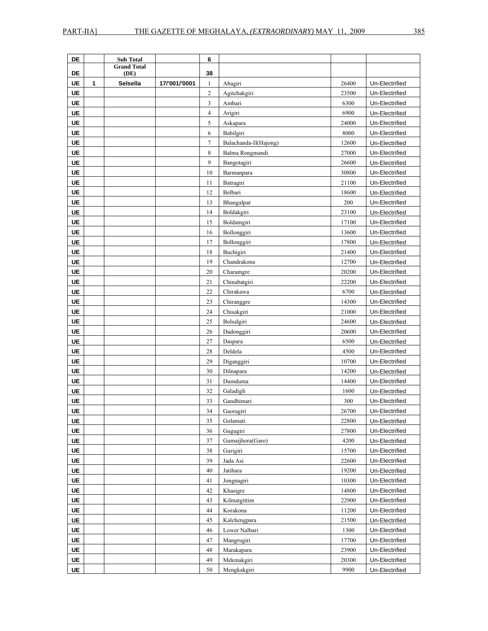| DE        |   |                                        |               |                         |                       |       |                |
|-----------|---|----------------------------------------|---------------|-------------------------|-----------------------|-------|----------------|
|           |   | <b>Sub Total</b><br><b>Grand Total</b> |               | 6                       |                       |       |                |
| DE        |   | (DE)                                   |               | 38                      |                       |       |                |
| <b>UE</b> | 1 | Selsella                               | 17/'001/'0001 | $\mathbf{1}$            | Abagiri               | 26400 | Un-Electrified |
| UE        |   |                                        |               | $\overline{c}$          | Agitchakgiri          | 23500 | Un-Electrified |
| <b>UE</b> |   |                                        |               | 3                       | Ambari                | 6300  | Un-Electrified |
| UE        |   |                                        |               | $\overline{\mathbf{4}}$ | Arigiri               | 6900  | Un-Electrified |
| UE        |   |                                        |               | 5                       | Askapara              | 24000 | Un-Electrified |
| <b>UE</b> |   |                                        |               | 6                       | Babilgiri             | 8000  | Un-Electrified |
| <b>UE</b> |   |                                        |               | $\tau$                  | Balachanda-II(Hajong) | 12600 | Un-Electrified |
| <b>UE</b> |   |                                        |               | 8                       | Balma Rongmandi       | 27000 | Un-Electrified |
| <b>UE</b> |   |                                        |               | 9                       | Bangotagiri           | 26600 | Un-Electrified |
| <b>UE</b> |   |                                        |               |                         |                       | 30800 |                |
|           |   |                                        |               | 10                      | Barmanpara            |       | Un-Electrified |
| UE        |   |                                        |               | 11                      | Batragiri             | 21100 | Un-Electrified |
| UE        |   |                                        |               | 12                      | Belbari               | 18600 | Un-Electrified |
| <b>UE</b> |   |                                        |               | 13                      | Bhangalpar            | 200   | Un-Electrified |
| <b>UE</b> |   |                                        |               | 14                      | Boldakgiri            | 23100 | Un-Electrified |
| <b>UE</b> |   |                                        |               | 15                      | Boldamgiri            | 17100 | Un-Electrified |
| <b>UE</b> |   |                                        |               | 16                      | Bollonggiri           | 13600 | Un-Electrified |
| <b>UE</b> |   |                                        |               | 17                      | Bollonggiri           | 17800 | Un-Electrified |
| UE        |   |                                        |               | 18                      | Buchigiri             | 21400 | Un-Electrified |
| <b>UE</b> |   |                                        |               | 19                      | Chandrakona           | 12700 | Un-Electrified |
| <b>UE</b> |   |                                        |               | 20                      | Charamgre             | 20200 | Un-Electrified |
| <b>UE</b> |   |                                        |               | 21                      | Chinabatgiri          | 22200 | Un-Electrified |
| <b>UE</b> |   |                                        |               | 22                      | Chirakawa             | 6700  | Un-Electrified |
| <b>UE</b> |   |                                        |               | 23                      | Chiranggre            | 14300 | Un-Electrified |
| UE        |   |                                        |               | 24                      | Chisakgiri            | 21000 | Un-Electrified |
| UE        |   |                                        |               | 25                      | Bolsalgiri            | 24600 | Un-Electrified |
| <b>UE</b> |   |                                        |               | 26                      | Dadonggiri            | 20600 | Un-Electrified |
| UE        |   |                                        |               | 27                      | Daspara               | 6500  | Un-Electrified |
| UE        |   |                                        |               | 28                      | Deldela               | 4500  | Un-Electrified |
| <b>UE</b> |   |                                        |               | 29                      | Diganggiri            | 10700 | Un-Electrified |
| UE        |   |                                        |               | 30                      | Dilnapara             | 14200 | Un-Electrified |
| <b>UE</b> |   |                                        |               | 31                      | Dumduma               | 14400 | Un-Electrified |
| UE        |   |                                        |               | 32                      | Galadigli             | 1600  | Un-Electrified |
| <b>UE</b> |   |                                        |               |                         | Gandhimari            |       | Un-Electrified |
|           |   |                                        |               | 33                      |                       | 300   |                |
| UE        |   |                                        |               | 34                      | Gaoragiri             | 26700 | Un-Electrified |
| UE        |   |                                        |               | 35                      | Golamati              | 22800 | Un-Electrified |
| <b>UE</b> |   |                                        |               | 36                      | Gugugiri              | 27800 | Un-Electrified |
| UE        |   |                                        |               | 37                      | Gumaijhora(Garo)      | 4200  | Un-Electrified |
| <b>UE</b> |   |                                        |               | 38                      | Gurigiri              | 15700 | Un-Electrified |
| <b>UE</b> |   |                                        |               | 39                      | Jada Asi              | 22600 | Un-Electrified |
| <b>UE</b> |   |                                        |               | 40                      | Jatihara              | 19200 | Un-Electrified |
| <b>UE</b> |   |                                        |               | 41                      | Jongnagiri            | 10300 | Un-Electrified |
| <b>UE</b> |   |                                        |               | 42                      | Khasigre              | 14800 | Un-Electrified |
| <b>UE</b> |   |                                        |               | 43                      | Kilmatgittim          | 22900 | Un-Electrified |
| <b>UE</b> |   |                                        |               | 44                      | Korakona              | 11200 | Un-Electrified |
| <b>UE</b> |   |                                        |               | 45                      | Kalchengpara          | 21500 | Un-Electrified |
| <b>UE</b> |   |                                        |               | 46                      | Lower Nalbari         | 1300  | Un-Electrified |
| <b>UE</b> |   |                                        |               | 47                      | Mangrugiri            | 17700 | Un-Electrified |
| <b>UE</b> |   |                                        |               | 48                      | Marakapara            | 23900 | Un-Electrified |
| <b>UE</b> |   |                                        |               | 49                      | Mekmakgiri            | 20300 | Un-Electrified |
| UE        |   |                                        |               | 50                      | Mengkakgiri           | 9900  | Un-Electrified |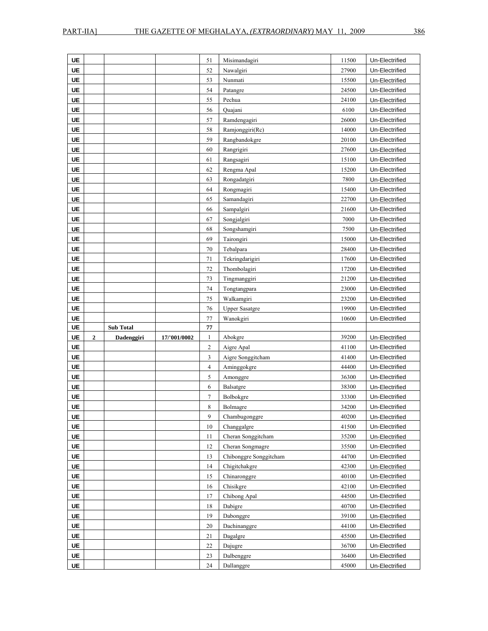| UE        |                  |                  |              | 51           | Misimandagiri            | 11500          | Un-Electrified                   |
|-----------|------------------|------------------|--------------|--------------|--------------------------|----------------|----------------------------------|
| <b>UE</b> |                  |                  |              | 52           | Nawalgiri                | 27900          | Un-Electrified                   |
| <b>UE</b> |                  |                  |              | 53           | Nunmati                  | 15500          | Un-Electrified                   |
| <b>UE</b> |                  |                  |              | 54           | Patangre                 | 24500          | Un-Electrified                   |
| <b>UE</b> |                  |                  |              | 55           | Pechua                   | 24100          | Un-Electrified                   |
| <b>UE</b> |                  |                  |              | 56           | Quajani                  | 6100           | Un-Electrified                   |
| <b>UE</b> |                  |                  |              | 57           | Ramdengagiri             | 26000          | Un-Electrified                   |
| <b>UE</b> |                  |                  |              | 58           | Ramjonggiri(Rc)          | 14000          | Un-Electrified                   |
| UE        |                  |                  |              | 59           | Rangbandokgre            | 20100          | Un-Electrified                   |
| UE        |                  |                  |              | 60           | Rangrigiri               | 27600          | Un-Electrified                   |
| <b>UE</b> |                  |                  |              | 61           | Rangsagiri               | 15100          | Un-Electrified                   |
| UE        |                  |                  |              | 62           | Rengma Apal              | 15200          | Un-Electrified                   |
| UE        |                  |                  |              | 63           | Rongadatgiri             | 7800           | Un-Electrified                   |
| <b>UE</b> |                  |                  |              | 64           | Rongmagiri               | 15400          | Un-Electrified                   |
| UE        |                  |                  |              | 65           | Samandagiri              | 22700          | Un-Electrified                   |
| UE        |                  |                  |              | 66           | Sampalgiri               | 21600          | Un-Electrified                   |
| UE        |                  |                  |              | 67           | Songjalgiri              | 7000           | Un-Electrified                   |
| UE        |                  |                  |              | 68           | Songshamgiri             | 7500           | Un-Electrified                   |
| UE        |                  |                  |              | 69           | Tairongiri               | 15000          | Un-Electrified                   |
| UE        |                  |                  |              | 70           | Tebalpara                | 28400          | Un-Electrified                   |
| <b>UE</b> |                  |                  |              | 71           | Tekringdarigiri          | 17600          | Un-Electrified                   |
| <b>UE</b> |                  |                  |              | 72           | Thombolagiri             | 17200          | Un-Electrified                   |
| <b>UE</b> |                  |                  |              | 73           | Tingmanggiri             | 21200          | Un-Electrified                   |
| UE        |                  |                  |              | 74           | Tongtangpara             | 23000          | Un-Electrified                   |
|           |                  |                  |              | 75           | Walkamgiri               | 23200          | Un-Electrified                   |
| UE        |                  |                  |              |              |                          |                |                                  |
| UE        |                  |                  |              | 76           | <b>Upper Sasatgre</b>    | 19900          | Un-Electrified                   |
| <b>UE</b> |                  |                  |              | 77           | Wanokgiri                | 10600          | Un-Electrified                   |
| <b>UE</b> |                  | <b>Sub Total</b> |              | 77           |                          |                |                                  |
| <b>UE</b> | $\boldsymbol{2}$ | Dadenggiri       | 17/'001/0002 | 1            | Abokgre                  | 39200          | Un-Electrified                   |
| <b>UE</b> |                  |                  |              | $\mathbf{2}$ | Aigre Apal               | 41100          | Un-Electrified                   |
| <b>UE</b> |                  |                  |              | 3            | Aigre Songgitcham        | 41400          | Un-Electrified                   |
| UE        |                  |                  |              | 4            | Aminggokgre              | 44400          | Un-Electrified                   |
| UE        |                  |                  |              | 5            | Amonggre                 | 36300          | Un-Electrified                   |
| <b>UE</b> |                  |                  |              | 6            | Balsatgre                | 38300          | Un-Electrified                   |
| UE        |                  |                  |              | 7            | Bolbokgre                | 33300          | Un-Electrified                   |
| UE        |                  |                  |              | 8            | Bolmagre                 | 34200          | Un-Electrified                   |
| UE        |                  |                  |              | 9            | Chambugonggre            | 40200          | Un-Electrified                   |
| UE        |                  |                  |              | 10           | Changgalgre              | 41500          | Un-Electrified                   |
| UE        |                  |                  |              | 11           | Cheran Songgitcham       | 35200          | Un-Electrified                   |
| UE        |                  |                  |              | 12           | Cheran Songmagre         | 35500          | Un-Electrified                   |
| UE        |                  |                  |              | 13           | Chibonggre Songgitcham   | 44700          | Un-Electrified                   |
| UE        |                  |                  |              | 14           | Chigitchakgre            | 42300          | Un-Electrified                   |
| UE        |                  |                  |              | 15           | Chinaronggre             | 40100          | Un-Electrified                   |
| UE        |                  |                  |              | 16           | Chisikgre                | 42100          | Un-Electrified                   |
| UE        |                  |                  |              | 17           | Chibong Apal             | 44500          | Un-Electrified                   |
| UE        |                  |                  |              | 18           | Dabigre                  | 40700          | Un-Electrified                   |
| UE        |                  |                  |              | 19           | Dabonggre                | 39100          | Un-Electrified                   |
| UE<br>UE  |                  |                  |              | 20<br>21     | Dachinanggre<br>Dagalgre | 44100<br>45500 | Un-Electrified<br>Un-Electrified |

**UE DE D 22** Dajugre **22** 36700 Un-Electrified **UE UE** Un-Electrified **UE UE Leaper Un-Electrified Leaper 24** Dallanggre **1** A5000 Un-Electrified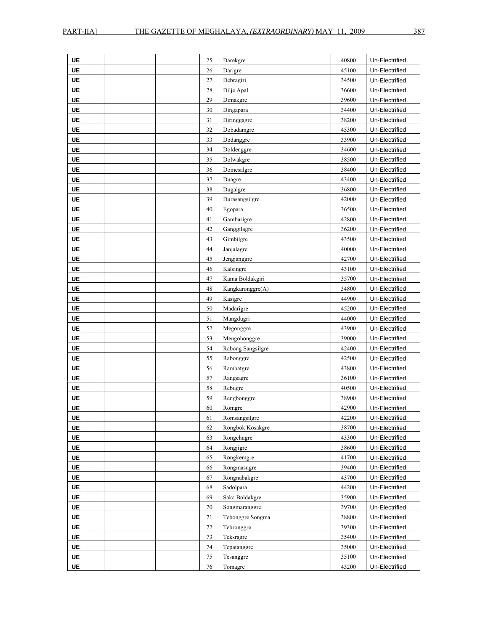| UE        | 25 | Darekgre          | 40800 | Un-Electrified |
|-----------|----|-------------------|-------|----------------|
| UE        | 26 | Darigre           | 45100 | Un-Electrified |
| UE        | 27 | Debragiri         | 34500 | Un-Electrified |
| <b>UE</b> | 28 | Dilje Apal        | 36600 | Un-Electrified |
| <b>UE</b> | 29 | Dimakgre          | 39600 | Un-Electrified |
| <b>UE</b> | 30 | Dingapara         | 34400 | Un-Electrified |
| <b>UE</b> | 31 | Diringgagre       | 38200 | Un-Electrified |
| <b>UE</b> | 32 | Dobadamgre        | 45300 | Un-Electrified |
| <b>UE</b> | 33 | Dodanggre         | 33900 | Un-Electrified |
| <b>UE</b> | 34 | Doldenggre        | 34600 | Un-Electrified |
| <b>UE</b> | 35 | Dolwakgre         | 38500 | Un-Electrified |
| <b>UE</b> | 36 | Domesalgre        | 38400 | Un-Electrified |
| <b>UE</b> | 37 | Duagre            | 43400 | Un-Electrified |
| <b>UE</b> | 38 | Dugalgre          | 36800 | Un-Electrified |
| <b>UE</b> | 39 | Durasangsilgre    | 42000 | Un-Electrified |
| <b>UE</b> | 40 | Egopara           | 36500 | Un-Electrified |
| UE        | 41 | Gambarigre        | 42800 | Un-Electrified |
| <b>UE</b> | 42 | Ganggilagre       | 36200 | Un-Electrified |
| <b>UE</b> | 43 | Gimbilgre         | 43500 | Un-Electrified |
| <b>UE</b> | 44 | Janjalagre        | 40000 | Un-Electrified |
| <b>UE</b> | 45 | Jengjanggre       | 42700 | Un-Electrified |
| UE        | 46 | Kalsingre         | 43100 | Un-Electrified |
| <b>UE</b> | 47 | Kama Boldakgiri   | 35700 | Un-Electrified |
| <b>UE</b> | 48 | Kangkaronggre(A)  | 34800 | Un-Electrified |
| <b>UE</b> | 49 | Kasigre           | 44900 | Un-Electrified |
| UE        | 50 | Madarigre         | 45200 | Un-Electrified |
| <b>UE</b> | 51 | Mangdugri         | 44000 | Un-Electrified |
| <b>UE</b> | 52 | Megonggre         | 43900 | Un-Electrified |
| <b>UE</b> | 53 | Mengohonggre      | 39000 | Un-Electrified |
| <b>UE</b> | 54 | Rabong Sangsilgre | 42400 | Un-Electrified |
| <b>UE</b> | 55 | Rabonggre         | 42500 | Un-Electrified |
| <b>UE</b> | 56 | Rambatgre         | 43800 | Un-Electrified |
| <b>UE</b> | 57 | Rangsagre         | 36100 | Un-Electrified |
| <b>UE</b> | 58 | Rebugre           | 40500 | Un-Electrified |
| <b>UE</b> | 59 | Rengbonggre       | 38900 | Un-Electrified |
| UE        | 60 | Romgre            | 42900 | Un-Electrified |
| UE        | 61 | Romsangsilgre     | 42200 | Un-Electrified |
| UE        | 62 | Rongbok Kosakgre  | 38700 | Un-Electrified |
| <b>UE</b> | 63 | Rongchugre        | 43300 | Un-Electrified |
| <b>UE</b> | 64 | Rongjigre         | 38600 | Un-Electrified |
| <b>UE</b> | 65 | Rongkemgre        | 41700 | Un-Electrified |
| UE        | 66 | Rongmasugre       | 39400 | Un-Electrified |
| <b>UE</b> | 67 | Rongnabakgre      | 43700 | Un-Electrified |
| <b>UE</b> | 68 | Sadolpara         | 44200 | Un-Electrified |
| <b>UE</b> | 69 | Saka Boldakgre    | 35900 | Un-Electrified |
| <b>UE</b> | 70 | Songmaranggre     | 39700 | Un-Electrified |
| UE        | 71 | Tebonggre Songma  | 38800 | Un-Electrified |
| UE        | 72 | Tebronggre        | 39300 | Un-Electrified |
| <b>UE</b> | 73 | Teksragre         | 35400 | Un-Electrified |
| UE        | 74 | Tepatanggre       | 35000 | Un-Electrified |
| <b>UE</b> | 75 | Tesanggre         | 35100 | Un-Electrified |
| <b>UE</b> | 76 | Tomagre           | 43200 | Un-Electrified |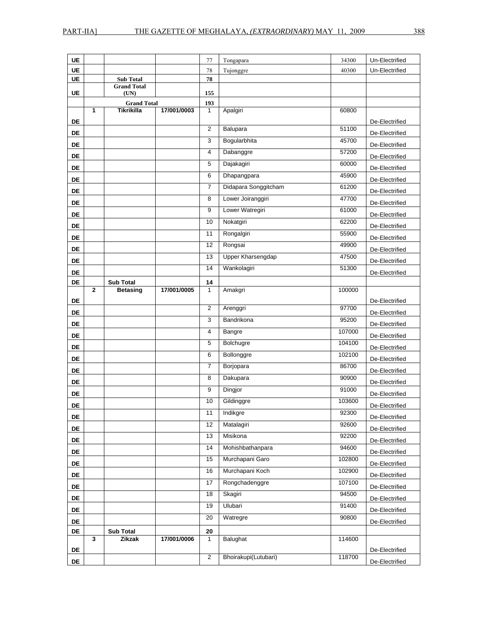**UE** 

| UE        |                    | 77  | Tongapara | 34300 | Un-Electrified |
|-----------|--------------------|-----|-----------|-------|----------------|
| UE        |                    | 78  | Tujonggre | 40300 | Un-Electrified |
| UE        | <b>Sub Total</b>   | 78  |           |       |                |
|           | <b>Grand Total</b> |     |           |       |                |
| <b>UE</b> | (UN)               | 155 |           |       |                |

| UE        |                | (UN)                       |             | 155                |                          |        |                |
|-----------|----------------|----------------------------|-------------|--------------------|--------------------------|--------|----------------|
|           |                | <b>Grand Total</b>         |             | 193                |                          |        |                |
|           | 1              | Tikrikilla                 | 17/001/0003 | $\mathbf{1}$       | Apalgiri                 | 60800  |                |
| <b>DE</b> |                |                            |             | $\overline{2}$     |                          | 51100  | De-Electrified |
| <b>DE</b> |                |                            |             |                    | Balupara                 |        | De-Electrified |
| DE        |                |                            |             | 3                  | Bogularbhita             | 45700  | De-Electrified |
| DE        |                |                            |             | 4                  | Dabanggre                | 57200  | De-Electrified |
| DE        |                |                            |             | 5                  | Dajakagiri               | 60000  | De-Electrified |
| <b>DE</b> |                |                            |             | 6                  | Dhapangpara              | 45900  | De-Electrified |
| DE        |                |                            |             | $\overline{7}$     | Didapara Songgitcham     | 61200  | De-Electrified |
| <b>DE</b> |                |                            |             | 8                  | Lower Joiranggiri        | 47700  | De-Electrified |
| <b>DE</b> |                |                            |             | 9                  | Lower Watregiri          | 61000  | De-Electrified |
| DE        |                |                            |             | 10                 | Nokatgiri                | 62200  | De-Electrified |
| DE        |                |                            |             | 11                 | Rongalgiri               | 55900  | De-Electrified |
| <b>DE</b> |                |                            |             | 12                 | Rongsai                  | 49900  | De-Electrified |
| <b>DE</b> |                |                            |             | 13                 | <b>Upper Kharsengdap</b> | 47500  | De-Electrified |
| DE        |                |                            |             | 14                 | Wankolagiri              | 51300  | De-Electrified |
| DE        |                | <b>Sub Total</b>           |             | 14                 |                          |        |                |
|           | $\overline{2}$ | <b>Betasing</b>            | 17/001/0005 | $\mathbf{1}$       | Amakgri                  | 100000 |                |
| <b>DE</b> |                |                            |             |                    |                          |        | De-Electrified |
| <b>DE</b> |                |                            |             | $\overline{2}$     | Arenggri                 | 97700  | De-Electrified |
| <b>DE</b> |                |                            |             | 3                  | Bandrikona               | 95200  | De-Electrified |
| DE        |                |                            |             | 4                  | Bangre                   | 107000 | De-Electrified |
| DE        |                |                            |             | 5                  | Bolchugre                | 104100 | De-Electrified |
| DE        |                |                            |             | 6                  | Bollonggre               | 102100 | De-Electrified |
| DE        |                |                            |             | $\overline{7}$     | Borjopara                | 86700  | De-Electrified |
| DE        |                |                            |             | 8                  | Dakupara                 | 90900  | De-Electrified |
| <b>DE</b> |                |                            |             | 9                  | Dingjor                  | 91000  | De-Electrified |
| DE        |                |                            |             | 10                 | Gildinggre               | 103600 | De-Electrified |
| DE        |                |                            |             | 11                 | Indikgre                 | 92300  | De-Electrified |
| DE        |                |                            |             | 12                 | Matalagiri               | 92600  | De-Electrified |
|           |                |                            |             | 13                 | Misikona                 | 92200  |                |
| DE        |                |                            |             | 14                 | Mohishbathanpara         | 94600  | De-Electrified |
| DE        |                |                            |             | 15                 | Murchapani Garo          | 102800 | De-Electrified |
| <b>DE</b> |                |                            |             | 16                 | Murchapani Koch          | 102900 | De-Electrified |
| DE        |                |                            |             | 17                 | Rongchadenggre           | 107100 | De-Electrified |
| DE        |                |                            |             | 18                 | Skagiri                  | 94500  | De-Electrified |
| DE        |                |                            |             | 19                 | Ulubari                  | 91400  | De-Electrified |
| <b>DE</b> |                |                            |             |                    |                          | 90800  | De-Electrified |
| <b>DE</b> |                |                            |             | 20                 | Watregre                 |        | De-Electrified |
| DE        | 3              | <b>Sub Total</b><br>Zikzak | 17/001/0006 | 20<br>$\mathbf{1}$ | Balughat                 | 114600 |                |
|           |                |                            |             |                    |                          |        |                |
| DE        |                |                            |             | $\overline{c}$     | Bhoirakupi(Lutubari)     | 118700 | De-Electrified |
| DE        |                |                            |             |                    |                          |        | De-Electrified |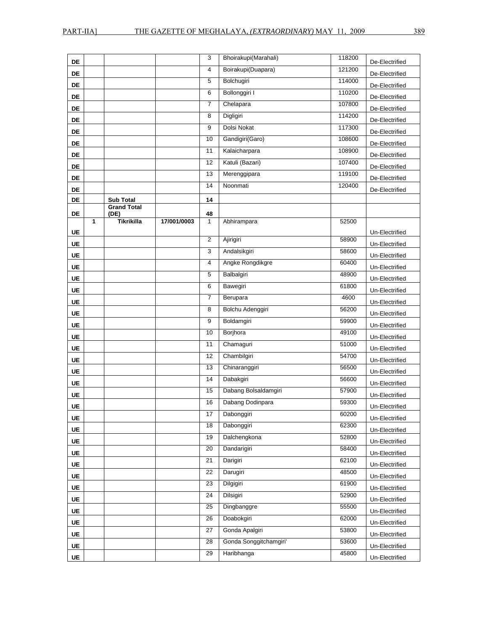| DE        |   |                           |             | 3                  | Bhoirakupi(Marahali)   | 118200 | De-Electrified                   |
|-----------|---|---------------------------|-------------|--------------------|------------------------|--------|----------------------------------|
| DE        |   |                           |             | 4                  | Boirakupi(Duapara)     | 121200 | De-Electrified                   |
| DE        |   |                           |             | 5                  | Bolchugiri             | 114000 | De-Electrified                   |
| DE        |   |                           |             | 6                  | Bollonggiri I          | 110200 | De-Electrified                   |
| DE        |   |                           |             | $\overline{7}$     | Chelapara              | 107800 | De-Electrified                   |
| DE        |   |                           |             | 8                  | Digligiri              | 114200 | De-Electrified                   |
| DE        |   |                           |             | 9                  | Dolsi Nokat            | 117300 | De-Electrified                   |
| DE        |   |                           |             | 10                 | Gandigiri(Garo)        | 108600 |                                  |
| DE        |   |                           |             | 11                 | Kalaicharpara          | 108900 | De-Electrified<br>De-Electrified |
| DE        |   |                           |             | 12                 | Katuli (Bazari)        | 107400 |                                  |
| DE        |   |                           |             | 13                 | Merenggipara           | 119100 | De-Electrified<br>De-Electrified |
| DE        |   |                           |             | 14                 | Noonmati               | 120400 | De-Electrified                   |
| DE        |   | <b>Sub Total</b>          |             | 14                 |                        |        |                                  |
|           |   | <b>Grand Total</b>        |             |                    |                        |        |                                  |
| DE        | 1 | (DE)<br><b>Tikrikilla</b> | 17/001/0003 | 48<br>$\mathbf{1}$ | Abhirampara            | 52500  |                                  |
| <b>UE</b> |   |                           |             |                    |                        |        | Un-Electrified                   |
| <b>UE</b> |   |                           |             | $\overline{2}$     | Ajirigiri              | 58900  | Un-Electrified                   |
| UE        |   |                           |             | $\overline{3}$     | Andalsikgiri           | 58600  | Un-Electrified                   |
| UE        |   |                           |             | 4                  | Angke Rongdikgre       | 60400  | Un-Electrified                   |
| UE        |   |                           |             | $\overline{5}$     | Balbalgiri             | 48900  | Un-Electrified                   |
| UE        |   |                           |             | 6                  | Bawegiri               | 61800  | Un-Electrified                   |
| <b>UE</b> |   |                           |             | $\overline{7}$     | Berupara               | 4600   | Un-Electrified                   |
| UE        |   |                           |             | 8                  | Bolchu Adenggiri       | 56200  | Un-Electrified                   |
| <b>UE</b> |   |                           |             | 9                  | Boldamgiri             | 59900  | Un-Electrified                   |
| <b>UE</b> |   |                           |             | 10                 | Borjhora               | 49100  | Un-Electrified                   |
| UE        |   |                           |             | 11                 | Chamaguri              | 51000  | Un-Electrified                   |
| <b>UE</b> |   |                           |             | $\overline{12}$    | Chambilgiri            | 54700  | Un-Electrified                   |
| UE        |   |                           |             | 13                 | Chinaranggiri          | 56500  | Un-Electrified                   |
| UE        |   |                           |             | 14                 | Dabakgiri              | 56600  | Un-Electrified                   |
| <b>UE</b> |   |                           |             | 15                 | Dabang Bolsaldamgiri   | 57900  | Un-Electrified                   |
| UE        |   |                           |             | 16                 | Dabang Dodinpara       | 59300  | Un-Electrified                   |
| <b>UE</b> |   |                           |             | 17                 | Dabonggiri             | 60200  | Un-Electrified                   |
| UE        |   |                           |             | 18                 | Dabonggiri             | 62300  | Un-Electrified                   |
| UE        |   |                           |             | 19                 | Dalchengkona           | 52800  | Un-Electrified                   |
| UE        |   |                           |             | 20                 | Dandarigiri            | 58400  | Un-Electrified                   |
| UE        |   |                           |             | 21                 | Darigiri               | 62100  | Un-Electrified                   |
| UE        |   |                           |             | 22                 | Darugiri               | 48500  | Un-Electrified                   |
| UE        |   |                           |             | 23                 | Dilgigiri              | 61900  | Un-Electrified                   |
| UE        |   |                           |             | 24                 | Dilsigiri              | 52900  | Un-Electrified                   |
| UE        |   |                           |             | 25                 | Dingbanggre            | 55500  | Un-Electrified                   |
| UE        |   |                           |             | 26                 | Doabokgiri             | 62000  | Un-Electrified                   |
| UE        |   |                           |             | 27                 | Gonda Apalgiri         | 53800  | Un-Electrified                   |
| UE        |   |                           |             | 28                 | Gonda Songgitchamgiri' | 53600  | Un-Electrified                   |
| UE        |   |                           |             | 29                 | Haribhanga             | 45800  | Un-Electrified                   |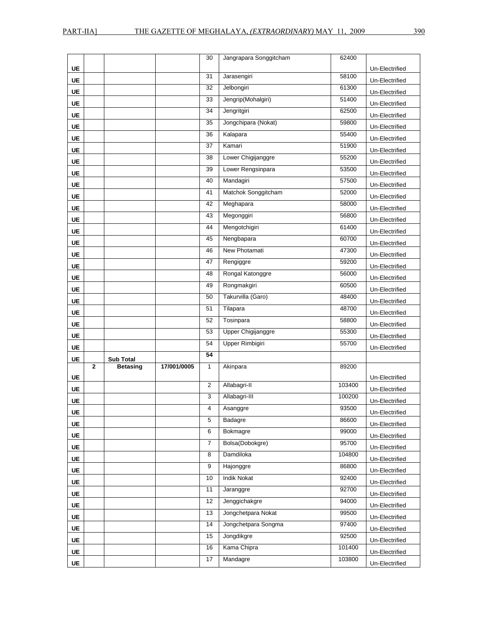|           |                |                  |             | 30             | Jangrapara Songgitcham  | 62400            |                |
|-----------|----------------|------------------|-------------|----------------|-------------------------|------------------|----------------|
| UE        |                |                  |             |                |                         |                  | Un-Electrified |
| UE        |                |                  |             | 31             | Jarasengiri             | 58100            | Un-Electrified |
| <b>UE</b> |                |                  |             | 32             | Jelbongiri              | 61300            | Un-Electrified |
| <b>UE</b> |                |                  |             | 33             | Jengrip(Mohalgiri)      | 51400            | Un-Electrified |
| UE        |                |                  |             | 34             | Jengritgiri             | 62500            | Un-Electrified |
| <b>UE</b> |                |                  |             | 35             | Jongchipara (Nokat)     | 59800            | Un-Electrified |
| UE        |                |                  |             | 36             | Kalapara                | 55400            | Un-Electrified |
| <b>UE</b> |                |                  |             | 37             | Kamari                  | 51900            | Un-Electrified |
| UE        |                |                  |             | 38             | Lower Chigijanggre      | 55200            | Un-Electrified |
| <b>UE</b> |                |                  |             | 39             | Lower Rengsinpara       | 53500            | Un-Electrified |
| UE        |                |                  |             | 40             | Mandagiri               | 57500            | Un-Electrified |
| <b>UE</b> |                |                  |             | 41             | Matchok Songgitcham     | 52000            | Un-Electrified |
| <b>UE</b> |                |                  |             | 42             | Meghapara               | 58000            | Un-Electrified |
| UE        |                |                  |             | 43             | Megonggiri              | 56800            | Un-Electrified |
| UE        |                |                  |             | 44             | Mengotchigiri           | 61400            | Un-Electrified |
| UE        |                |                  |             | 45             | Nengbapara              | 60700            | Un-Electrified |
| <b>UE</b> |                |                  |             | 46             | New Photamati           | 47300            | Un-Electrified |
| UE        |                |                  |             | 47             | Rengiggre               | 59200            | Un-Electrified |
| UE        |                |                  |             | 48             | Rongal Katonggre        | 56000            | Un-Electrified |
| <b>UE</b> |                |                  |             | 49             | Rongmakgiri             | 60500            | Un-Electrified |
| <b>UE</b> |                |                  |             | 50             | Takurvilla (Garo)       | 48400            | Un-Electrified |
| <b>UE</b> |                |                  |             | 51             | Tilapara                | 48700            | Un-Electrified |
|           |                |                  |             |                |                         | 58800            |                |
| UE        |                |                  |             | 52             | Tosinpara               |                  | Un-Electrified |
| <b>UE</b> |                |                  |             | 53             | Upper Chigijanggre      | 55300            | Un-Electrified |
| UE        |                |                  |             | 54             | <b>Upper Rimbigiri</b>  | 55700            | Un-Electrified |
| <b>UE</b> |                | <b>Sub Total</b> |             | 54             |                         |                  |                |
|           | $\overline{2}$ | <b>Betasing</b>  | 17/001/0005 | $\overline{1}$ | Akinpara                | 89200            |                |
| UE        |                |                  |             |                |                         |                  | Un-Electrified |
| UE        |                |                  |             | $\sqrt{2}$     | Allabagri-II            | 103400           | Un-Electrified |
| <b>UE</b> |                |                  |             | 3              | Allabagri-III           | 100200           | Un-Electrified |
| UE        |                |                  |             | 4              | Asanggre                | 93500            | Un-Electrified |
| <b>UE</b> |                |                  |             | 5              | Badagre                 | 86600            | Un-Electrified |
| UE        |                |                  |             | 6              | Bokmagre                | 99000            | Un-Electrified |
| UE        |                |                  |             | $\overline{7}$ | Bolsa(Dobokgre)         | 95700            | Un-Electrified |
| UE        |                |                  |             | 8              | Damdiloka               | 104800           | Un-Electrified |
| UE        |                |                  |             | 9              | Hajonggre               | 86800            | Un-Electrified |
| UE        |                |                  |             | 10             | <b>Indik Nokat</b>      | 92400            | Un-Electrified |
| UE        |                |                  |             | 11             | Jaranggre               | 92700            | Un-Electrified |
| UE        |                |                  |             | 12             | Jenggichakgre           | 94000            | Un-Electrified |
| UE        |                |                  |             | 13             | Jongchetpara Nokat      | 99500            | Un-Electrified |
| UE        |                |                  |             | 14             | Jongchetpara Songma     | 97400            | Un-Electrified |
| UE        |                |                  |             | 15             | Jongdikgre              | 92500            | Un-Electrified |
| UE        |                |                  |             | 16<br>17       | Kama Chipra<br>Mandagre | 101400<br>103800 | Un-Electrified |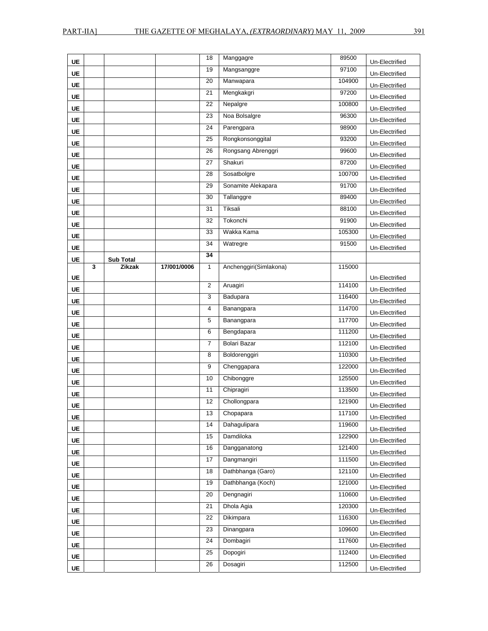| <b>UE</b> |   |                            |             | 18             | Manggagre              | 89500  | Un-Electrified |
|-----------|---|----------------------------|-------------|----------------|------------------------|--------|----------------|
| <b>UE</b> |   |                            |             | 19             | Mangsanggre            | 97100  | Un-Electrified |
| <b>UE</b> |   |                            |             | 20             | Manwapara              | 104900 | Un-Electrified |
| UE        |   |                            |             | 21             | Mengkakgri             | 97200  | Un-Electrified |
| <b>UE</b> |   |                            |             | 22             | Nepalgre               | 100800 | Un-Electrified |
| <b>UE</b> |   |                            |             | 23             | Noa Bolsalgre          | 96300  | Un-Electrified |
| <b>UE</b> |   |                            |             | 24             | Parengpara             | 98900  | Un-Electrified |
| <b>UE</b> |   |                            |             | 25             | Rongkonsonggital       | 93200  | Un-Electrified |
| UE        |   |                            |             | 26             | Rongsang Abrenggri     | 99600  | Un-Electrified |
| <b>UE</b> |   |                            |             | 27             | Shakuri                | 87200  | Un-Electrified |
| UE        |   |                            |             | 28             | Sosatbolgre            | 100700 | Un-Electrified |
| UE        |   |                            |             | 29             | Sonamite Alekapara     | 91700  | Un-Electrified |
| UE        |   |                            |             | 30             | Tallanggre             | 89400  | Un-Electrified |
| <b>UE</b> |   |                            |             | 31             | Tiksali                | 88100  | Un-Electrified |
| <b>UE</b> |   |                            |             | 32             | Tokonchi               | 91900  | Un-Electrified |
| <b>UE</b> |   |                            |             | 33             | Wakka Kama             | 105300 | Un-Electrified |
| UE        |   |                            |             | 34             | Watregre               | 91500  | Un-Electrified |
| UE        |   |                            |             | 34             |                        |        |                |
|           | 3 | <b>Sub Total</b><br>Zikzak | 17/001/0006 | $\mathbf{1}$   | Anchenggiri(Simlakona) | 115000 |                |
| UE        |   |                            |             |                |                        |        | Un-Electrified |
| <b>UE</b> |   |                            |             | $\overline{2}$ | Aruagiri               | 114100 | Un-Electrified |
| <b>UE</b> |   |                            |             | 3              | Badupara               | 116400 | Un-Electrified |
| UE        |   |                            |             | $\overline{4}$ | Banangpara             | 114700 | Un-Electrified |
| UE        |   |                            |             | 5              | Banangpara             | 117700 | Un-Electrified |
| UE        |   |                            |             | 6              | Bengdapara             | 111200 | Un-Electrified |
| UE        |   |                            |             | $\overline{7}$ | <b>Bolari Bazar</b>    | 112100 | Un-Electrified |
| <b>UE</b> |   |                            |             | 8              | Boldorenggiri          | 110300 | Un-Electrified |
| <b>UE</b> |   |                            |             | 9              | Chenggapara            | 122000 | Un-Electrified |
| <b>UE</b> |   |                            |             | 10             | Chibonggre             | 125500 | Un-Electrified |
| <b>UE</b> |   |                            |             | 11             | Chipragiri             | 113500 | Un-Electrified |
| <b>UE</b> |   |                            |             | 12             | Chollongpara           | 121900 | Un-Electrified |
| <b>UE</b> |   |                            |             | 13             | Chopapara              | 117100 | Un-Electrified |
| UE        |   |                            |             | 14             | Dahaqulipara           | 119600 | Un-Electrified |
| UE        |   |                            |             | 15             | Damdiloka              | 122900 | Un-Electrified |
| UE        |   |                            |             | 16             | Dangganatong           | 121400 | Un-Electrified |
| UE        |   |                            |             | 17             | Dangmangiri            | 111500 | Un-Electrified |
| UE        |   |                            |             | 18             | Dathbhanga (Garo)      | 121100 | Un-Electrified |
| UE        |   |                            |             | 19             | Dathbhanga (Koch)      | 121000 | Un-Electrified |
| UE        |   |                            |             | 20             | Dengnagiri             | 110600 | Un-Electrified |
| UE        |   |                            |             | 21             | Dhola Agia             | 120300 | Un-Electrified |
| UE        |   |                            |             | 22             | Dikimpara              | 116300 | Un-Electrified |
| UE        |   |                            |             | 23             | Dinangpara             | 109600 | Un-Electrified |
| UE        |   |                            |             | 24             | Dombagiri              | 117600 | Un-Electrified |
| UE        |   |                            |             | 25             | Dopogiri               | 112400 | Un-Electrified |
| UE        |   |                            |             | 26             | Dosagiri               | 112500 | Un-Electrified |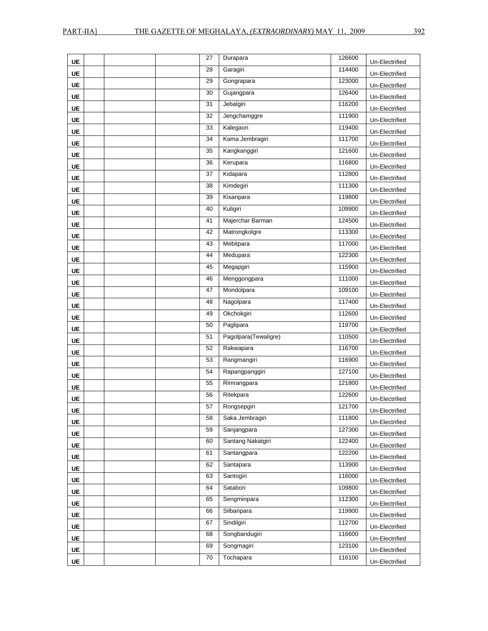| <b>UE</b> | 27 | Durapara             | 126600 | Un-Electrified                   |
|-----------|----|----------------------|--------|----------------------------------|
| <b>UE</b> | 28 | Garagiri             | 114400 | Un-Electrified                   |
| <b>UE</b> | 29 | Gongrapara           | 123000 | Un-Electrified                   |
| <b>UE</b> | 30 | Gujangpara           | 126400 | Un-Electrified                   |
| UE        | 31 | Jebalgiri            | 116200 | Un-Electrified                   |
| UE        | 32 | Jengchamggre         | 111900 | Un-Electrified                   |
| <b>UE</b> | 33 | Kalegaon             | 119400 | Un-Electrified                   |
| <b>UE</b> | 34 | Kama Jembragiri      | 111700 | Un-Electrified                   |
| UE        | 35 | Kangkanggiri         | 121600 | Un-Electrified                   |
| <b>UE</b> | 36 | Kerupara             | 116800 | Un-Electrified                   |
| UE        | 37 | Kidapara             | 112800 | Un-Electrified                   |
| UE        | 38 | Kimdegiri            | 111300 | Un-Electrified                   |
| UE        | 39 | Kisanpara            | 119800 | Un-Electrified                   |
| UE        | 40 | Kuligiri             | 109900 | Un-Electrified                   |
| <b>UE</b> | 41 | Majerchar Barman     | 124500 | Un-Electrified                   |
| <b>UE</b> | 42 | Matrongkolgre        | 113300 | Un-Electrified                   |
| <b>UE</b> | 43 | Mebitpara            | 117000 | Un-Electrified                   |
| UE        | 44 | Medupara             | 122300 | Un-Electrified                   |
| UE        | 45 | Megapgiri            | 115900 | Un-Electrified                   |
| <b>UE</b> | 46 | Menggongpara         | 111000 | Un-Electrified                   |
| UE        | 47 | Mondolpara           | 109100 | Un-Electrified                   |
| UE        | 48 | Nagolpara            | 117400 | Un-Electrified                   |
| <b>UE</b> | 49 | Okchokgiri           | 112600 | Un-Electrified                   |
| UE        | 50 | Paglipara            | 119700 | Un-Electrified                   |
| <b>UE</b> | 51 | Pagolpara(Tewaligre) | 110500 | Un-Electrified                   |
| UE        | 52 | Rakwapara            | 116700 | Un-Electrified                   |
| UE        | 53 | Rangmangiri          | 116900 | Un-Electrified                   |
| UE        | 54 | Rapangpanggiri       | 127100 | Un-Electrified                   |
| <b>UE</b> | 55 | Rimrangpara          | 121800 | Un-Electrified                   |
| <b>UE</b> | 56 | Ritekpara            | 122600 | Un-Electrified                   |
| UE        | 57 | Rongsepgiri          | 121700 | Un-Electrified                   |
| UE        | 58 | Saka Jembragiri      | 111800 | Un-Electrified                   |
| UE        | 59 | Sanjangpara          | 127300 | Un-Electrified                   |
| UE        | 60 | Santang Nakatgiri    | 122400 | Un-Electrified                   |
| UE        | 61 | Santangpara          | 122200 | Un-Electrified                   |
| UE        | 62 | Santapara            | 113900 | Un-Electrified                   |
|           | 63 | Santogiri            | 116000 |                                  |
| UE<br>UE  | 64 | Satabori             | 109800 | Un-Electrified                   |
| UE        | 65 | Sengminpara          | 112300 | Un-Electrified<br>Un-Electrified |
|           | 66 | Silbaripara          | 119900 |                                  |
| UE        | 67 | Sindilgiri           | 112700 | Un-Electrified                   |
| UE        | 68 | Songbandugiri        | 116600 | Un-Electrified                   |
| UE        | 69 | Songmagiri           | 123100 | Un-Electrified                   |
| UE        | 70 | Tochapara            | 116100 | Un-Electrified                   |
| UE        |    |                      |        | Un-Electrified                   |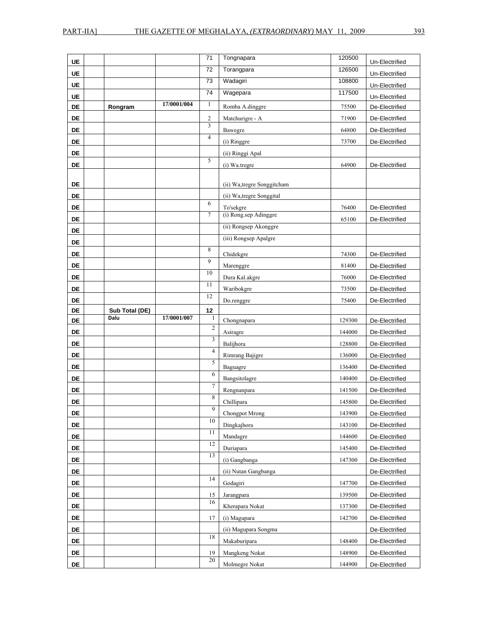|           |                |             | 71              | Tongnapara                  | 120500           |                                  |
|-----------|----------------|-------------|-----------------|-----------------------------|------------------|----------------------------------|
| UE        |                |             | 72              |                             |                  | Un-Electrified                   |
| UE        |                |             |                 | Torangpara                  | 126500           | Un-Electrified                   |
| UE        |                |             | 73              | Wadagiri                    | 108800           | Un-Electrified                   |
| UE        |                |             | $\overline{74}$ | Wagepara                    | 117500           | Un-Electrified                   |
| DE        | Rongram        | 17/0001/004 | $\mathbf{1}$    | Romba A.dinggre             | 75500            | De-Electrified                   |
| DE        |                |             | $\overline{c}$  | Matchurigre - A             | 71900            | De-Electrified                   |
| DE        |                |             | $\overline{3}$  | Bawegre                     | 64800            | De-Electrified                   |
| DE        |                |             | $\overline{4}$  | (i) Ringgre                 | 73700            | De-Electrified                   |
| <b>DE</b> |                |             |                 | (ii) Ringgi Apal            |                  |                                  |
| DE        |                |             | 5               | (i) Wa.tregre               | 64900            | De-Electrified                   |
|           |                |             |                 |                             |                  |                                  |
| DE        |                |             |                 | (ii) Wa, tregre Songgitcham |                  |                                  |
| DE        |                |             |                 | (ii) Wa, tregre Songgital   |                  |                                  |
| DE        |                |             | 6               | To'sekgre                   | 76400            | De-Electrified                   |
| DE        |                |             | $\tau$          | (i) Rong.sep Adinggre       | 65100            | De-Electrified                   |
| DE        |                |             |                 | (ii) Rongsep Akonggre       |                  |                                  |
| DE        |                |             |                 | (iii) Rongsep Apalgre       |                  |                                  |
| DE        |                |             | 8               | Chidekgre                   | 74300            | De-Electrified                   |
| DE        |                |             | 9               | Marenggre                   | 81400            | De-Electrified                   |
| DE        |                |             | 10              | Dura Kal.akgre              | 76000            | De-Electrified                   |
| DE        |                |             | 11              | Waribokgre                  | 73500            | De-Electrified                   |
| DE        |                |             | 12              | Do.renggre                  | 75400            | De-Electrified                   |
| DE        | Sub Total (DE) |             | 12              |                             |                  |                                  |
|           |                |             |                 |                             |                  |                                  |
| DE        | Dalu           | 17/0001/007 | 1               | Chongnapara                 | 129300           | De-Electrified                   |
| DE        |                |             | $\mathbf{2}$    | Asiragre                    | 144000           | De-Electrified                   |
| DE        |                |             | 3               | Balijhora                   | 128800           | De-Electrified                   |
| DE        |                |             | $\overline{4}$  | Rimrang Bajigre             | 136000           | De-Electrified                   |
| DE        |                |             | 5               |                             | 136400           | De-Electrified                   |
| DE        |                |             | 6               | Baguagre<br>Bangsitolagre   | 140400           | De-Electrified                   |
|           |                |             | $\overline{7}$  |                             |                  |                                  |
| DE        |                |             | 8               | Rengnanpara                 | 141500           | De-Electrified                   |
| DE        |                |             | 9               | Chillipara                  | 145800           | De-Electrified                   |
| DE        |                |             | 10              | Chongpot Mrong              | 143900           | De-Electrified                   |
| DE        |                |             | 11              | Dingkajhora                 | 143100<br>144600 | De-Electrified<br>De-Electrified |
| DE<br>DE  |                |             | 12              | Mandagre<br>Duriapara       | 145400           | De-Electrified                   |
| DE        |                |             | 13              | (i) Gangbanga               | 147300           | De-Electrified                   |
| DE        |                |             |                 | (ii) Nutan Gangbanga        |                  | De-Electrified                   |
| DE        |                |             | 14              | Godagiri                    | 147700           | De-Electrified                   |
| DE        |                |             | 15              | Jarangpara                  | 139500           | De-Electrified                   |
| DE        |                |             | 16              | Kherapara Nokat             | 137300           | De-Electrified                   |
| DE        |                |             | 17              | (i) Magupara                | 142700           | De-Electrified                   |
| DE        |                |             |                 | (ii) Magupara Songma        |                  | De-Electrified                   |
| DE        |                |             | 18              | Makaburipara                | 148400           | De-Electrified                   |
| DE        |                |             | 19              | Mangkeng Nokat              | 148900           | De-Electrified                   |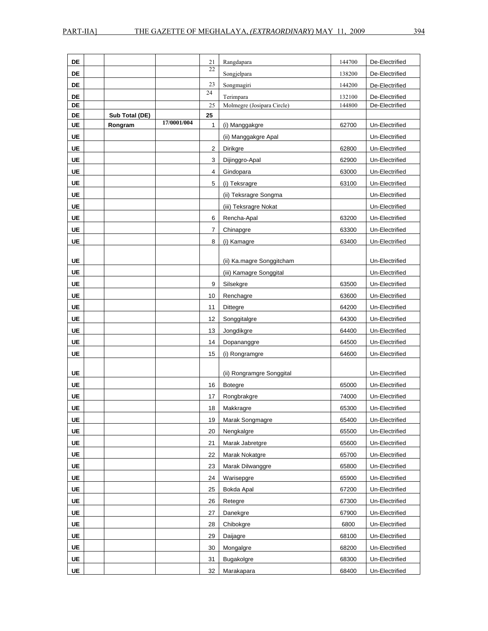| DE        |                |             | 21             | Rangdapara                 | 144700 | De-Electrified |
|-----------|----------------|-------------|----------------|----------------------------|--------|----------------|
| DE        |                |             | 22             | Songjelpara                | 138200 | De-Electrified |
| DE        |                |             | 23             | Songmagiri                 | 144200 | De-Electrified |
| DE        |                |             | 24             | Terimpara                  | 132100 | De-Electrified |
| DE        |                |             | 25             | Molmegre (Josipara Circle) | 144800 | De-Electrified |
| DE        | Sub Total (DE) |             | 25             |                            |        |                |
| <b>UE</b> | Rongram        | 17/0001/004 | $\mathbf{1}$   | (i) Manggakgre             | 62700  | Un-Electrified |
| <b>UE</b> |                |             |                | (ii) Manggakgre Apal       |        | Un-Electrified |
| UE        |                |             | $\overline{2}$ | Dirikgre                   | 62800  | Un-Electrified |
| <b>UE</b> |                |             | 3              | Dijinggro-Apal             | 62900  | Un-Electrified |
| <b>UE</b> |                |             | 4              | Gindopara                  | 63000  | Un-Electrified |
| <b>UE</b> |                |             | 5              | (i) Teksragre              | 63100  | Un-Electrified |
| <b>UE</b> |                |             |                | (ii) Teksragre Songma      |        | Un-Electrified |
| <b>UE</b> |                |             |                | (iii) Teksragre Nokat      |        | Un-Electrified |
| UE        |                |             | 6              | Rencha-Apal                | 63200  | Un-Electrified |
| UE        |                |             | 7              | Chinapgre                  | 63300  | Un-Electrified |
| <b>UE</b> |                |             | 8              | (i) Kamagre                | 63400  | Un-Electrified |
|           |                |             |                |                            |        |                |
| UE        |                |             |                | (ii) Ka.magre Songgitcham  |        | Un-Electrified |
| UE        |                |             |                | (iii) Kamagre Songgital    |        | Un-Electrified |
| <b>UE</b> |                |             | 9              | Silsekgre                  | 63500  | Un-Electrified |
| <b>UE</b> |                |             | 10             | Renchagre                  | 63600  | Un-Electrified |
| UE        |                |             | 11             | Dittegre                   | 64200  | Un-Electrified |
| <b>UE</b> |                |             | 12             | Songgitalgre               | 64300  | Un-Electrified |
| UE        |                |             | 13             | Jongdikgre                 | 64400  | Un-Electrified |
| UE        |                |             | 14             | Dopananggre                | 64500  | Un-Electrified |
| UE        |                |             | 15             | (i) Rongramgre             | 64600  | Un-Electrified |
|           |                |             |                |                            |        |                |
| <b>UE</b> |                |             |                | (ii) Rongramgre Songgital  |        | Un-Electrified |
| UE        |                |             | 16             | <b>Botegre</b>             | 65000  | Un-Electrified |
| <b>UE</b> |                |             | 17             | Rongbrakgre                | 74000  | Un-Electrified |
| UE        |                |             | 18             | Makkragre                  | 65300  | Un-Electrified |
| UE        |                |             | 19             | Marak Songmagre            | 65400  | Un-Electrified |
| <b>UE</b> |                |             | 20             | Nengkalgre                 | 65500  | Un-Electrified |
| <b>UE</b> |                |             | 21             | Marak Jabretgre            | 65600  | Un-Electrified |
| UE        |                |             | 22             | Marak Nokatgre             | 65700  | Un-Electrified |
| UE        |                |             | 23             | Marak Dilwanggre           | 65800  | Un-Electrified |
| <b>UE</b> |                |             | 24             | Warisepgre                 | 65900  | Un-Electrified |
| UE        |                |             | 25             | Bokda Apal                 | 67200  | Un-Electrified |
| UE        |                |             | 26             | Retegre                    | 67300  | Un-Electrified |
| UE        |                |             | 27             | Danekgre                   | 67900  | Un-Electrified |
| <b>UE</b> |                |             | 28             | Chibokgre                  | 6800   | Un-Electrified |
| <b>UE</b> |                |             | 29             | Daijagre                   | 68100  | Un-Electrified |
| UE        |                |             | 30             | Mongalgre                  | 68200  | Un-Electrified |
| UE        |                |             | 31             | <b>Bugakolgre</b>          | 68300  | Un-Electrified |
| UE        |                |             | 32             | Marakapara                 | 68400  | Un-Electrified |
|           |                |             |                |                            |        |                |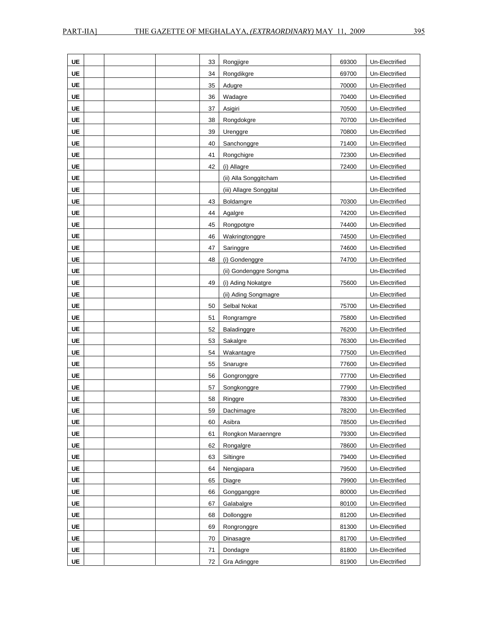| UE        | 33 | Rongjigre               | 69300 | Un-Electrified |
|-----------|----|-------------------------|-------|----------------|
| <b>UE</b> | 34 | Rongdikgre              | 69700 | Un-Electrified |
| UE        | 35 | Adugre                  | 70000 | Un-Electrified |
| UE        | 36 | Wadagre                 | 70400 | Un-Electrified |
| UE        | 37 | Asigiri                 | 70500 | Un-Electrified |
| <b>UE</b> | 38 | Rongdokgre              | 70700 | Un-Electrified |
| UE        | 39 | Urenggre                | 70800 | Un-Electrified |
| UE        | 40 | Sanchonggre             | 71400 | Un-Electrified |
| <b>UE</b> | 41 | Rongchigre              | 72300 | Un-Electrified |
| UE        | 42 | (i) Allagre             | 72400 | Un-Electrified |
| <b>UE</b> |    | (ii) Alla Songgitcham   |       | Un-Electrified |
| <b>UE</b> |    | (iii) Allagre Songgital |       | Un-Electrified |
| <b>UE</b> | 43 | Boldamgre               | 70300 | Un-Electrified |
| UE        | 44 | Agalgre                 | 74200 | Un-Electrified |
| <b>UE</b> | 45 | Rongpotgre              | 74400 | Un-Electrified |
| <b>UE</b> | 46 | Wakringtonggre          | 74500 | Un-Electrified |
| UE        | 47 | Saringgre               | 74600 | Un-Electrified |
| UE        | 48 | (i) Gondenggre          | 74700 | Un-Electrified |
| UE        |    | (ii) Gondenggre Songma  |       | Un-Electrified |
| <b>UE</b> | 49 | (i) Ading Nokatgre      | 75600 | Un-Electrified |
| <b>UE</b> |    | (ii) Ading Songmagre    |       | Un-Electrified |
| <b>UE</b> | 50 | Selbal Nokat            | 75700 | Un-Electrified |
| UE        | 51 | Rongramgre              | 75800 | Un-Electrified |
| <b>UE</b> | 52 | Baladinggre             | 76200 | Un-Electrified |
| <b>UE</b> | 53 | Sakalgre                | 76300 | Un-Electrified |
| <b>UE</b> | 54 | Wakantagre              | 77500 | Un-Electrified |
| <b>UE</b> | 55 | Snarugre                | 77600 | Un-Electrified |
| <b>UE</b> | 56 | Gongronggre             | 77700 | Un-Electrified |
| <b>UE</b> | 57 | Songkonggre             | 77900 | Un-Electrified |
| <b>UE</b> | 58 | Ringgre                 | 78300 | Un-Electrified |
| UE        | 59 | Dachimagre              | 78200 | Un-Electrified |
| UE        | 60 | Asibra                  | 78500 | Un-Electrified |
| <b>UE</b> | 61 | Rongkon Maraenngre      | 79300 | Un-Electrified |
| UE        | 62 | Rongalgre               | 78600 | Un-Electrified |
| UE        | 63 | Siltingre               | 79400 | Un-Electrified |
| UE        | 64 | Nengjapara              | 79500 | Un-Electrified |
| <b>UE</b> | 65 | Diagre                  | 79900 | Un-Electrified |
| UE        | 66 | Gongganggre             | 80000 | Un-Electrified |
| UE        | 67 | Galabalgre              | 80100 | Un-Electrified |
| UE        | 68 | Dollonggre              | 81200 | Un-Electrified |
| UE        | 69 | Rongronggre             | 81300 | Un-Electrified |
| UE        | 70 | Dinasagre               | 81700 | Un-Electrified |
| UE        | 71 | Dondagre                | 81800 | Un-Electrified |
| UE        | 72 | Gra Adinggre            | 81900 | Un-Electrified |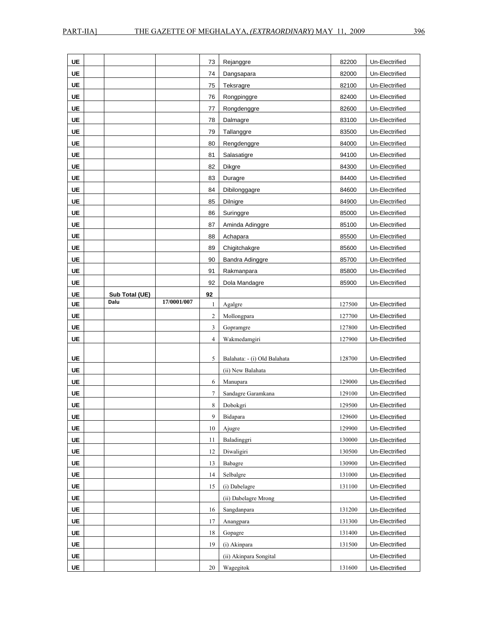| UE        |                |             | 73                      | Rejanggre                           | 82200  | Un-Electrified                   |
|-----------|----------------|-------------|-------------------------|-------------------------------------|--------|----------------------------------|
| <b>UE</b> |                |             | 74                      | Dangsapara                          | 82000  | Un-Electrified                   |
| UE        |                |             | 75                      | Teksragre                           | 82100  | Un-Electrified                   |
| UE        |                |             | 76                      | Rongpinggre                         | 82400  | Un-Electrified                   |
| UE        |                |             | 77                      | Rongdenggre                         | 82600  | Un-Electrified                   |
| UE        |                |             | 78                      | Dalmagre                            | 83100  | Un-Electrified                   |
| <b>UE</b> |                |             | 79                      | Tallanggre                          | 83500  | Un-Electrified                   |
| <b>UE</b> |                |             | 80                      | Rengdenggre                         | 84000  | Un-Electrified                   |
| <b>UE</b> |                |             | 81                      | Salasatigre                         | 94100  | Un-Electrified                   |
| <b>UE</b> |                |             | 82                      | <b>Dikgre</b>                       | 84300  | Un-Electrified                   |
| UE        |                |             | 83                      | Duragre                             | 84400  | Un-Electrified                   |
| UE        |                |             | 84                      | Dibilonggagre                       | 84600  | Un-Electrified                   |
| UE        |                |             | 85                      | Dilnigre                            | 84900  | Un-Electrified                   |
| UE        |                |             | 86                      | Suringgre                           | 85000  | Un-Electrified                   |
| <b>UE</b> |                |             | 87                      | Aminda Adinggre                     | 85100  | Un-Electrified                   |
| <b>UE</b> |                |             | 88                      | Achapara                            | 85500  | Un-Electrified                   |
| <b>UE</b> |                |             | 89                      | Chigitchakgre                       | 85600  | Un-Electrified                   |
| UE        |                |             | 90                      | Bandra Adinggre                     | 85700  | Un-Electrified                   |
| UE        |                |             | 91                      | Rakmanpara                          | 85800  | Un-Electrified                   |
| UE        |                |             | 92                      | Dola Mandagre                       | 85900  | Un-Electrified                   |
| UE        | Sub Total (UE) |             | 92                      |                                     |        |                                  |
| <b>UE</b> | Dalu           | 17/0001/007 | 1                       | Agalgre                             | 127500 | Un-Electrified                   |
|           |                |             |                         |                                     |        |                                  |
| <b>UE</b> |                |             | $\overline{2}$          | Mollongpara                         | 127700 | Un-Electrified                   |
| UE        |                |             | $\overline{\mathbf{3}}$ | Gopramgre                           | 127800 | Un-Electrified                   |
| <b>UE</b> |                |             | $\overline{4}$          | Wakmedamgiri                        | 127900 | Un-Electrified                   |
|           |                |             |                         |                                     |        |                                  |
| <b>UE</b> |                |             | 5                       | Balahata: - (i) Old Balahata        | 128700 | Un-Electrified                   |
| <b>UE</b> |                |             |                         | (ii) New Balahata                   |        | Un-Electrified                   |
| <b>UE</b> |                |             | 6                       | Manupara                            | 129000 | Un-Electrified                   |
| <b>UE</b> |                |             | $\tau$                  | Sandagre Garamkana                  | 129100 | Un-Electrified                   |
| UE        |                |             | 8                       | Dobokgri                            | 129500 | Un-Electrified                   |
| <b>UE</b> |                |             | 9                       | Bidapara                            | 129600 | Un-Electrified                   |
| UE        |                |             | $10\,$                  | Ajugre                              | 129900 | Un-Electrified                   |
| UE        |                |             | 11                      | Baladinggri                         | 130000 | Un-Electrified                   |
| <b>UE</b> |                |             | 12                      | Diwaligiri                          | 130500 | Un-Electrified                   |
| UE        |                |             | 13                      | Babagre                             | 130900 | Un-Electrified                   |
| <b>UE</b> |                |             | 14                      | Selbalgre                           | 131000 | Un-Electrified                   |
| UE        |                |             | 15                      | (i) Dabelagre                       | 131100 | Un-Electrified                   |
| UE        |                |             |                         | (ii) Dabelagre Mrong                |        | Un-Electrified                   |
| <b>UE</b> |                |             | $16\,$                  | Sangdanpara                         | 131200 | Un-Electrified                   |
| <b>UE</b> |                |             | 17                      | Anangpara                           | 131300 | Un-Electrified                   |
| UE        |                |             | 18                      | Gopagre                             | 131400 | Un-Electrified                   |
| UE        |                |             | 19                      | (i) Akinpara                        | 131500 | Un-Electrified                   |
| UE<br>UE  |                |             | 20                      | (ii) Akinpara Songital<br>Wagegitok | 131600 | Un-Electrified<br>Un-Electrified |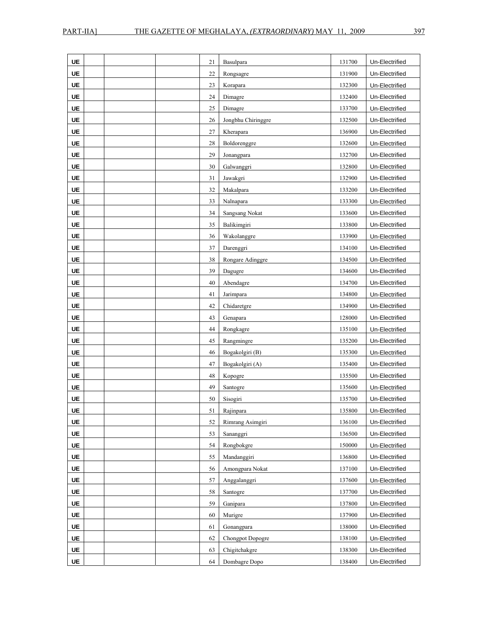| <b>UE</b> | 21 | Basulpara             | 131700 | Un-Electrified |
|-----------|----|-----------------------|--------|----------------|
| <b>UE</b> | 22 | Rongsagre             | 131900 | Un-Electrified |
| UE        | 23 | Korapara              | 132300 | Un-Electrified |
| UE        | 24 | Dimagre               | 132400 | Un-Electrified |
| UE        | 25 | Dimagre               | 133700 | Un-Electrified |
| UE        | 26 | Jongbhu Chiringgre    | 132500 | Un-Electrified |
| UE        | 27 | Kherapara             | 136900 | Un-Electrified |
| <b>UE</b> | 28 | Boldorenggre          | 132600 | Un-Electrified |
| UE        | 29 | Jonangpara            | 132700 | Un-Electrified |
| UE        | 30 | Galwanggri            | 132800 | Un-Electrified |
| <b>UE</b> | 31 | Jawakgri              | 132900 | Un-Electrified |
| UE        | 32 | Makalpara             | 133200 | Un-Electrified |
| <b>UE</b> | 33 | Nalnapara             | 133300 | Un-Electrified |
| UE        | 34 | <b>Sangsang Nokat</b> | 133600 | Un-Electrified |
| <b>UE</b> | 35 | Balikimgiri           | 133800 | Un-Electrified |
| <b>UE</b> | 36 | Wakolanggre           | 133900 | Un-Electrified |
| UE        | 37 | Darenggri             | 134100 | Un-Electrified |
| UE        | 38 | Rongare Adinggre      | 134500 | Un-Electrified |
| <b>UE</b> | 39 | Dagugre               | 134600 | Un-Electrified |
| <b>UE</b> | 40 | Abendagre             | 134700 | Un-Electrified |
| <b>UE</b> | 41 | Jarimpara             | 134800 | Un-Electrified |
| <b>UE</b> | 42 | Chidaretgre           | 134900 | Un-Electrified |
| UE        | 43 | Genapara              | 128000 | Un-Electrified |
| <b>UE</b> | 44 | Rongkagre             | 135100 | Un-Electrified |
| <b>UE</b> | 45 | Rangmingre            | 135200 | Un-Electrified |
| <b>UE</b> | 46 | Bogakolgiri (B)       | 135300 | Un-Electrified |
| <b>UE</b> | 47 | Bogakolgiri (A)       | 135400 | Un-Electrified |
| <b>UE</b> | 48 | Kopogre               | 135500 | Un-Electrified |
| <b>UE</b> | 49 | Santogre              | 135600 | Un-Electrified |
| <b>UE</b> | 50 | Sisogiri              | 135700 | Un-Electrified |
| UE        | 51 | Rajinpara             | 135800 | Un-Electrified |
| <b>UE</b> | 52 | Rimrang Asimgiri      | 136100 | Un-Electrified |
| UE        | 53 | Sananggri             | 136500 | Un-Electrified |
| UE        | 54 | Rongbokgre            | 150000 | Un-Electrified |
| UE        | 55 | Mandanggiri           | 136800 | Un-Electrified |
| UE        | 56 | Amongpara Nokat       | 137100 | Un-Electrified |
| UE        | 57 | Anggalanggri          | 137600 | Un-Electrified |
| UE        | 58 | Santogre              | 137700 | Un-Electrified |
| UE        | 59 | Ganipara              | 137800 | Un-Electrified |
| UE        | 60 | Murigre               | 137900 | Un-Electrified |
| UE        | 61 | Gonangpara            | 138000 | Un-Electrified |
| UE        | 62 | Chongpot Dopogre      | 138100 | Un-Electrified |
| UE        | 63 | Chigitchakgre         | 138300 | Un-Electrified |
| UE        | 64 | Dombagre Dopo         | 138400 | Un-Electrified |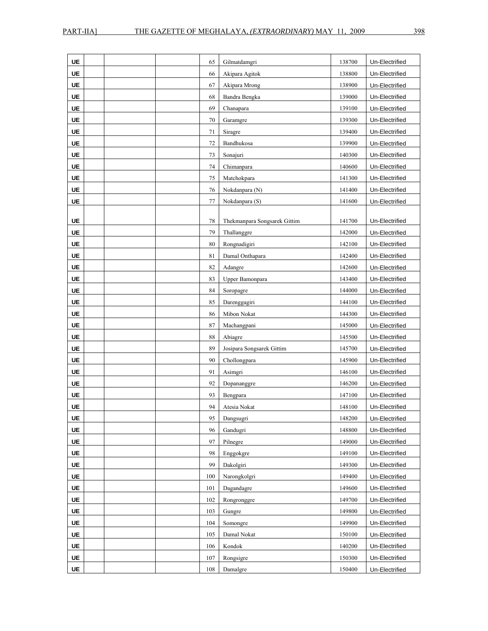| <b>UE</b>              | 65       | Gilmatdamgri                 | 138700           | Un-Electrified                   |
|------------------------|----------|------------------------------|------------------|----------------------------------|
| <b>UE</b>              | 66       | Akipara Agitok               | 138800           | Un-Electrified                   |
| UE                     | 67       | Akipara Mrong                | 138900           | Un-Electrified                   |
| UE                     | 68       | Bandra Bengka                | 139000           | Un-Electrified                   |
| UE                     | 69       | Chanapara                    | 139100           | Un-Electrified                   |
| UE                     | 70       | Garamgre                     | 139300           | Un-Electrified                   |
| UE                     | 71       | Siragre                      | 139400           | Un-Electrified                   |
| <b>UE</b>              | 72       | Bandhukosa                   | 139900           | Un-Electrified                   |
| UE                     | 73       | Sonajuri                     | 140300           | Un-Electrified                   |
| UE                     | 74       | Chimanpara                   | 140600           | Un-Electrified                   |
| <b>UE</b>              | 75       | Matchokpara                  | 141300           | Un-Electrified                   |
| UE                     | 76       | Nokdanpara (N)               | 141400           | Un-Electrified                   |
| UE                     | 77       | Nokdanpara (S)               | 141600           | Un-Electrified                   |
|                        |          |                              |                  |                                  |
| <b>UE</b>              | 78       | Thekmanpara Songsarek Gittim | 141700           | Un-Electrified                   |
| <b>UE</b>              | 79       | Thallanggre                  | 142000           | Un-Electrified                   |
| <b>UE</b>              | 80       | Rongnadigiri                 | 142100           | Un-Electrified                   |
| <b>UE</b>              | 81       | Damal Onthapara              | 142400           | Un-Electrified                   |
| UE                     | 82       | Adangre                      | 142600           | Un-Electrified                   |
| UE                     | 83       | Upper Bamonpara              | 143400           | Un-Electrified                   |
| UE                     | 84       | Soropagre                    | 144000           | Un-Electrified                   |
| <b>UE</b>              | 85       | Darenggagiri                 | 144100           | Un-Electrified                   |
| <b>UE</b>              | 86       | Mibon Nokat                  | 144300           | Un-Electrified                   |
| <b>UE</b>              | 87       | Machangpani                  | 145000           | Un-Electrified                   |
| UE                     | 88       | Abiagre                      | 145500           | Un-Electrified                   |
| <b>UE</b>              | 89       | Josipara Songsarek Gittim    | 145700           | Un-Electrified                   |
| <b>UE</b>              | 90       | Chollongpara                 | 145900           | Un-Electrified                   |
| UE                     | 91<br>92 | Asimgri                      | 146100           | Un-Electrified                   |
| <b>UE</b><br><b>UE</b> |          | Dopananggre                  | 146200           | Un-Electrified<br>Un-Electrified |
| <b>UE</b>              | 93<br>94 | Bengpara                     | 147100           | Un-Electrified                   |
| <b>UE</b>              | 95       | Atesia Nokat                 | 148100<br>148200 | Un-Electrified                   |
|                        | 96       | Dangsugri<br>Gandugri        | 148800           |                                  |
| UE<br><b>UE</b>        | 97       | Pilnegre                     | 149000           | Un-Electrified<br>Un-Electrified |
| UE                     | 98       | Enggokgre                    | 149100           | Un-Electrified                   |
| <b>UE</b>              | 99       | Dakolgiri                    | 149300           | Un-Electrified                   |
| UE                     | 100      | Narongkolgri                 | 149400           | Un-Electrified                   |
| UE                     | 101      | Dagandagre                   | 149600           | Un-Electrified                   |
| UE                     | 102      | Rongronggre                  | 149700           | Un-Electrified                   |
| UE                     | 103      | Gungre                       | 149800           | Un-Electrified                   |
| <b>UE</b>              | 104      | Somongre                     | 149900           | Un-Electrified                   |
| UE                     | 105      | Damal Nokat                  | 150100           | Un-Electrified                   |
| UE                     | 106      | Kondok                       | 140200           | Un-Electrified                   |
| UE                     | 107      | Rongsigre                    | 150300           | Un-Electrified                   |
| UE                     | 108      | Damalgre                     | 150400           | Un-Electrified                   |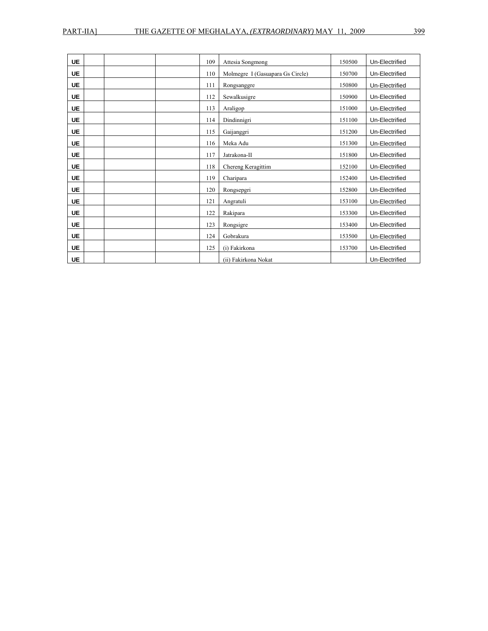| <b>UE</b> | 109 | Attesia Songmong                 | 150500 | Un-Electrified |
|-----------|-----|----------------------------------|--------|----------------|
| <b>UE</b> | 110 | Molmegre I (Gasuapara Gs Circle) | 150700 | Un-Electrified |
| <b>UE</b> | 111 | Rongsanggre                      | 150800 | Un-Electrified |
| <b>UE</b> | 112 | Sewalkusigre                     | 150900 | Un-Electrified |
| <b>UE</b> | 113 | Araligop                         | 151000 | Un-Electrified |
| <b>UE</b> | 114 | Dindinnigri                      | 151100 | Un-Electrified |
| <b>UE</b> | 115 | Gaijanggri                       | 151200 | Un-Electrified |
| <b>UE</b> | 116 | Meka Adu                         | 151300 | Un-Electrified |
| <b>UE</b> | 117 | Jatrakona-II                     | 151800 | Un-Electrified |
| <b>UE</b> | 118 | Chereng Keragittim               | 152100 | Un-Electrified |
| <b>UE</b> | 119 | Charipara                        | 152400 | Un-Electrified |
| <b>UE</b> | 120 | Rongsepgri                       | 152800 | Un-Electrified |
| <b>UE</b> | 121 | Angratuli                        | 153100 | Un-Electrified |
| <b>UE</b> | 122 | Rakipara                         | 153300 | Un-Electrified |
| <b>UE</b> | 123 | Rongsigre                        | 153400 | Un-Electrified |
| <b>UE</b> | 124 | Gobrakura                        | 153500 | Un-Electrified |
| <b>UE</b> | 125 | (i) Fakirkona                    | 153700 | Un-Electrified |
| <b>UE</b> |     | (ii) Fakirkona Nokat             |        | Un-Electrified |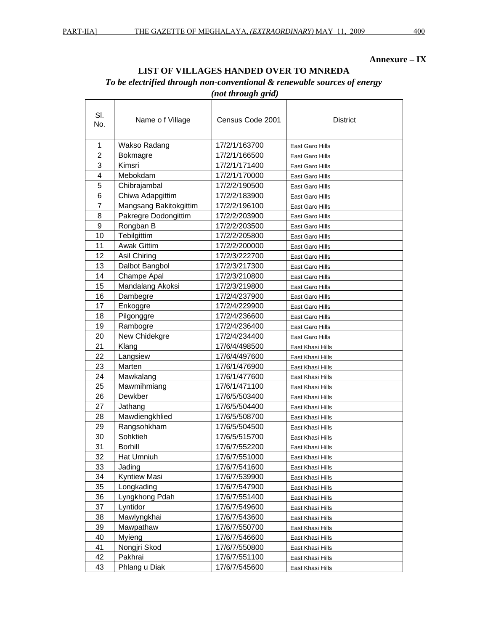## **Annexure – IX**

## **LIST OF VILLAGES HANDED OVER TO MNREDA**

## *To be electrified through non-conventional & renewable sources of energy*

 *(not through grid)* 

| SI.<br>No.     | Name of Village        | Census Code 2001 | District         |  |
|----------------|------------------------|------------------|------------------|--|
| 1              | Wakso Radang           | 17/2/1/163700    | East Garo Hills  |  |
| $\overline{c}$ | <b>Bokmagre</b>        | 17/2/1/166500    | East Garo Hills  |  |
| 3              | Kimsri                 | 17/2/1/171400    | East Garo Hills  |  |
| 4              | Mebokdam               | 17/2/1/170000    | East Garo Hills  |  |
| 5              | Chibrajambal           | 17/2/2/190500    | East Garo Hills  |  |
| 6              | Chiwa Adapgittim       | 17/2/2/183900    | East Garo Hills  |  |
| $\overline{7}$ | Mangsang Bakitokgittim | 17/2/2/196100    | East Garo Hills  |  |
| 8              | Pakregre Dodongittim   | 17/2/2/203900    | East Garo Hills  |  |
| 9              | Rongban B              | 17/2/2/203500    | East Garo Hills  |  |
| 10             | Tebilgittim            | 17/2/2/205800    | East Garo Hills  |  |
| 11             | <b>Awak Gittim</b>     | 17/2/2/200000    | East Garo Hills  |  |
| 12             | Asil Chiring           | 17/2/3/222700    | East Garo Hills  |  |
| 13             | Dalbot Bangbol         | 17/2/3/217300    | East Garo Hills  |  |
| 14             | Champe Apal            | 17/2/3/210800    | East Garo Hills  |  |
| 15             | Mandalang Akoksi       | 17/2/3/219800    | East Garo Hills  |  |
| 16             | Dambegre               | 17/2/4/237900    | East Garo Hills  |  |
| 17             | Enkoggre               | 17/2/4/229900    | East Garo Hills  |  |
| 18             | Pilgonggre             | 17/2/4/236600    | East Garo Hills  |  |
| 19             | Rambogre               | 17/2/4/236400    | East Garo Hills  |  |
| 20             | New Chidekgre          | 17/2/4/234400    | East Garo Hills  |  |
| 21             | Klang                  | 17/6/4/498500    | East Khasi Hills |  |
| 22             | Langsiew               | 17/6/4/497600    | East Khasi Hills |  |
| 23             | Marten                 | 17/6/1/476900    | East Khasi Hills |  |
| 24             | Mawkalang              | 17/6/1/477600    | East Khasi Hills |  |
| 25             | Mawmihmiang            | 17/6/1/471100    | East Khasi Hills |  |
| 26             | Dewkber                | 17/6/5/503400    | East Khasi Hills |  |
| 27             | Jathang                | 17/6/5/504400    | East Khasi Hills |  |
| 28             | Mawdiengkhlied         | 17/6/5/508700    | East Khasi Hills |  |
| 29             | Rangsohkham            | 17/6/5/504500    | East Khasi Hills |  |
| 30             | Sohktieh               | 17/6/5/515700    | East Khasi Hills |  |
| 31             | <b>Borhill</b>         | 17/6/7/552200    | East Khasi Hills |  |
| 32             | Hat Umniuh             | 17/6/7/551000    | East Khasi Hills |  |
| 33             | Jading                 | 17/6/7/541600    | East Khasi Hills |  |
| 34             | <b>Kyntiew Masi</b>    | 17/6/7/539900    | East Khasi Hills |  |
| 35             | Longkading             | 17/6/7/547900    | East Khasi Hills |  |
| 36             | Lyngkhong Pdah         | 17/6/7/551400    | East Khasi Hills |  |
| 37             | Lyntidor               | 17/6/7/549600    | East Khasi Hills |  |
| 38             | Mawlyngkhai            | 17/6/7/543600    | East Khasi Hills |  |
| 39             | Mawpathaw              | 17/6/7/550700    | East Khasi Hills |  |
| 40             | Myieng                 | 17/6/7/546600    | East Khasi Hills |  |
| 41             | Nongjri Skod           | 17/6/7/550800    | East Khasi Hills |  |
| 42             | Pakhrai                | 17/6/7/551100    | East Khasi Hills |  |
| 43             | Phlang u Diak          | 17/6/7/545600    | East Khasi Hills |  |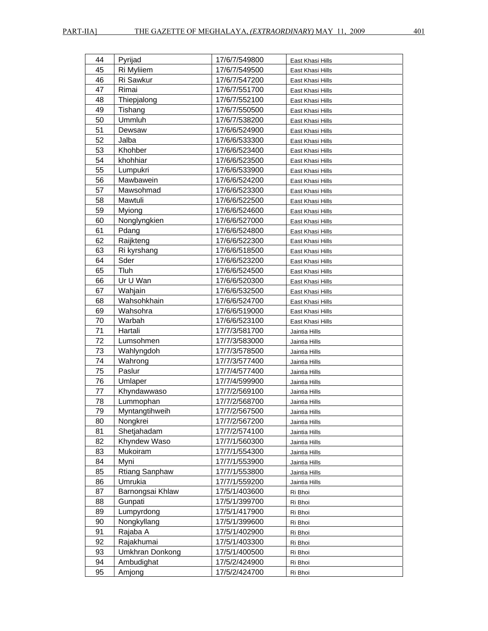| 44 | Pyrijad               | 17/6/7/549800 | East Khasi Hills |
|----|-----------------------|---------------|------------------|
| 45 | Ri Myliiem            | 17/6/7/549500 | East Khasi Hills |
| 46 | Ri Sawkur             | 17/6/7/547200 | East Khasi Hills |
| 47 | Rimai                 | 17/6/7/551700 | East Khasi Hills |
| 48 | Thiepjalong           | 17/6/7/552100 | East Khasi Hills |
| 49 | Tishang               | 17/6/7/550500 | East Khasi Hills |
| 50 | Ummluh                | 17/6/7/538200 | East Khasi Hills |
| 51 | Dewsaw                | 17/6/6/524900 | East Khasi Hills |
| 52 | Jalba                 | 17/6/6/533300 | East Khasi Hills |
| 53 | Khohber               | 17/6/6/523400 | East Khasi Hills |
| 54 | khohhiar              | 17/6/6/523500 | East Khasi Hills |
| 55 | Lumpukri              | 17/6/6/533900 | East Khasi Hills |
| 56 | Mawbawein             | 17/6/6/524200 | East Khasi Hills |
| 57 | Mawsohmad             | 17/6/6/523300 | East Khasi Hills |
| 58 | Mawtuli               | 17/6/6/522500 | East Khasi Hills |
| 59 | Myiong                | 17/6/6/524600 | East Khasi Hills |
| 60 | Nonglyngkien          | 17/6/6/527000 | East Khasi Hills |
| 61 | Pdang                 | 17/6/6/524800 | East Khasi Hills |
| 62 | Raijkteng             | 17/6/6/522300 | East Khasi Hills |
| 63 | Ri kyrshang           | 17/6/6/518500 | East Khasi Hills |
| 64 | Sder                  | 17/6/6/523200 | East Khasi Hills |
| 65 | Tluh                  | 17/6/6/524500 | East Khasi Hills |
| 66 | Ur U Wan              | 17/6/6/520300 | East Khasi Hills |
| 67 | Wahjain               | 17/6/6/532500 | East Khasi Hills |
| 68 | Wahsohkhain           | 17/6/6/524700 | East Khasi Hills |
| 69 | Wahsohra              | 17/6/6/519000 | East Khasi Hills |
| 70 | Warbah                | 17/6/6/523100 | East Khasi Hills |
| 71 | Hartali               | 17/7/3/581700 | Jaintia Hills    |
| 72 | Lumsohmen             | 17/7/3/583000 | Jaintia Hills    |
| 73 | Wahlyngdoh            | 17/7/3/578500 | Jaintia Hills    |
| 74 | Wahrong               | 17/7/3/577400 | Jaintia Hills    |
| 75 | Paslur                | 17/7/4/577400 | Jaintia Hills    |
| 76 | Umlaper               | 17/7/4/599900 | Jaintia Hills    |
| 77 | Khyndawwaso           | 17/7/2/569100 | Jaintia Hills    |
| 78 | Lummophan             | 17/7/2/568700 | Jaintia Hills    |
| 79 | Myntangtihweih        | 17/7/2/567500 | Jaintia Hills    |
| 80 | Nongkrei              | 17/7/2/567200 | Jaintia Hills    |
| 81 | Shetjahadam           | 17/7/2/574100 | Jaintia Hills    |
| 82 | Khyndew Waso          | 17/7/1/560300 | Jaintia Hills    |
| 83 | Mukoiram              | 17/7/1/554300 | Jaintia Hills    |
| 84 | Myni                  | 17/7/1/553900 | Jaintia Hills    |
| 85 | <b>Rtiang Sanphaw</b> | 17/7/1/553800 | Jaintia Hills    |
| 86 | Umrukia               | 17/7/1/559200 | Jaintia Hills    |
| 87 | Barnongsai Khlaw      | 17/5/1/403600 | Ri Bhoi          |
| 88 | Gunpati               | 17/5/1/399700 | Ri Bhoi          |
| 89 | Lumpyrdong            | 17/5/1/417900 | Ri Bhoi          |
| 90 | Nongkyllang           | 17/5/1/399600 | Ri Bhoi          |
| 91 | Rajaba A              | 17/5/1/402900 | Ri Bhoi          |
| 92 | Rajakhumai            | 17/5/1/403300 | Ri Bhoi          |
| 93 | Umkhran Donkong       | 17/5/1/400500 | Ri Bhoi          |
| 94 | Ambudighat            | 17/5/2/424900 | Ri Bhoi          |
| 95 | Amjong                | 17/5/2/424700 | Ri Bhoi          |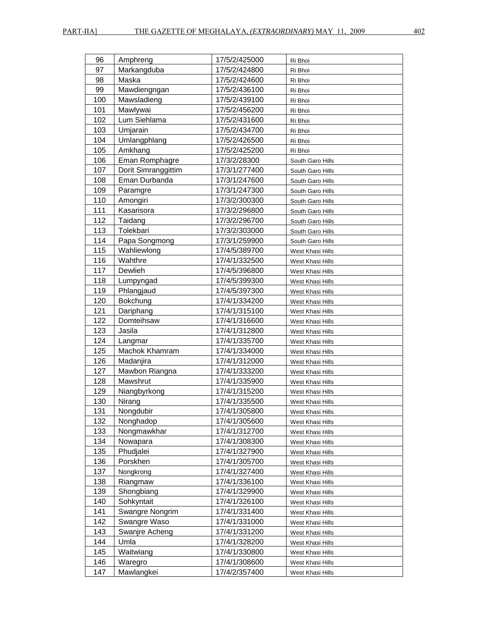| 96  | Amphreng            | 17/5/2/425000 | Ri Bhoi          |
|-----|---------------------|---------------|------------------|
| 97  | Markangduba         | 17/5/2/424800 | Ri Bhoi          |
| 98  | Maska               | 17/5/2/424600 | Ri Bhoi          |
| 99  | Mawdiengngan        | 17/5/2/436100 | Ri Bhoi          |
| 100 | Mawsladieng         | 17/5/2/439100 | Ri Bhoi          |
| 101 | Mawlywai            | 17/5/2/456200 | Ri Bhoi          |
| 102 | Lum Siehlama        | 17/5/2/431600 | Ri Bhoi          |
| 103 | Umjarain            | 17/5/2/434700 | Ri Bhoi          |
| 104 | Umlangphlang        | 17/5/2/426500 | Ri Bhoi          |
| 105 | Amkhang             | 17/5/2/425200 | Ri Bhoi          |
| 106 | Eman Romphagre      | 17/3/2/28300  | South Garo Hills |
| 107 | Dorit Simranggittim | 17/3/1/277400 | South Garo Hills |
| 108 | Eman Durbanda       | 17/3/1/247600 | South Garo Hills |
| 109 | Paramgre            | 17/3/1/247300 | South Garo Hills |
| 110 | Amongiri            | 17/3/2/300300 | South Garo Hills |
| 111 | Kasarisora          | 17/3/2/296800 | South Garo Hills |
| 112 | Taidang             | 17/3/2/296700 | South Garo Hills |
| 113 | Tolekbari           | 17/3/2/303000 | South Garo Hills |
| 114 | Papa Songmong       | 17/3/1/259900 | South Garo Hills |
| 115 | Wahliewlong         | 17/4/5/389700 | West Khasi Hills |
| 116 | Wahthre             | 17/4/1/332500 | West Khasi Hills |
| 117 | Dewlieh             | 17/4/5/396800 | West Khasi Hills |
| 118 | Lumpyngad           | 17/4/5/399300 | West Khasi Hills |
| 119 | Phlangjaud          | 17/4/5/397300 | West Khasi Hills |
| 120 | Bokchung            | 17/4/1/334200 | West Khasi Hills |
| 121 | Dariphang           | 17/4/1/315100 | West Khasi Hills |
| 122 | Domteihsaw          | 17/4/1/316600 | West Khasi Hills |
| 123 | Jasila              | 17/4/1/312800 | West Khasi Hills |
| 124 | Langmar             | 17/4/1/335700 | West Khasi Hills |
| 125 | Machok Khamram      | 17/4/1/334000 | West Khasi Hills |
| 126 | Madanjira           | 17/4/1/312000 | West Khasi Hills |
| 127 | Mawbon Riangna      | 17/4/1/333200 | West Khasi Hills |
| 128 | Mawshrut            | 17/4/1/335900 | West Khasi Hills |
| 129 | Niangbyrkong        | 17/4/1/315200 | West Khasi Hills |
| 130 | Nirang              | 17/4/1/335500 | West Khasi Hills |
| 131 | Nongdubir           | 17/4/1/305800 | West Khasi Hills |
| 132 | Nonghadop           | 17/4/1/305600 | West Khasi Hills |
| 133 | Nongmawkhar         | 17/4/1/312700 | West Khasi Hills |
| 134 | Nowapara            | 17/4/1/308300 | West Khasi Hills |
| 135 | Phudjalei           | 17/4/1/327900 | West Khasi Hills |
| 136 | Porskhen            | 17/4/1/305700 | West Khasi Hills |
| 137 | Nongkrong           | 17/4/1/327400 | West Khasi Hills |
| 138 | Riangmaw            | 17/4/1/336100 | West Khasi Hills |
| 139 | Shongbiang          | 17/4/1/329900 | West Khasi Hills |
| 140 | Sohkyntait          | 17/4/1/326100 | West Khasi Hills |
| 141 | Swangre Nongrim     | 17/4/1/331400 | West Khasi Hills |
| 142 | Swangre Waso        | 17/4/1/331000 | West Khasi Hills |
| 143 | Swanjre Acheng      | 17/4/1/331200 | West Khasi Hills |
| 144 | Umla                | 17/4/1/328200 | West Khasi Hills |
| 145 | Waitwiang           | 17/4/1/330800 | West Khasi Hills |
| 146 | Waregro             | 17/4/1/308600 | West Khasi Hills |
| 147 | Mawlangkei          | 17/4/2/357400 | West Khasi Hills |